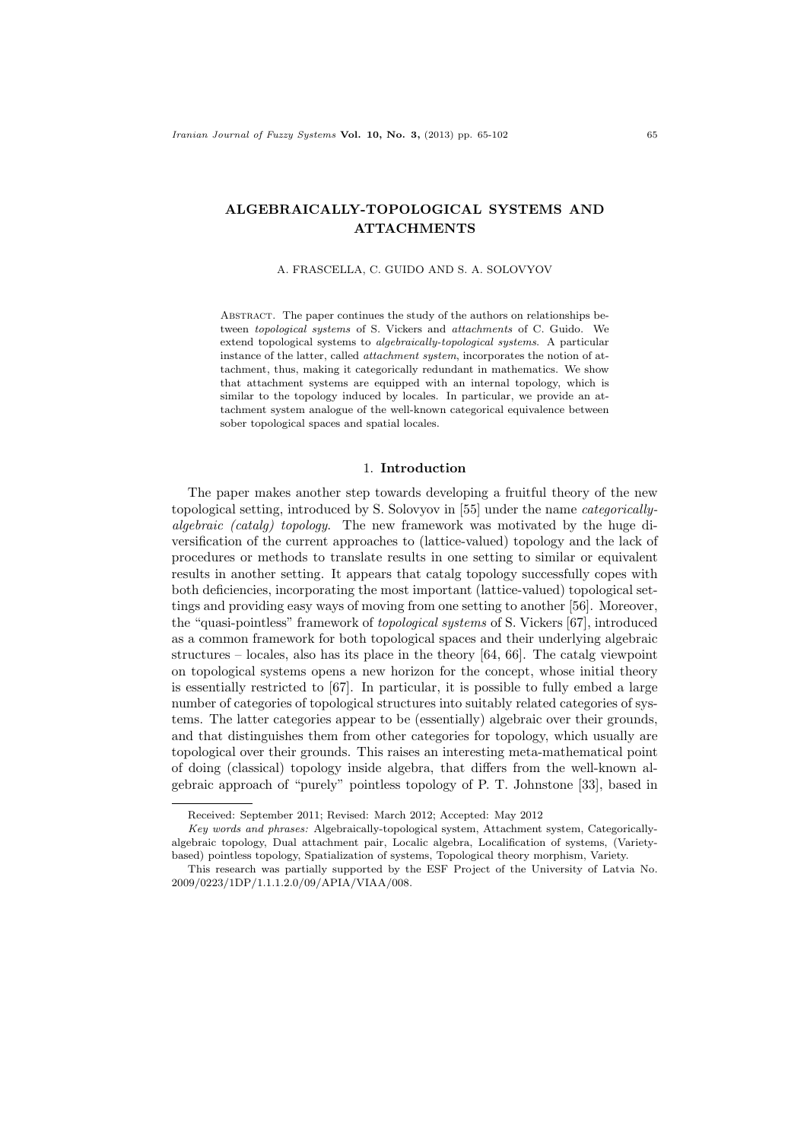# ALGEBRAICALLY-TOPOLOGICAL SYSTEMS AND ATTACHMENTS

#### A. FRASCELLA, C. GUIDO AND S. A. SOLOVYOV

ABSTRACT. The paper continues the study of the authors on relationships between topological systems of S. Vickers and attachments of C. Guido. We extend topological systems to algebraically-topological systems. A particular instance of the latter, called attachment system, incorporates the notion of attachment, thus, making it categorically redundant in mathematics. We show that attachment systems are equipped with an internal topology, which is similar to the topology induced by locales. In particular, we provide an attachment system analogue of the well-known categorical equivalence between sober topological spaces and spatial locales.

# 1. Introduction

The paper makes another step towards developing a fruitful theory of the new topological setting, introduced by S. Solovyov in [55] under the name categoricallyalgebraic (catalg) topology. The new framework was motivated by the huge diversification of the current approaches to (lattice-valued) topology and the lack of procedures or methods to translate results in one setting to similar or equivalent results in another setting. It appears that catalg topology successfully copes with both deficiencies, incorporating the most important (lattice-valued) topological settings and providing easy ways of moving from one setting to another [56]. Moreover, the "quasi-pointless" framework of topological systems of S. Vickers [67], introduced as a common framework for both topological spaces and their underlying algebraic structures – locales, also has its place in the theory [64, 66]. The catalg viewpoint on topological systems opens a new horizon for the concept, whose initial theory is essentially restricted to [67]. In particular, it is possible to fully embed a large number of categories of topological structures into suitably related categories of systems. The latter categories appear to be (essentially) algebraic over their grounds, and that distinguishes them from other categories for topology, which usually are topological over their grounds. This raises an interesting meta-mathematical point of doing (classical) topology inside algebra, that differs from the well-known algebraic approach of "purely" pointless topology of P. T. Johnstone [33], based in

Received: September 2011; Revised: March 2012; Accepted: May 2012

Key words and phrases: Algebraically-topological system, Attachment system, Categoricallyalgebraic topology, Dual attachment pair, Localic algebra, Localification of systems, (Varietybased) pointless topology, Spatialization of systems, Topological theory morphism, Variety.

This research was partially supported by the ESF Project of the University of Latvia No. 2009/0223/1DP/1.1.1.2.0/09/APIA/VIAA/008.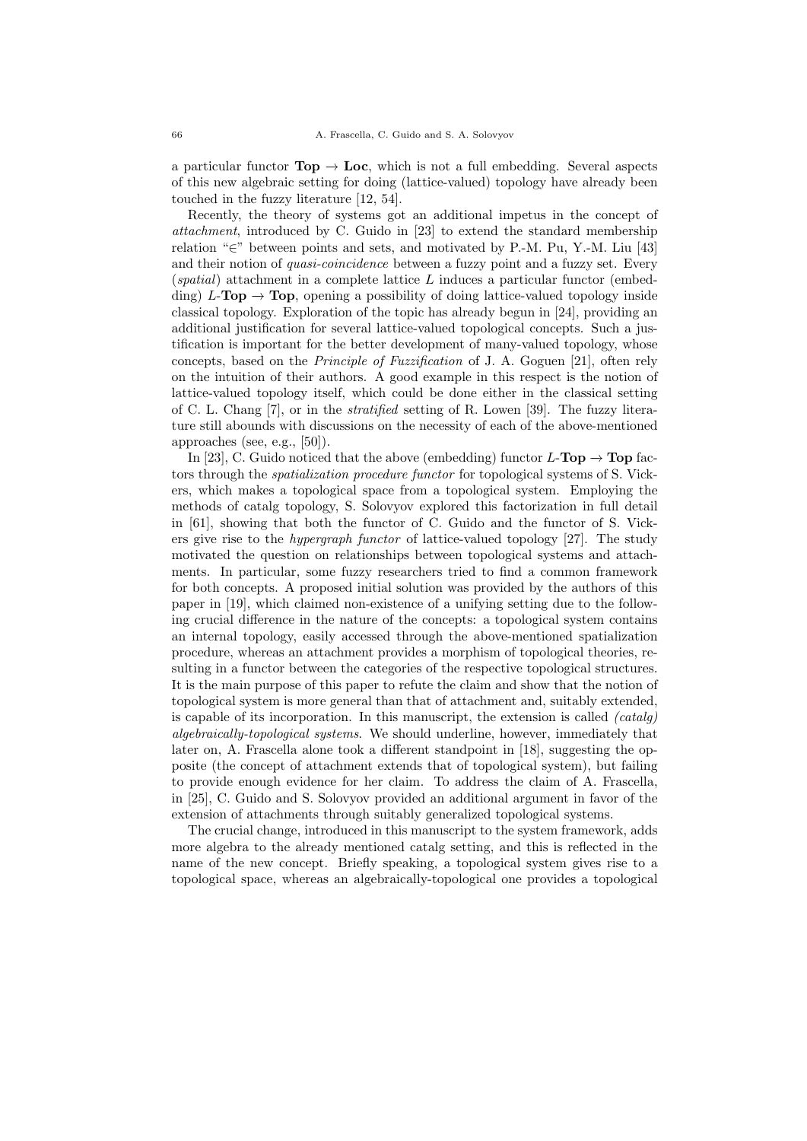a particular functor  $\text{Top} \rightarrow \text{Loc}$ , which is not a full embedding. Several aspects of this new algebraic setting for doing (lattice-valued) topology have already been touched in the fuzzy literature [12, 54].

Recently, the theory of systems got an additional impetus in the concept of attachment, introduced by C. Guido in [23] to extend the standard membership relation "∈" between points and sets, and motivated by P.-M. Pu, Y.-M. Liu [43] and their notion of quasi-coincidence between a fuzzy point and a fuzzy set. Every  $(spatial)$  attachment in a complete lattice L induces a particular functor (embedding)  $L$ -**Top**  $\rightarrow$  Top, opening a possibility of doing lattice-valued topology inside classical topology. Exploration of the topic has already begun in [24], providing an additional justification for several lattice-valued topological concepts. Such a justification is important for the better development of many-valued topology, whose concepts, based on the Principle of Fuzzification of J. A. Goguen [21], often rely on the intuition of their authors. A good example in this respect is the notion of lattice-valued topology itself, which could be done either in the classical setting of C. L. Chang [7], or in the stratified setting of R. Lowen [39]. The fuzzy literature still abounds with discussions on the necessity of each of the above-mentioned approaches (see, e.g., [50]).

In [23], C. Guido noticed that the above (embedding) functor  $L$ -**Top**  $\rightarrow$  **Top** factors through the spatialization procedure functor for topological systems of S. Vickers, which makes a topological space from a topological system. Employing the methods of catalg topology, S. Solovyov explored this factorization in full detail in [61], showing that both the functor of C. Guido and the functor of S. Vickers give rise to the hypergraph functor of lattice-valued topology [27]. The study motivated the question on relationships between topological systems and attachments. In particular, some fuzzy researchers tried to find a common framework for both concepts. A proposed initial solution was provided by the authors of this paper in [19], which claimed non-existence of a unifying setting due to the following crucial difference in the nature of the concepts: a topological system contains an internal topology, easily accessed through the above-mentioned spatialization procedure, whereas an attachment provides a morphism of topological theories, resulting in a functor between the categories of the respective topological structures. It is the main purpose of this paper to refute the claim and show that the notion of topological system is more general than that of attachment and, suitably extended, is capable of its incorporation. In this manuscript, the extension is called  $(catalog)$ algebraically-topological systems. We should underline, however, immediately that later on, A. Frascella alone took a different standpoint in [18], suggesting the opposite (the concept of attachment extends that of topological system), but failing to provide enough evidence for her claim. To address the claim of A. Frascella, in [25], C. Guido and S. Solovyov provided an additional argument in favor of the extension of attachments through suitably generalized topological systems.

The crucial change, introduced in this manuscript to the system framework, adds more algebra to the already mentioned catalg setting, and this is reflected in the name of the new concept. Briefly speaking, a topological system gives rise to a topological space, whereas an algebraically-topological one provides a topological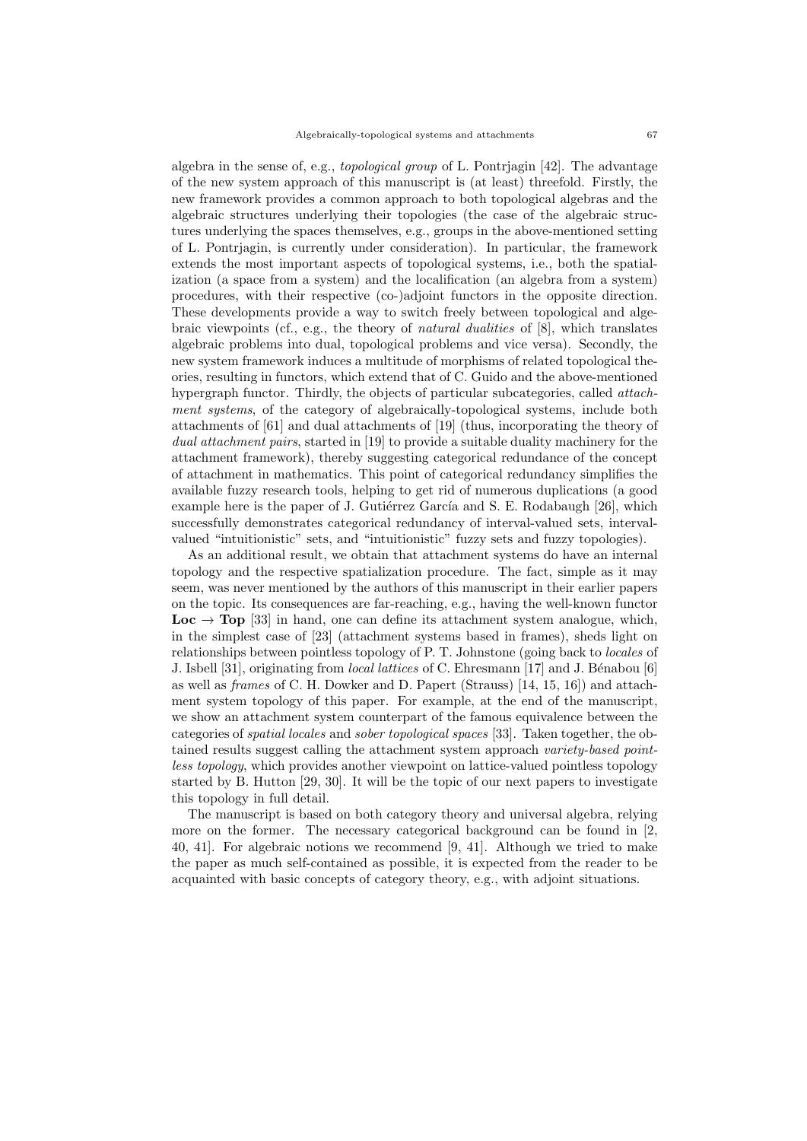algebra in the sense of, e.g., topological group of L. Pontrjagin [42]. The advantage of the new system approach of this manuscript is (at least) threefold. Firstly, the new framework provides a common approach to both topological algebras and the algebraic structures underlying their topologies (the case of the algebraic structures underlying the spaces themselves, e.g., groups in the above-mentioned setting of L. Pontrjagin, is currently under consideration). In particular, the framework extends the most important aspects of topological systems, i.e., both the spatialization (a space from a system) and the localification (an algebra from a system) procedures, with their respective (co-)adjoint functors in the opposite direction. These developments provide a way to switch freely between topological and algebraic viewpoints (cf., e.g., the theory of natural dualities of [8], which translates algebraic problems into dual, topological problems and vice versa). Secondly, the new system framework induces a multitude of morphisms of related topological theories, resulting in functors, which extend that of C. Guido and the above-mentioned hypergraph functor. Thirdly, the objects of particular subcategories, called attachment systems, of the category of algebraically-topological systems, include both attachments of [61] and dual attachments of [19] (thus, incorporating the theory of dual attachment pairs, started in [19] to provide a suitable duality machinery for the attachment framework), thereby suggesting categorical redundance of the concept of attachment in mathematics. This point of categorical redundancy simplifies the available fuzzy research tools, helping to get rid of numerous duplications (a good example here is the paper of J. Gutiérrez García and S. E. Rodabaugh [26], which successfully demonstrates categorical redundancy of interval-valued sets, intervalvalued "intuitionistic" sets, and "intuitionistic" fuzzy sets and fuzzy topologies).

As an additional result, we obtain that attachment systems do have an internal topology and the respective spatialization procedure. The fact, simple as it may seem, was never mentioned by the authors of this manuscript in their earlier papers on the topic. Its consequences are far-reaching, e.g., having the well-known functor **Loc**  $\rightarrow$  Top [33] in hand, one can define its attachment system analogue, which, in the simplest case of [23] (attachment systems based in frames), sheds light on relationships between pointless topology of P. T. Johnstone (going back to locales of J. Isbell [31], originating from *local lattices* of C. Ehresmann [17] and J. Bénabou [6] as well as frames of C. H. Dowker and D. Papert (Strauss) [14, 15, 16]) and attachment system topology of this paper. For example, at the end of the manuscript, we show an attachment system counterpart of the famous equivalence between the categories of spatial locales and sober topological spaces [33]. Taken together, the obtained results suggest calling the attachment system approach variety-based pointless topology, which provides another viewpoint on lattice-valued pointless topology started by B. Hutton [29, 30]. It will be the topic of our next papers to investigate this topology in full detail.

The manuscript is based on both category theory and universal algebra, relying more on the former. The necessary categorical background can be found in [2, 40, 41]. For algebraic notions we recommend [9, 41]. Although we tried to make the paper as much self-contained as possible, it is expected from the reader to be acquainted with basic concepts of category theory, e.g., with adjoint situations.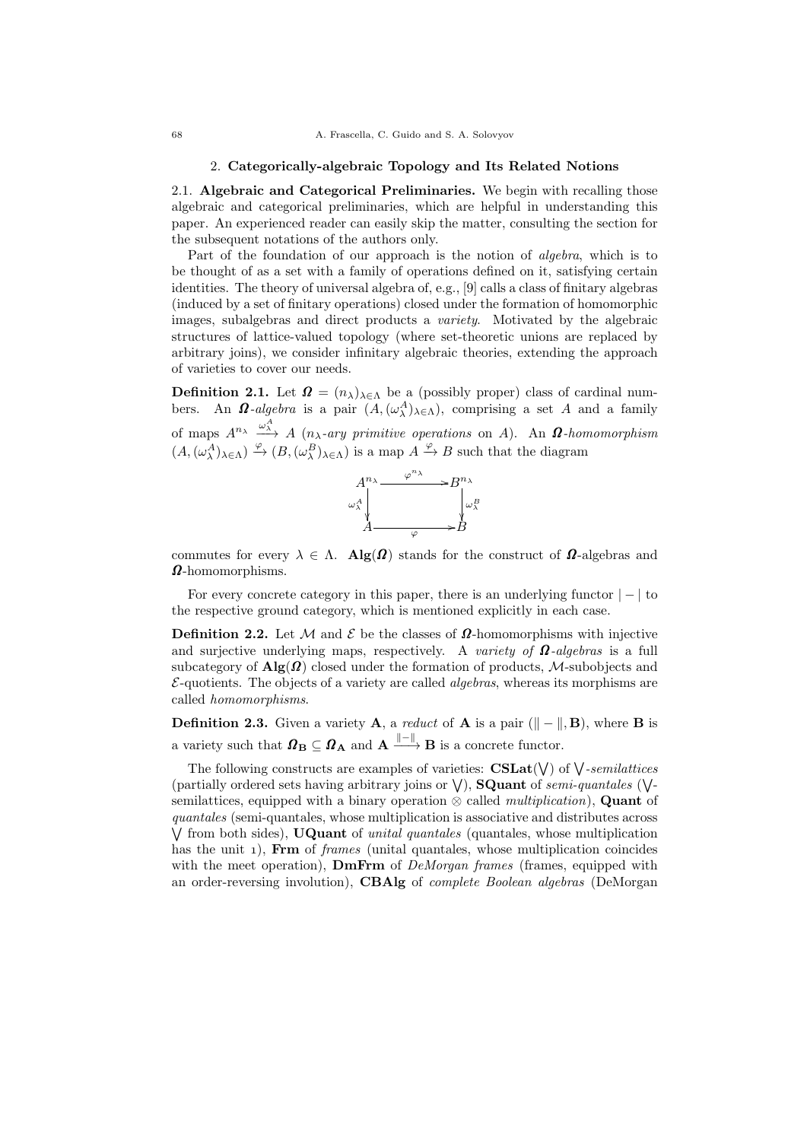#### 2. Categorically-algebraic Topology and Its Related Notions

2.1. Algebraic and Categorical Preliminaries. We begin with recalling those algebraic and categorical preliminaries, which are helpful in understanding this paper. An experienced reader can easily skip the matter, consulting the section for the subsequent notations of the authors only.

Part of the foundation of our approach is the notion of *algebra*, which is to be thought of as a set with a family of operations defined on it, satisfying certain identities. The theory of universal algebra of, e.g., [9] calls a class of finitary algebras (induced by a set of finitary operations) closed under the formation of homomorphic images, subalgebras and direct products a variety. Motivated by the algebraic structures of lattice-valued topology (where set-theoretic unions are replaced by arbitrary joins), we consider infinitary algebraic theories, extending the approach of varieties to cover our needs.

**Definition 2.1.** Let  $\mathbf{\Omega} = (n_{\lambda})_{\lambda \in \Lambda}$  be a (possibly proper) class of cardinal numbers. An  $\Omega$ -algebra is a pair  $(A, (\omega_{\lambda}^A)_{\lambda \in \Lambda})$ , comprising a set A and a family of maps  $A^{n_{\lambda}} \xrightarrow{\omega_{\lambda}^A} A$  ( $n_{\lambda}$ -ary primitive operations on A). An  $\Omega$ -homomorphism  $(A, (\omega_\lambda^A)_{\lambda \in \Lambda}) \xrightarrow{\varphi} (B, (\omega_\lambda^B)_{\lambda \in \Lambda})$  is a map  $A \xrightarrow{\varphi} B$  such that the diagram



commutes for every  $\lambda \in \Lambda$ . Alg( $\Omega$ ) stands for the construct of  $\Omega$ -algebras and  $\Omega$ -homomorphisms.

For every concrete category in this paper, there is an underlying functor  $|-|$  to the respective ground category, which is mentioned explicitly in each case.

**Definition 2.2.** Let M and  $\mathcal{E}$  be the classes of  $\Omega$ -homomorphisms with injective and surjective underlying maps, respectively. A variety of  $\Omega$ -algebras is a full subcategory of  $\text{Alg}(\Omega)$  closed under the formation of products, M-subobjects and  $\mathcal{E}$ -quotients. The objects of a variety are called *algebras*, whereas its morphisms are called homomorphisms.

**Definition 2.3.** Given a variety **A**, a *reduct* of **A** is a pair ( $\|\textbf{-}\|$ , **B**), where **B** is a variety such that  $\mathbf{\Omega}_{\mathbf{B}} \subseteq \mathbf{\Omega}_{\mathbf{A}}$  and  $\mathbf{A} \xrightarrow{||-\||} \mathbf{B}$  is a concrete functor.

The following constructs are examples of varieties:  $\text{CSLat}(\vee)$  of  $\vee$ -semilattices (partially ordered sets having arbitrary joins or  $\vee$ ), **SQuant** of *semi-quantales* ( $\vee$ semilattices, equipped with a binary operation  $\otimes$  called *multiplication*), **Quant** of quantales (semi-quantales, whose multiplication is associative and distributes across  $\sqrt{}$  from both sides), **UQuant** of *unital quantales* (quantales, whose multiplication has the unit  $\mathbf{1}$ ), Frm of *frames* (unital quantales, whose multiplication coincides with the meet operation), **DmFrm** of  $DeMorgan$  frames (frames, equipped with an order-reversing involution), **CBAlg** of *complete Boolean algebras* (DeMorgan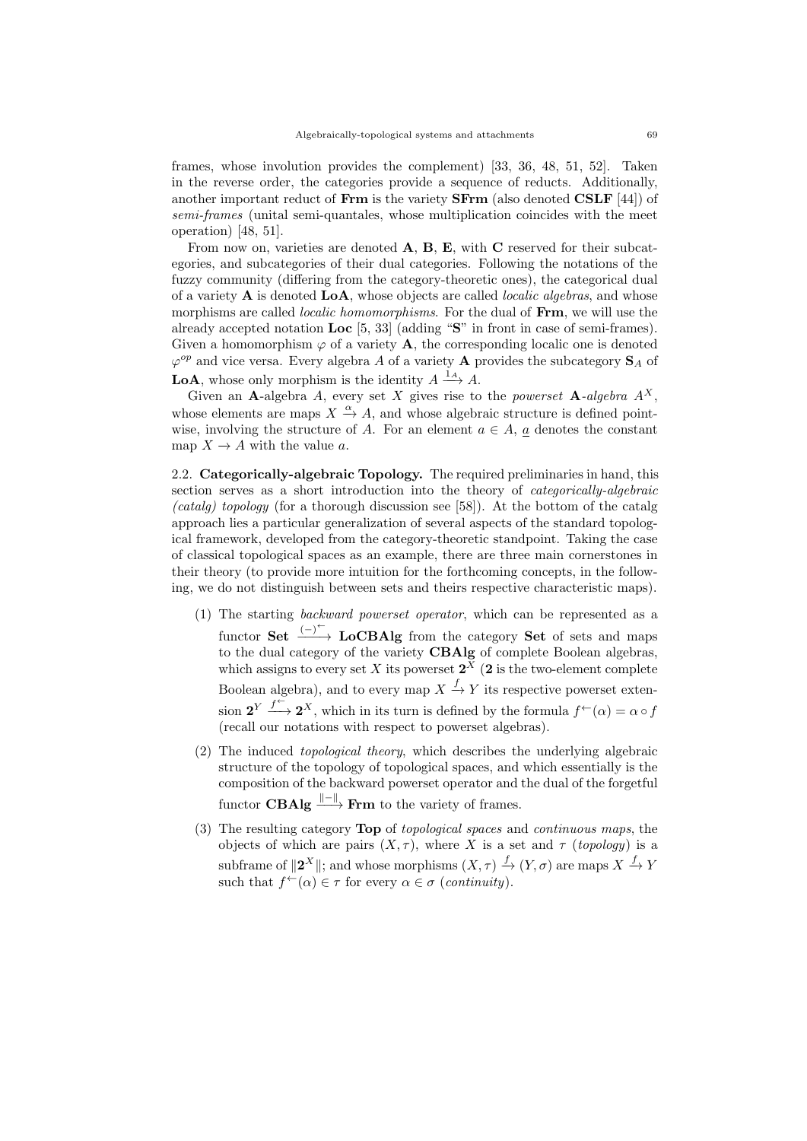frames, whose involution provides the complement) [33, 36, 48, 51, 52]. Taken in the reverse order, the categories provide a sequence of reducts. Additionally, another important reduct of  $\bf{Frm}$  is the variety  $\bf{S}$  $\bf{Frm}$  (also denoted  $\bf{CSLF}$  [44]) of semi-frames (unital semi-quantales, whose multiplication coincides with the meet operation) [48, 51].

From now on, varieties are denoted **A**, **B**, **E**, with **C** reserved for their subcategories, and subcategories of their dual categories. Following the notations of the fuzzy community (differing from the category-theoretic ones), the categorical dual of a variety  $\bf{A}$  is denoted  $\bf{LoA}$ , whose objects are called *localic algebras*, and whose morphisms are called *localic homomorphisms*. For the dual of **Frm**, we will use the already accepted notation Loc [5, 33] (adding "S" in front in case of semi-frames). Given a homomorphism  $\varphi$  of a variety **A**, the corresponding localic one is denoted  $\varphi^{op}$  and vice versa. Every algebra A of a variety **A** provides the subcategory  $S_A$  of **LoA**, whose only morphism is the identity  $A \xrightarrow{1_A} A$ .

Given an A-algebra A, every set X gives rise to the *powerset* A-algebra  $A^X$ , whose elements are maps  $X \stackrel{\alpha}{\rightarrow} A$ , and whose algebraic structure is defined pointwise, involving the structure of A. For an element  $a \in A$ , a denotes the constant map  $X \to A$  with the value a.

2.2. Categorically-algebraic Topology. The required preliminaries in hand, this section serves as a short introduction into the theory of categorically-algebraic (catalg) topology (for a thorough discussion see [58]). At the bottom of the catalg approach lies a particular generalization of several aspects of the standard topological framework, developed from the category-theoretic standpoint. Taking the case of classical topological spaces as an example, there are three main cornerstones in their theory (to provide more intuition for the forthcoming concepts, in the following, we do not distinguish between sets and theirs respective characteristic maps).

- (1) The starting backward powerset operator, which can be represented as a functor Set  $\xrightarrow{(-)}^{\leftarrow}$  LoCBAlg from the category Set of sets and maps to the dual category of the variety **CBAlg** of complete Boolean algebras, which assigns to every set X its powerset  $2^X$  (2 is the two-element complete Boolean algebra), and to every map  $X \xrightarrow{f} Y$  its respective powerset extension  $2^Y \xrightarrow{f^{\leftarrow}} 2^X$ , which in its turn is defined by the formula  $f^{\leftarrow}(\alpha) = \alpha \circ f$ (recall our notations with respect to powerset algebras).
- (2) The induced topological theory, which describes the underlying algebraic structure of the topology of topological spaces, and which essentially is the composition of the backward powerset operator and the dual of the forgetful functor  $\mathbf{CBAlg} \xrightarrow{\parallel - \parallel} \mathbf{Frm}$  to the variety of frames.
- (3) The resulting category Top of topological spaces and continuous maps, the objects of which are pairs  $(X, \tau)$ , where X is a set and  $\tau$  (topology) is a subframe of  $||2^X||$ ; and whose morphisms  $(X, \tau) \stackrel{f}{\to} (Y, \sigma)$  are maps  $X \stackrel{f}{\to} Y$ such that  $f^{\leftarrow}(\alpha) \in \tau$  for every  $\alpha \in \sigma$  (continuity).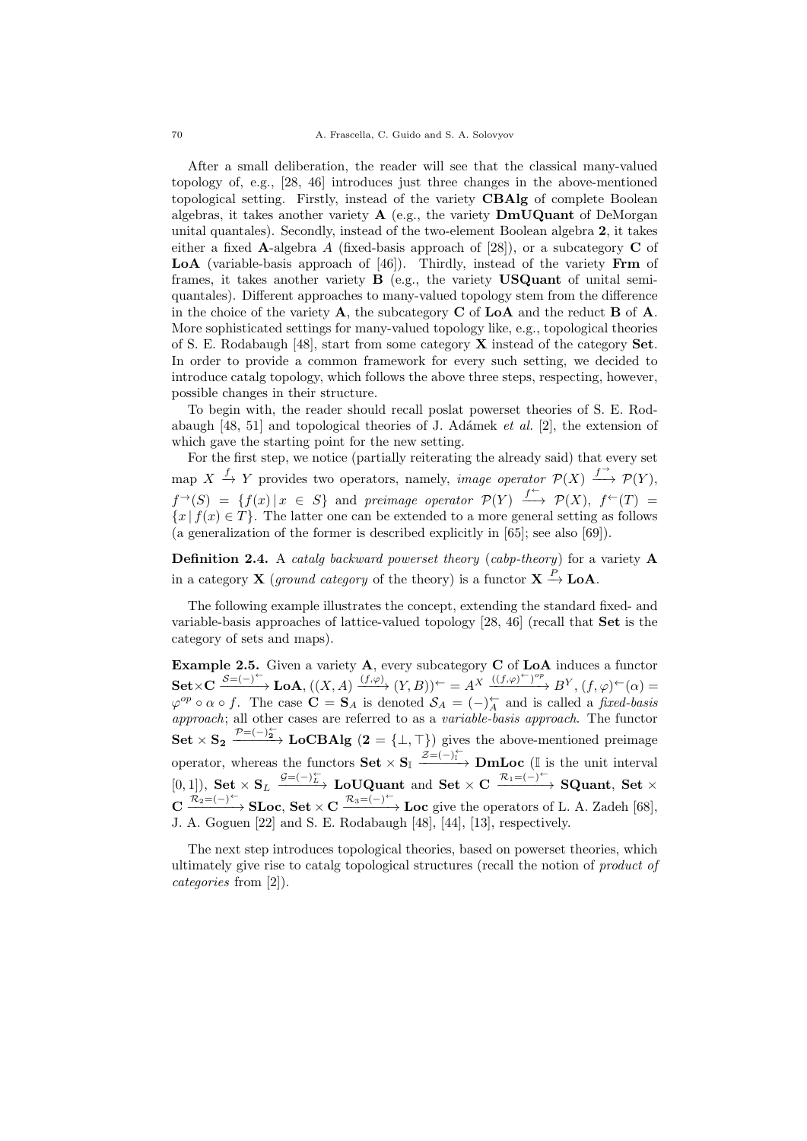After a small deliberation, the reader will see that the classical many-valued topology of, e.g., [28, 46] introduces just three changes in the above-mentioned topological setting. Firstly, instead of the variety CBAlg of complete Boolean algebras, it takes another variety  $A$  (e.g., the variety  $DmUQuant$  of DeMorgan unital quantales). Secondly, instead of the two-element Boolean algebra 2, it takes either a fixed A-algebra A (fixed-basis approach of [28]), or a subcategory  $C$  of LoA (variable-basis approach of [46]). Thirdly, instead of the variety Frm of frames, it takes another variety  $\bf{B}$  (e.g., the variety  $\bf{USQuant\ of\ unital\ semi}$ quantales). Different approaches to many-valued topology stem from the difference in the choice of the variety  $\bf{A}$ , the subcategory  $\bf{C}$  of  $\bf{LoA}$  and the reduct  $\bf{B}$  of  $\bf{A}$ . More sophisticated settings for many-valued topology like, e.g., topological theories of S. E. Rodabaugh [48], start from some category X instead of the category Set. In order to provide a common framework for every such setting, we decided to introduce catalg topology, which follows the above three steps, respecting, however, possible changes in their structure.

To begin with, the reader should recall poslat powerset theories of S. E. Rodabaugh [48, 51] and topological theories of J. Adámek *et al.* [2], the extension of which gave the starting point for the new setting.

For the first step, we notice (partially reiterating the already said) that every set map  $X \xrightarrow{f} Y$  provides two operators, namely, *image operator*  $\mathcal{P}(X) \xrightarrow{f^{\rightarrow}} \mathcal{P}(Y)$ ,  $f^{\rightarrow}(S) = \{f(x) | x \in S\}$  and preimage operator  $\mathcal{P}(Y) \xrightarrow{f^{\leftarrow}} \mathcal{P}(X)$ ,  $f^{\leftarrow}(T) =$  ${x | f(x) \in T}$ . The latter one can be extended to a more general setting as follows (a generalization of the former is described explicitly in [65]; see also [69]).

**Definition 2.4.** A *catalg backward powerset theory (cabp-theory)* for a variety  $\bf{A}$ in a category **X** (ground category of the theory) is a functor  $X \stackrel{P}{\to} \text{LoA}$ .

The following example illustrates the concept, extending the standard fixed- and variable-basis approaches of lattice-valued topology [28, 46] (recall that Set is the category of sets and maps).

**Example 2.5.** Given a variety  $\mathbf{A}$ , every subcategory  $\mathbf{C}$  of  $\mathbf{LoA}$  induces a functor  $\mathbf{Set} \times \mathbf{C} \xrightarrow{S=(-)^{\leftarrow}} \mathbf{LoA}, ((X, A) \xrightarrow{(f, \varphi)} (Y, B))^{\leftarrow} = A^X \xrightarrow{((f, \varphi)^{\leftarrow})^{op}} B^Y, (f, \varphi)^{\leftarrow}(\alpha) =$  $\varphi^{op} \circ \alpha \circ f$ . The case  $\mathbf{C} = \mathbf{S}_A$  is denoted  $\mathcal{S}_A = (-)^\leftarrow_A$  and is called a *fixed-basis* approach; all other cases are referred to as a variable-basis approach. The functor Set  $\times$  S<sub>2</sub>  $\frac{\mathcal{P} = (-)_{2}^{+}}{\sqrt{2}}$  LoCBAlg  $(2 = \{\perp, \top\})$  gives the above-mentioned preimage operator, whereas the functors  $\textbf{Set} \times \textbf{S}_{\mathbb{I}} \xrightarrow{\mathcal{Z} = (-)^{\leftarrow}_{\mathbb{I}}} \textbf{DmLoc}$  (I is the unit interval  $[0, 1]$ ), Set  $\times$  S<sub>L</sub>  $\xrightarrow{\mathcal{G} = (-)\underset{k}{\leftarrow}}$  LoUQuant and Set  $\times$  C  $\xrightarrow{\mathcal{R}_1 = (-)^\leftarrow}$  SQuant, Set  $\times$  $C \xrightarrow{\mathcal{R}_2 = (-)^{\leftarrow}}$  **SLoc**, **Set**  $\times$  C  $\xrightarrow{\mathcal{R}_3 = (-)^{\leftarrow}}$  **Loc** give the operators of L. A. Zadeh [68], J. A. Goguen [22] and S. E. Rodabaugh [48], [44], [13], respectively.

The next step introduces topological theories, based on powerset theories, which ultimately give rise to catalg topological structures (recall the notion of product of categories from [2]).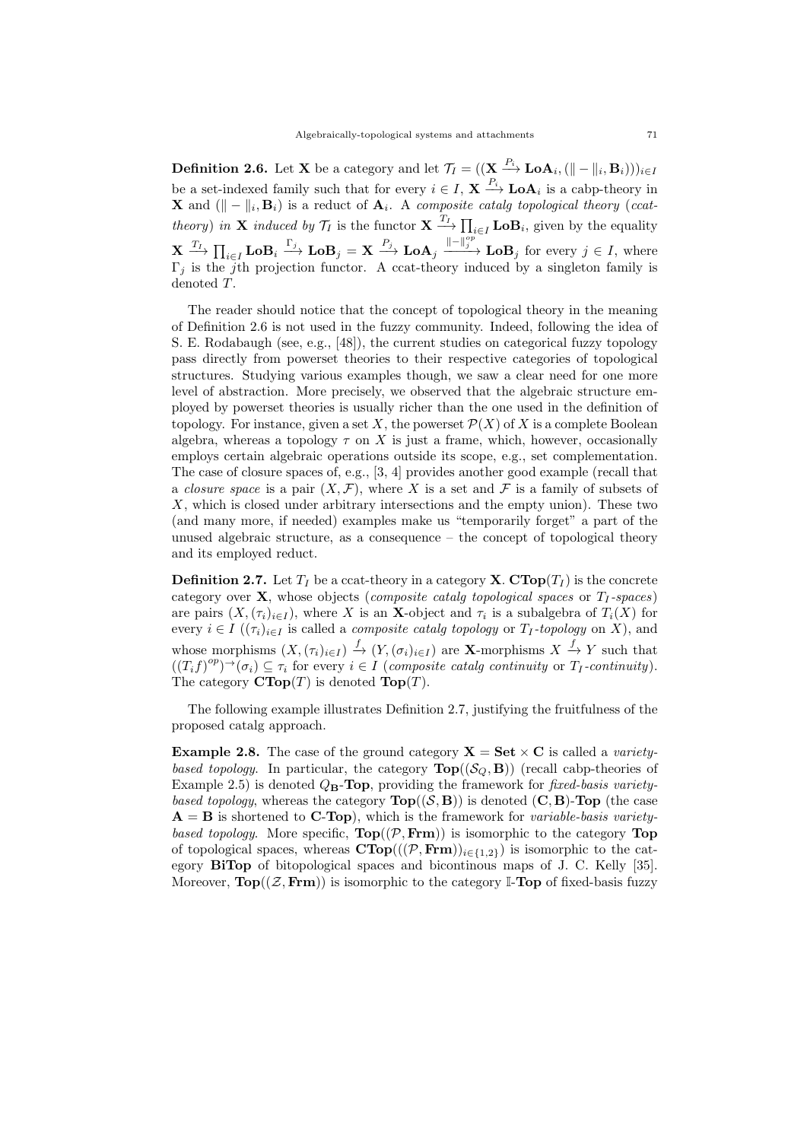**Definition 2.6.** Let **X** be a category and let  $\mathcal{T}_I = ((\mathbf{X} \xrightarrow{P_i} \mathbf{LoA}_i, (\| - \|_i, \mathbf{B}_i)))_{i \in I}$ be a set-indexed family such that for every  $i \in I$ ,  $\mathbf{X} \stackrel{P_i}{\longrightarrow} \mathbf{LoA}_i$  is a cabp-theory in **X** and  $(\Vert - \Vert_i, \mathbf{B}_i)$  is a reduct of  $\mathbf{A}_i$ . A composite catalg topological theory (ccattheory) in **X** induced by  $\mathcal{T}_I$  is the functor  $\mathbf{X} \xrightarrow{T_I} \prod_{i \in I} \mathbf{LoB}_i$ , given by the equality  $\mathbf{X} \xrightarrow{T_I} \prod_{i \in I} \mathbf{LoB}_i \xrightarrow{\Gamma_j} \mathbf{LoB}_j = \mathbf{X} \xrightarrow{P_j} \mathbf{LoA}_j \xrightarrow{\|\cdot\|_j^{op}} \mathbf{LoB}_j$  for every  $j \in I$ , where  $\Gamma_j$  is the j<sup>th</sup> projection functor. A ccat-theory induced by a singleton family is denoted T.

The reader should notice that the concept of topological theory in the meaning of Definition 2.6 is not used in the fuzzy community. Indeed, following the idea of S. E. Rodabaugh (see, e.g., [48]), the current studies on categorical fuzzy topology pass directly from powerset theories to their respective categories of topological structures. Studying various examples though, we saw a clear need for one more level of abstraction. More precisely, we observed that the algebraic structure employed by powerset theories is usually richer than the one used in the definition of topology. For instance, given a set X, the powerset  $\mathcal{P}(X)$  of X is a complete Boolean algebra, whereas a topology  $\tau$  on X is just a frame, which, however, occasionally employs certain algebraic operations outside its scope, e.g., set complementation. The case of closure spaces of, e.g., [3, 4] provides another good example (recall that a *closure space* is a pair  $(X, \mathcal{F})$ , where X is a set and F is a family of subsets of X, which is closed under arbitrary intersections and the empty union). These two (and many more, if needed) examples make us "temporarily forget" a part of the unused algebraic structure, as a consequence – the concept of topological theory and its employed reduct.

**Definition 2.7.** Let  $T_I$  be a ccat-theory in a category **X**.  $\text{CTop}(T_I)$  is the concrete category over  $X$ , whose objects (*composite catalg topological spaces* or  $T_1$ -spaces) are pairs  $(X,(\tau_i)_{i\in I})$ , where X is an X-object and  $\tau_i$  is a subalgebra of  $T_i(X)$  for every  $i \in I$  ( $(\tau_i)_{i \in I}$  is called a *composite catalg topology* or  $T_I$ -topology on X), and whose morphisms  $(X,(\tau_i)_{i\in I}) \stackrel{f}{\to} (Y,(\sigma_i)_{i\in I})$  are **X**-morphisms  $X \stackrel{f}{\to} Y$  such that  $((T_i f)^{op})^{\rightarrow}(\sigma_i) \subseteq \tau_i$  for every  $i \in I$  (composite catalg continuity or  $T_I$ -continuity). The category  $\text{CTop}(T)$  is denoted  $\text{Top}(T)$ .

The following example illustrates Definition 2.7, justifying the fruitfulness of the proposed catalg approach.

**Example 2.8.** The case of the ground category  $X = Set \times C$  is called a *variety*based topology. In particular, the category  $\text{Top}((\mathcal{S}_Q, \mathbf{B}))$  (recall cabp-theories of Example 2.5) is denoted  $Q_{\text{B}}$ -Top, providing the framework for *fixed-basis variety*based topology, whereas the category  $\text{Top}((\mathcal{S}, \mathbf{B}))$  is denoted  $(\mathbf{C}, \mathbf{B})$ -Top (the case  $\mathbf{A} = \mathbf{B}$  is shortened to **C-Top**), which is the framework for *variable-basis variety*based topology. More specific,  $\text{Top}((\mathcal{P}, \text{Frm}))$  is isomorphic to the category  $\text{Top}$ of topological spaces, whereas  $\text{CTop}(((\mathcal{P}, \text{Frm}))_{i \in \{1,2\}})$  is isomorphic to the category BiTop of bitopological spaces and bicontinous maps of J. C. Kelly [35]. Moreover,  $\text{Top}((\mathcal{Z}, \text{Frm}))$  is isomorphic to the category I-Top of fixed-basis fuzzy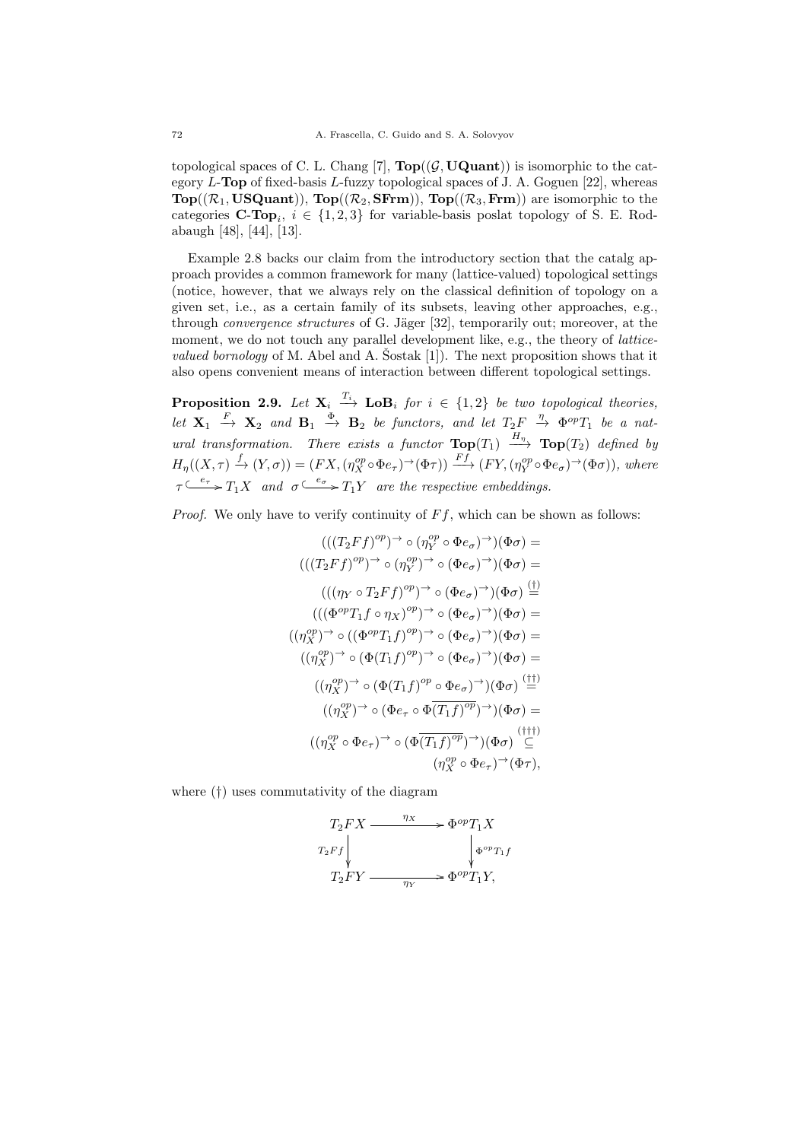topological spaces of C. L. Chang [7],  $\text{Top}((\mathcal{G}, \text{UQuant}))$  is isomorphic to the category  $L$ -Top of fixed-basis  $L$ -fuzzy topological spaces of J. A. Goguen [22], whereas  $Top((\mathcal{R}_1, USQuant)), Top((\mathcal{R}_2, S\text{Frm})), Top((\mathcal{R}_3, Frm))$  are isomorphic to the categories **C-Top**<sub>i</sub>,  $i \in \{1, 2, 3\}$  for variable-basis poslat topology of S. E. Rodabaugh [48], [44], [13].

Example 2.8 backs our claim from the introductory section that the catalg approach provides a common framework for many (lattice-valued) topological settings (notice, however, that we always rely on the classical definition of topology on a given set, i.e., as a certain family of its subsets, leaving other approaches, e.g., through *convergence structures* of G. Jäger [32], temporarily out; moreover, at the moment, we do not touch any parallel development like, e.g., the theory of *latticevalued bornology* of M. Abel and A. Sostak [1]). The next proposition shows that it also opens convenient means of interaction between different topological settings.

**Proposition 2.9.** Let  $X_i \stackrel{T_i}{\longrightarrow} \textbf{LoB}_i$  for  $i \in \{1,2\}$  be two topological theories, Let  $X_1 \stackrel{F}{\longrightarrow} X_2$  and  $B_1 \stackrel{\Phi}{\longrightarrow} B_2$  be functors, and let  $T_2F \stackrel{\eta}{\rightarrow} \Phi^{op}T_1$  be a natural transformation. There exists a functor  $\textbf{Top}(T_1) \stackrel{H_n}{\longrightarrow} \textbf{Top}(T_2)$  defined by  $H_{\eta}((X,\tau) \xrightarrow{f} (Y,\sigma)) = (FX,(\eta_X^{op} \circ \Phi e_{\tau})^{\to}(\Phi \tau)) \xrightarrow{Ff} (FY,(\eta_Y^{op} \circ \Phi e_{\sigma})^{\to}(\Phi \sigma)),$  where  $\tau \xrightarrow{e_{\tau}} T_1 X$  and  $\sigma \xrightarrow{e_{\sigma}} T_1 Y$  are the respective embeddings.

*Proof.* We only have to verify continuity of  $Ff$ , which can be shown as follows:

$$
(((T_2Ff)^{op})^{\rightarrow} \circ (\eta_Y^{op} \circ \Phi e_{\sigma})^{\rightarrow})(\Phi \sigma) =
$$
  

$$
(((T_2Ff)^{op})^{\rightarrow} \circ (\eta_Y^{op})^{\rightarrow} \circ (\Phi e_{\sigma})^{\rightarrow})(\Phi \sigma) =
$$
  

$$
(((\eta_Y \circ T_2Ff)^{op})^{\rightarrow} \circ (\Phi e_{\sigma})^{\rightarrow})(\Phi \sigma) \stackrel{(1)}{=}
$$
  

$$
(((\Phi^{op}T_1f \circ \eta_X)^{op})^{\rightarrow} \circ (\Phi e_{\sigma})^{\rightarrow})(\Phi \sigma) =
$$
  

$$
((\eta_X^{op})^{\rightarrow} \circ ((\Phi^{op}T_1f)^{op})^{\rightarrow} \circ (\Phi e_{\sigma})^{\rightarrow})(\Phi \sigma) =
$$
  

$$
((\eta_X^{op})^{\rightarrow} \circ (\Phi (T_1f)^{op})^{\rightarrow} \circ (\Phi e_{\sigma})^{\rightarrow})(\Phi \sigma) =
$$
  

$$
((\eta_X^{op})^{\rightarrow} \circ (\Phi (T_1f)^{op} \circ \Phi e_{\sigma})^{\rightarrow})(\Phi \sigma) \stackrel{(11)}{=}
$$
  

$$
((\eta_X^{op})^{\rightarrow} \circ (\Phi e_{\tau} \circ \Phi \overline{(T_1f)^{op}})^{\rightarrow})(\Phi \sigma) =
$$
  

$$
((\eta_X^{op} \circ \Phi e_{\tau})^{\rightarrow} \circ (\Phi \overline{(T_1f)^{op}})^{\rightarrow})(\Phi \sigma) \stackrel{(111)}{=}
$$
  

$$
((\eta_X^{op} \circ \Phi e_{\tau})^{\rightarrow} (\Phi \overline{T_1f})^{\rightarrow} + \Phi e_{\sigma})^{\rightarrow} + \Phi e_{\sigma}
$$

where (†) uses commutativity of the diagram

$$
T_2FX \xrightarrow{\eta_X} \Phi^{op}T_1X
$$
  
\n
$$
T_2Ff \downarrow \qquad \qquad \downarrow \Phi^{op}T_1f
$$
  
\n
$$
T_2FY \xrightarrow{\eta_Y} \Phi^{op}T_1Y,
$$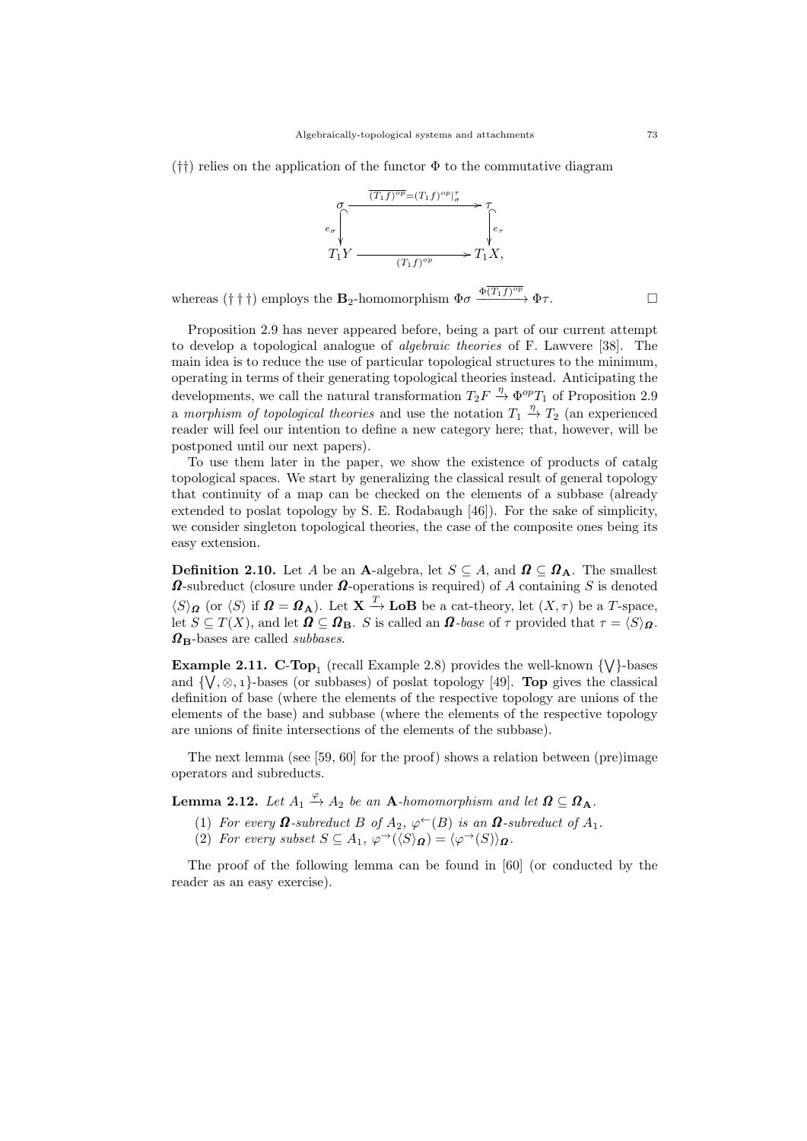$(\dagger\dagger)$  relies on the application of the functor  $\Phi$  to the commutative diagram



whereas († † †) employs the **B**<sub>2</sub>-homomorphism  $\Phi \sigma \xrightarrow{\Phi(T_1 f)^{op}} \Phi \tau$ .

Proposition 2.9 has never appeared before, being a part of our current attempt to develop a topological analogue of algebraic theories of F. Lawvere [38]. The main idea is to reduce the use of particular topological structures to the minimum, operating in terms of their generating topological theories instead. Anticipating the developments, we call the natural transformation  $T_2F \stackrel{\eta}{\rightarrow} \Phi^{op}T_1$  of Proposition 2.9 a morphism of topological theories and use the notation  $T_1 \stackrel{\eta}{\rightarrow} T_2$  (an experienced reader will feel our intention to define a new category here; that, however, will be postponed until our next papers).

To use them later in the paper, we show the existence of products of catalg topological spaces. We start by generalizing the classical result of general topology that continuity of a map can be checked on the elements of a subbase (already extended to poslat topology by S. E. Rodabaugh [46]). For the sake of simplicity, we consider singleton topological theories, the case of the composite ones being its easy extension.

**Definition 2.10.** Let A be an A-algebra, let  $S \subseteq A$ , and  $\Omega \subseteq \Omega_A$ . The smallest  $\Omega$ -subreduct (closure under  $\Omega$ -operations is required) of A containing S is denoted  $\langle S \rangle_{\mathbf{\Omega}}$  (or  $\langle S \rangle$  if  $\mathbf{\Omega} = \mathbf{\Omega}_{\mathbf{A}}$ ). Let  $\mathbf{X} \stackrel{T}{\rightarrow} \mathbf{LoB}$  be a cat-theory, let  $(X, \tau)$  be a T-space, let  $S \subseteq T(X)$ , and let  $\mathbf{\Omega} \subseteq \mathbf{\Omega}_B$ . S is called an  $\mathbf{\Omega}$ -base of  $\tau$  provided that  $\tau = \langle S \rangle_{\mathbf{\Omega}}$ .  $\Omega_{\rm B}$ -bases are called *subbases*.

**Example 2.11. C-Top**<sub>1</sub> (recall Example 2.8) provides the well-known  $\{\forall\}$ -bases and  $\{\vee, \otimes, 1\}$ -bases (or subbases) of poslat topology [49]. **Top** gives the classical definition of base (where the elements of the respective topology are unions of the elements of the base) and subbase (where the elements of the respective topology are unions of finite intersections of the elements of the subbase).

The next lemma (see [59, 60] for the proof) shows a relation between (pre)image operators and subreducts.

**Lemma 2.12.** Let  $A_1 \stackrel{\varphi}{\rightarrow} A_2$  be an **A**-homomorphism and let  $\Omega \subseteq \Omega_A$ .

- (1) For every  $\Omega$ -subreduct B of  $A_2$ ,  $\varphi^{\leftarrow}(B)$  is an  $\Omega$ -subreduct of  $A_1$ .
- (2) For every subset  $S \subseteq A_1$ ,  $\varphi^{\rightarrow}(\langle S \rangle_{\Omega}) = \langle \varphi^{\rightarrow}(S) \rangle_{\Omega}$ .

The proof of the following lemma can be found in [60] (or conducted by the reader as an easy exercise).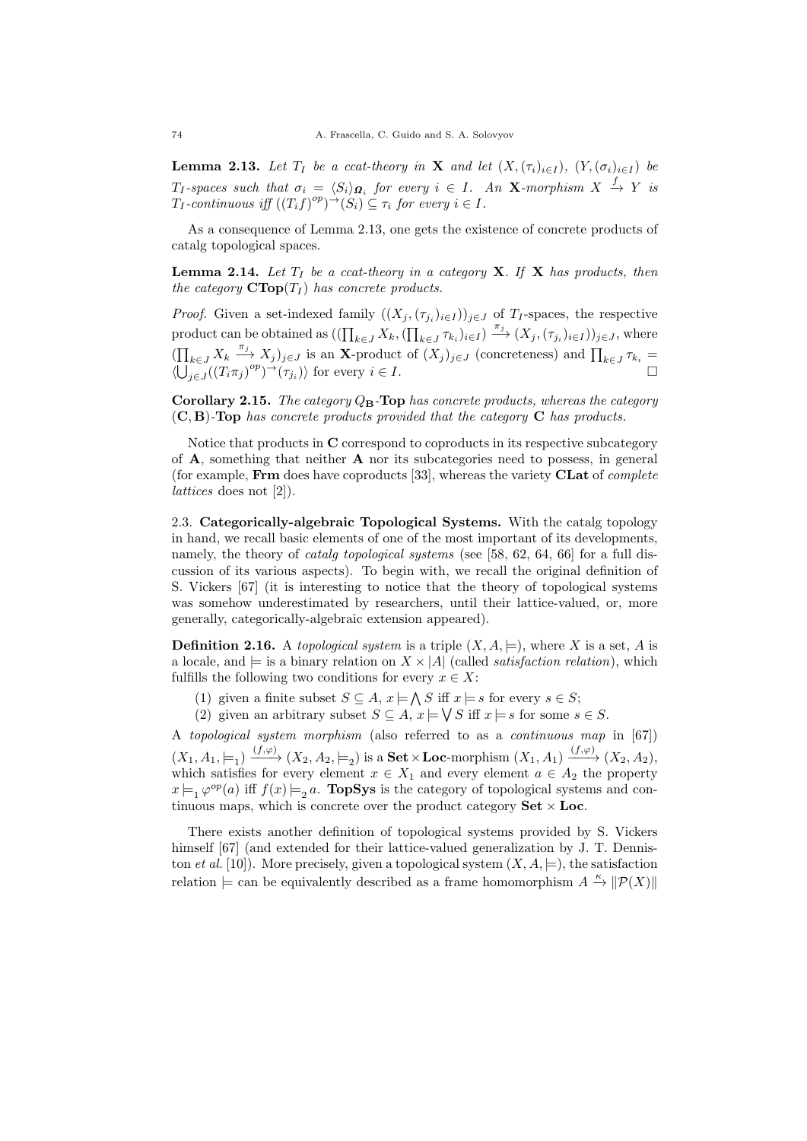**Lemma 2.13.** Let  $T_I$  be a ccat-theory in **X** and let  $(X, (\tau_i)_{i \in I})$ ,  $(Y, (\sigma_i)_{i \in I})$  be  $T_I$ -spaces such that  $\sigma_i = \langle S_i \rangle_{\mathbf{\Omega}_i}$  for every  $i \in I$ . An X-morphism  $X \stackrel{f}{\to} Y$  is  $T_I$ -continuous iff  $((T_i f)^{op})^{\rightarrow}(S_i) \subseteq \tau_i$  for every  $i \in I$ .

As a consequence of Lemma 2.13, one gets the existence of concrete products of catalg topological spaces.

**Lemma 2.14.** Let  $T_I$  be a ccat-theory in a category **X**. If **X** has products, then the category  $\text{CTop}(T_I)$  has concrete products.

*Proof.* Given a set-indexed family  $((X_j, (\tau_{j_i})_{i \in I}))_{j \in J}$  of  $T_I$ -spaces, the respective product can be obtained as  $((\prod_{k\in J} X_k, (\prod_{k\in J} \tau_{k_i})_{i\in I}) \xrightarrow{\pi_j} (X_j, (\tau_{j_i})_{i\in I}))_{j\in J}$ , where  $(\prod_{k\in J} X_k \xrightarrow{\pi_j} X_j)_{j\in J}$  is an X-product of  $(X_j)_{j\in J}$  (concreteness) and  $\prod_{k\in J} \tau_{k_i} =$  $\langle \bigcup_{j\in J} ((T_i \pi_j)^{op})^{\rightarrow} (\tau_{j_i}) \rangle$  for every  $i \in I$ .

Corollary 2.15. The category  $Q_B$ -Top has concrete products, whereas the category  $(C, B)$ -Top has concrete products provided that the category C has products.

Notice that products in C correspond to coproducts in its respective subcategory of  $\bf{A}$ , something that neither  $\bf{A}$  nor its subcategories need to possess, in general (for example, Frm does have coproducts [33], whereas the variety CLat of complete lattices does not [2]).

2.3. Categorically-algebraic Topological Systems. With the catalg topology in hand, we recall basic elements of one of the most important of its developments, namely, the theory of *catalg topological systems* (see [58, 62, 64, 66] for a full discussion of its various aspects). To begin with, we recall the original definition of S. Vickers [67] (it is interesting to notice that the theory of topological systems was somehow underestimated by researchers, until their lattice-valued, or, more generally, categorically-algebraic extension appeared).

**Definition 2.16.** A topological system is a triple  $(X, A, \models)$ , where X is a set, A is a locale, and  $\models$  is a binary relation on  $X \times |A|$  (called *satisfaction relation*), which fulfills the following two conditions for every  $x \in X$ :

- (1) given a finite subset  $S \subseteq A$ ,  $x \models \bigwedge S$  iff  $x \models s$  for every  $s \in S$ ;
- (2) given an arbitrary subset  $S \subseteq A$ ,  $x \models \bigvee S$  iff  $x \models s$  for some  $s \in S$ .

A topological system morphism (also referred to as a continuous map in [67])  $(X_1, A_1, \models_1) \xrightarrow{(f, \varphi)} (X_2, A_2, \models_2)$  is a **Set**  $\times$  **Loc**-morphism  $(X_1, A_1) \xrightarrow{(f, \varphi)} (X_2, A_2)$ , which satisfies for every element  $x \in X_1$  and every element  $a \in A_2$  the property  $x \models_1 \varphi^{op}(a)$  iff  $f(x) \models_2 a$ . TopSys is the category of topological systems and continuous maps, which is concrete over the product category  $\textbf{Set} \times \textbf{Loc}$ .

There exists another definition of topological systems provided by S. Vickers himself [67] (and extended for their lattice-valued generalization by J. T. Denniston et al. [10]). More precisely, given a topological system  $(X, A, \models)$ , the satisfaction relation  $\models$  can be equivalently described as a frame homomorphism  $A \stackrel{\kappa}{\to} ||\mathcal{P}(X)||$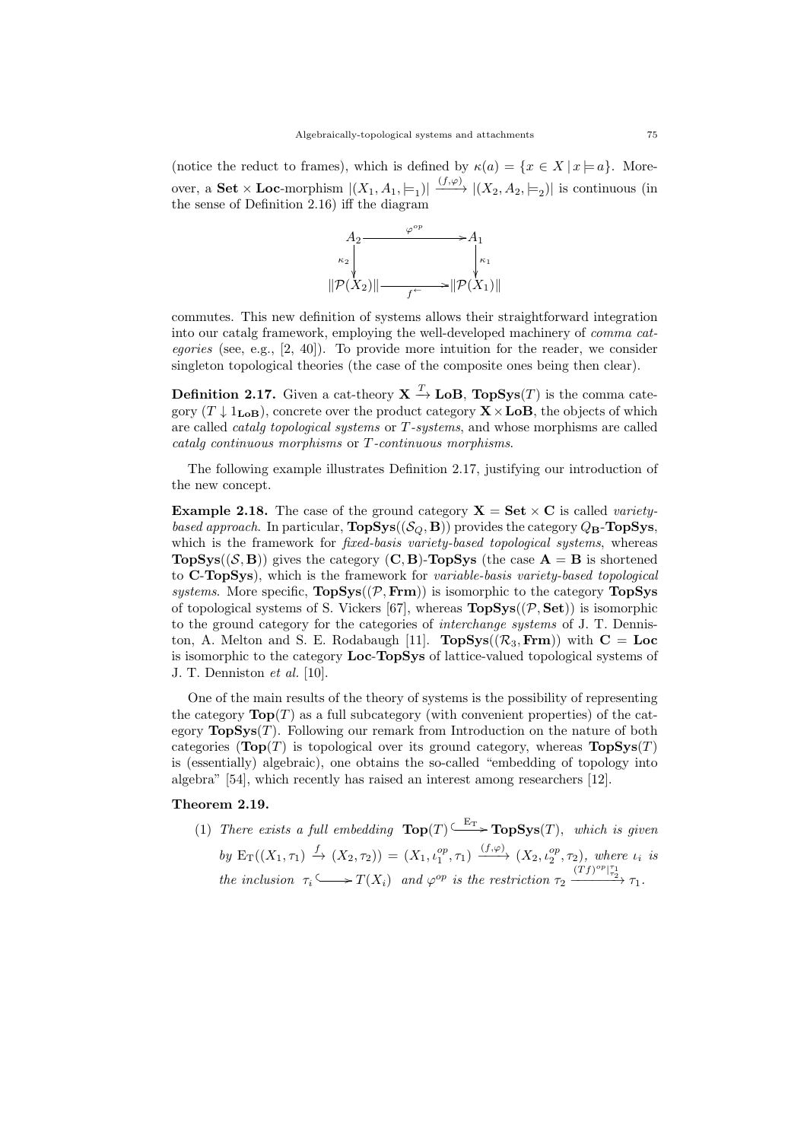(notice the reduct to frames), which is defined by  $\kappa(a) = \{x \in X \mid x \models a\}$ . Moreover, a **Set**  $\times$  **Loc**-morphism  $|(X_1, A_1, \models_1)| \xrightarrow{(f,\varphi)} |(X_2, A_2, \models_2)|$  is continuous (in the sense of Definition 2.16) iff the diagram



commutes. This new definition of systems allows their straightforward integration into our catalg framework, employing the well-developed machinery of comma categories (see, e.g.,  $[2, 40]$ ). To provide more intuition for the reader, we consider singleton topological theories (the case of the composite ones being then clear).

**Definition 2.17.** Given a cat-theory  $X \xrightarrow{T} \mathbf{LoB}$ ,  $\mathbf{TopSys}(T)$  is the comma category  $(T \downarrow 1_{\text{LoB}})$ , concrete over the product category  $X \times$ LoB, the objects of which are called catalg topological systems or T-systems, and whose morphisms are called catalg continuous morphisms or T-continuous morphisms.

The following example illustrates Definition 2.17, justifying our introduction of the new concept.

**Example 2.18.** The case of the ground category  $X = Set \times C$  is called varietybased approach. In particular,  $\text{TopSys}((\mathcal{S}_{\mathcal{O}}, \mathbf{B}))$  provides the category  $Q_{\mathbf{B}}$ - $\text{TopSys}$ , which is the framework for *fixed-basis variety-based topological systems*, whereas **TopSys**( $(S, B)$ ) gives the category (**C**, **B**)-**TopSys** (the case  $A = B$  is shortened to C-TopSys), which is the framework for variable-basis variety-based topological systems. More specific,  $TopSys((P, Frm))$  is isomorphic to the category TopSys of topological systems of S. Vickers [67], whereas  $\text{TopSys}((\mathcal{P}, \text{Set})$  is isomorphic to the ground category for the categories of interchange systems of J. T. Denniston, A. Melton and S. E. Rodabaugh [11].  $\text{TopSys}((\mathcal{R}_3, \text{Frm}))$  with  $\text{C} = \text{Loc}$ is isomorphic to the category Loc-TopSys of lattice-valued topological systems of J. T. Denniston et al. [10].

One of the main results of the theory of systems is the possibility of representing the category  $\text{Top}(T)$  as a full subcategory (with convenient properties) of the category  $\text{TopSys}(T)$ . Following our remark from Introduction on the nature of both categories ( $\text{Top}(T)$ ) is topological over its ground category, whereas  $\text{TopSys}(T)$ is (essentially) algebraic), one obtains the so-called "embedding of topology into algebra" [54], which recently has raised an interest among researchers [12].

# Theorem 2.19.

(1) There exists a full embedding  $\text{Top}(T) \xrightarrow{E_T} \text{TopSys}(T)$ , which is given by  $E_T((X_1, \tau_1) \stackrel{f}{\rightarrow} (X_2, \tau_2)) = (X_1, \iota_1^{op}, \tau_1) \stackrel{(f,\varphi)}{\longrightarrow} (X_2, \iota_2^{op}, \tau_2),$  where  $\iota_i$  is the inclusion  $\tau_i \longrightarrow T(X_i)$  and  $\varphi^{op}$  is the restriction  $\tau_2 \xrightarrow{(Tf)^{op}[\tau_2]} \tau_1$ .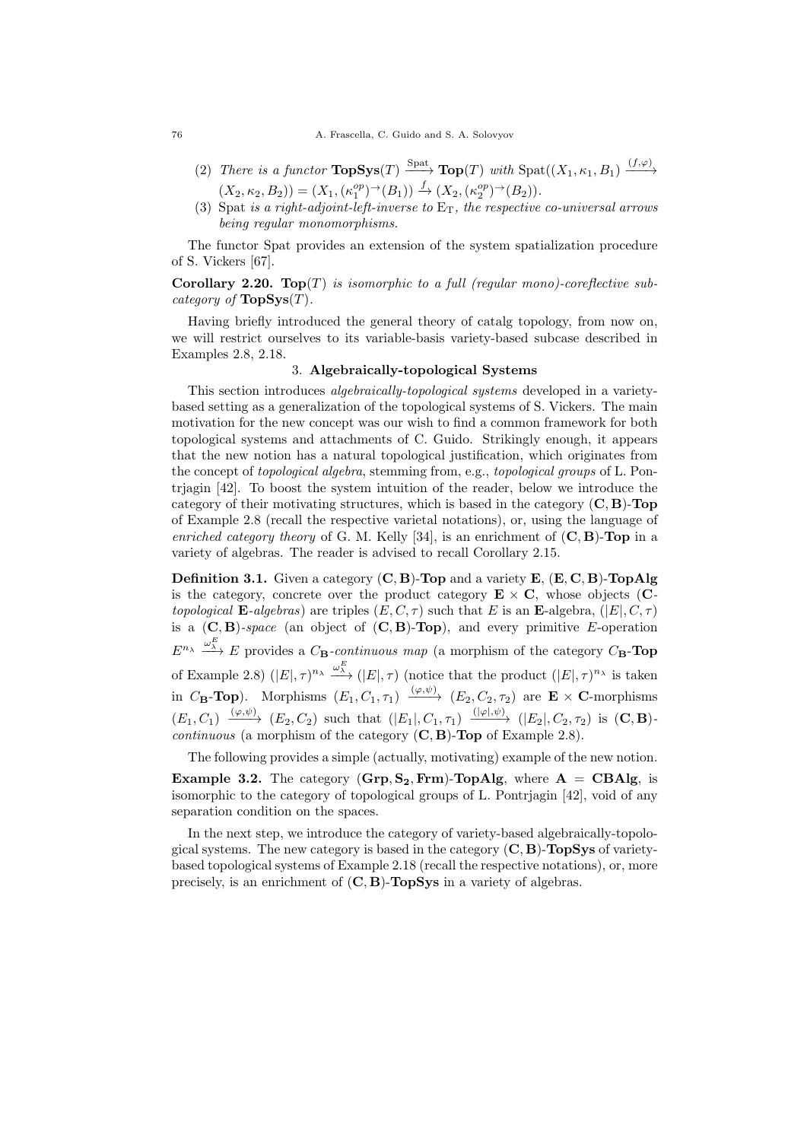- (2) There is a functor  $\text{TopSys}(T) \xrightarrow{\text{Spat}} \text{Top}(T)$  with  $\text{Spat}((X_1, \kappa_1, B_1) \xrightarrow{(f, \varphi)}$  $(X_2, \kappa_2, B_2) = (X_1, (\kappa_1^{op})^{\to}(B_1)) \xrightarrow{f} (X_2, (\kappa_2^{op})^{\to}(B_2)).$
- (3) Spat is a right-adjoint-left-inverse to  $E_T$ , the respective co-universal arrows being regular monomorphisms.

The functor Spat provides an extension of the system spatialization procedure of S. Vickers [67].

**Corollary 2.20.** Top(T) is isomorphic to a full (regular mono)-coreflective subcategory of  $\textbf{TopSys}(T)$ .

Having briefly introduced the general theory of catalg topology, from now on, we will restrict ourselves to its variable-basis variety-based subcase described in Examples 2.8, 2.18.

## 3. Algebraically-topological Systems

This section introduces algebraically-topological systems developed in a varietybased setting as a generalization of the topological systems of S. Vickers. The main motivation for the new concept was our wish to find a common framework for both topological systems and attachments of C. Guido. Strikingly enough, it appears that the new notion has a natural topological justification, which originates from the concept of topological algebra, stemming from, e.g., topological groups of L. Pontrjagin [42]. To boost the system intuition of the reader, below we introduce the category of their motivating structures, which is based in the category  $(C, B)$ -Top of Example 2.8 (recall the respective varietal notations), or, using the language of enriched category theory of G. M. Kelly [34], is an enrichment of  $(C, B)$ -Top in a variety of algebras. The reader is advised to recall Corollary 2.15.

**Definition 3.1.** Given a category  $(C, B)$ -Top and a variety  $E$ ,  $(E, C, B)$ -TopAlg is the category, concrete over the product category  $E \times C$ , whose objects (Ctopological **E**-algebras) are triples  $(E, C, \tau)$  such that E is an **E**-algebra,  $(|E|, C, \tau)$ is a  $(C, B)$ -space (an object of  $(C, B)$ -Top), and every primitive E-operation  $E^{n_{\lambda}} \xrightarrow{\omega_{\lambda}^{E}} E$  provides a  $C_{\mathbf{B}}$ -continuous map (a morphism of the category  $C_{\mathbf{B}}$ -**Top** of Example 2.8)  $(|E|, \tau)^{n_{\lambda}} \xrightarrow{\omega_{\lambda}^{E}} (|E|, \tau)$  (notice that the product  $(|E|, \tau)^{n_{\lambda}}$  is taken in  $C_{\mathbf{B}}\text{-}\mathbf{Top}$ ). Morphisms  $(E_1, C_1, \tau_1) \xrightarrow{(\varphi, \psi)} (E_2, C_2, \tau_2)$  are  $\mathbf{E} \times \mathbf{C}$ -morphisms  $(E_1, C_1) \xrightarrow{(\varphi, \psi)} (E_2, C_2)$  such that  $(|E_1|, C_1, \tau_1) \xrightarrow{(|\varphi|, \psi)} (|E_2|, C_2, \tau_2)$  is  $(C, \mathbf{B})$ *continuous* (a morphism of the category  $(C, B)$ -Top of Example 2.8).

The following provides a simple (actually, motivating) example of the new notion. **Example 3.2.** The category  $(Grp, S_2, Frm)$ -TopAlg, where  $A = CBAlg$ , is isomorphic to the category of topological groups of L. Pontrjagin [42], void of any separation condition on the spaces.

In the next step, we introduce the category of variety-based algebraically-topological systems. The new category is based in the category  $(C, B)$ -TopSys of varietybased topological systems of Example 2.18 (recall the respective notations), or, more precisely, is an enrichment of  $(C, B)$ -TopSys in a variety of algebras.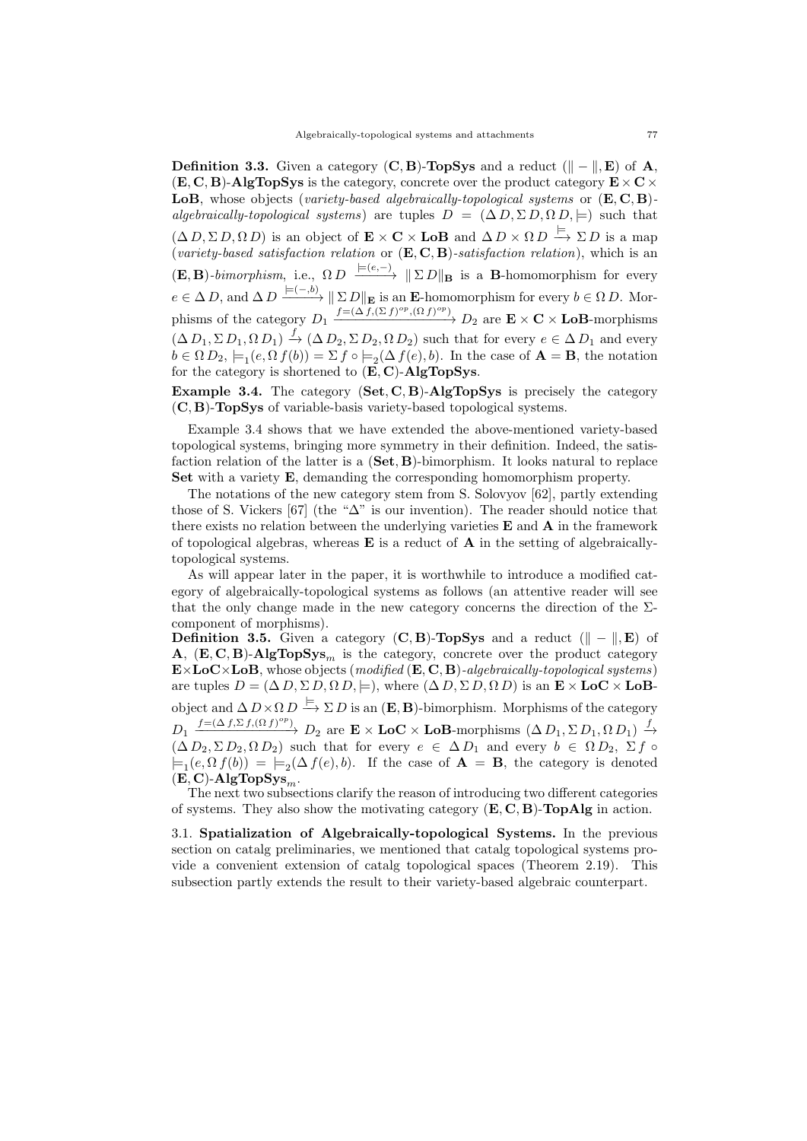**Definition 3.3.** Given a category  $(C, B)$ -**TopSys** and a reduct  $(\Vert - \Vert, E)$  of A,  $(E, C, B)$ -AlgTopSys is the category, concrete over the product category  $E \times C \times$ LoB, whose objects (variety-based algebraically-topological systems or  $(E, C, B)$ ) algebraically-topological systems) are tuples  $D = (\Delta D, \Sigma D, \Omega D, \models)$  such that  $(\Delta D, \Sigma D, \Omega D)$  is an object of  $\mathbf{E} \times \mathbf{C} \times \mathbf{LoB}$  and  $\Delta D \times \Omega D \xrightarrow{\models} \Sigma D$  is a map (variety-based satisfaction relation or  $(E, C, B)$ -satisfaction relation), which is an  $(\mathbf{E}, \mathbf{B})$ -bimorphism, i.e.,  $\Omega D \xrightarrow{\models (e, -)} \|\Sigma D\|_{\mathbf{B}}$  is a **B**-homomorphism for every  $e \in \Delta D$ , and  $\Delta D \xrightarrow{\models (-,b)} \|\Sigma D\|_{\mathbf{E}}$  is an **E**-homomorphism for every  $b \in \Omega D$ . Morphisms of the category  $D_1 \xrightarrow{f = (\Delta f, (\Sigma f)^{op}, (\Omega f)^{op})} D_2$  are  $\mathbf{E} \times \mathbf{C} \times \mathbf{LoB}$ -morphisms  $(\Delta D_1, \Sigma D_1, \Omega D_1) \stackrel{f}{\rightarrow} (\Delta D_2, \Sigma D_2, \Omega D_2)$  such that for every  $e \in \Delta D_1$  and every  $b \in \Omega D_2$ ,  $\models_1 (e, \Omega f(b)) = \Sigma f \circ \models_2(\Delta f(e), b)$ . In the case of  $\mathbf{A} = \mathbf{B}$ , the notation for the category is shortened to  $(E, C)$ -AlgTopSys.

**Example 3.4.** The category  $(Set, C, B)$ -AlgTopSys is precisely the category (C, B)-TopSys of variable-basis variety-based topological systems.

Example 3.4 shows that we have extended the above-mentioned variety-based topological systems, bringing more symmetry in their definition. Indeed, the satisfaction relation of the latter is a  $(Set, B)$ -bimorphism. It looks natural to replace Set with a variety E, demanding the corresponding homomorphism property.

The notations of the new category stem from S. Solovyov [62], partly extending those of S. Vickers [67] (the " $\Delta$ " is our invention). The reader should notice that there exists no relation between the underlying varieties  $E$  and  $A$  in the framework of topological algebras, whereas  $E$  is a reduct of  $A$  in the setting of algebraicallytopological systems.

As will appear later in the paper, it is worthwhile to introduce a modified category of algebraically-topological systems as follows (an attentive reader will see that the only change made in the new category concerns the direction of the  $\Sigma$ component of morphisms).

Definition 3.5. Given a category  $(C, B)$ -TopSys and a reduct  $(\Vert - \Vert, E)$  of A,  $(E, C, B)$ -AlgTopSys<sub>m</sub> is the category, concrete over the product category  $\mathbf{E}\times\mathbf{LoC}\times\mathbf{LoB}$ , whose objects (modified  $(\mathbf{E},\mathbf{C},\mathbf{B})$ -algebraically-topological systems) are tuples  $D = (\Delta D, \Sigma D, \Omega D, \models)$ , where  $(\Delta D, \Sigma D, \Omega D)$  is an  $\mathbf{E} \times \mathbf{LoC} \times \mathbf{LoB}$ object and  $\Delta D \times \Omega D \stackrel{\models}{\longrightarrow} \Sigma D$  is an  $(\mathbf{E}, \mathbf{B})$ -bimorphism. Morphisms of the category  $D_1 \xrightarrow{f=(\Delta f, \Sigma f, (\Omega f)^{op})} D_2$  are  $\mathbf{E} \times \mathbf{Loc} \times \mathbf{LoB}$ -morphisms  $( \Delta D_1, \Sigma D_1, \Omega D_1) \xrightarrow{f} D_2$  $(\Delta D_2, \Sigma D_2, \Omega D_2)$  such that for every  $e \in \Delta D_1$  and every  $b \in \Omega D_2$ ,  $\Sigma f \circ$  $\models_1(e, \Omega f(b)) = \models_2(\Delta f(e), b)$ . If the case of  $\mathbf{A} = \mathbf{B}$ , the category is denoted  $(E, C)$ -AlgTopSys<sub>m</sub>.

The next two subsections clarify the reason of introducing two different categories of systems. They also show the motivating category  $(E, C, B)$ -**TopAlg** in action.

3.1. Spatialization of Algebraically-topological Systems. In the previous section on catalg preliminaries, we mentioned that catalg topological systems provide a convenient extension of catalg topological spaces (Theorem 2.19). This subsection partly extends the result to their variety-based algebraic counterpart.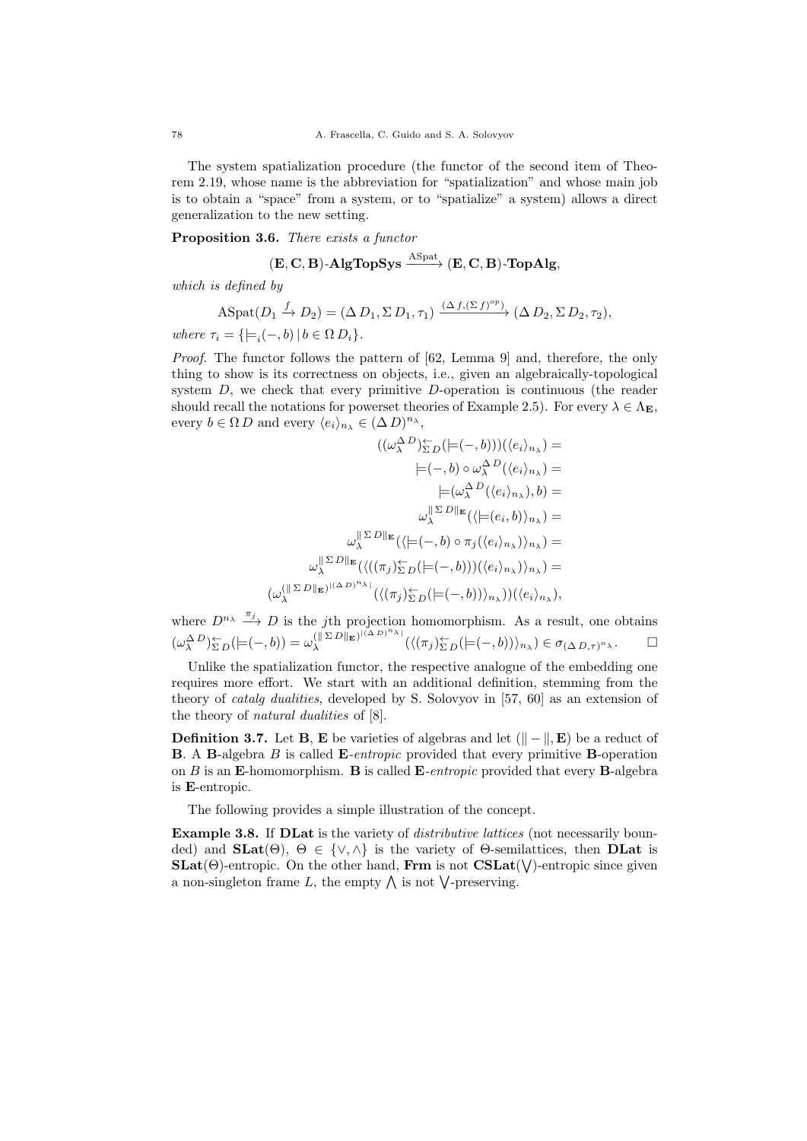The system spatialization procedure (the functor of the second item of Theorem 2.19, whose name is the abbreviation for "spatialization" and whose main job is to obtain a "space" from a system, or to "spatialize" a system) allows a direct generalization to the new setting.

## Proposition 3.6. There exists a functor

$$
(\mathbf{E}, \mathbf{C}, \mathbf{B})\text{-}\mathbf{AlgTopSys} \xrightarrow{\mathrm{ASpat}} (\mathbf{E}, \mathbf{C}, \mathbf{B})\text{-}\mathbf{TopAlg},
$$

which is defined by

$$
\mathrm{ASpat}(D_1 \xrightarrow{f} D_2) = (\Delta D_1, \Sigma D_1, \tau_1) \xrightarrow{(\Delta f, (\Sigma f)^{op})} (\Delta D_2, \Sigma D_2, \tau_2),
$$

where  $\tau_i = \{ \models_i(-, b) \mid b \in \Omega D_i \}.$ 

Proof. The functor follows the pattern of [62, Lemma 9] and, therefore, the only thing to show is its correctness on objects, i.e., given an algebraically-topological system D, we check that every primitive D-operation is continuous (the reader should recall the notations for powerset theories of Example 2.5). For every  $\lambda \in \Lambda_{\mathbf{E}}$ , every  $b \in \Omega D$  and every  $\langle e_i \rangle_{n_\lambda} \in (\Delta D)^{n_\lambda}$ ,

$$
((\omega_{\lambda}^{\Delta}D)^{\leftarrow}_{\Sigma D}(\models(-,b)))(\langle e_{i}\rangle_{n_{\lambda}}) =
$$

$$
|=(-,b)\circ\omega_{\lambda}^{\Delta}D(\langle e_{i}\rangle_{n_{\lambda}}) =
$$

$$
|(-,b)\circ\omega_{\lambda}^{\Delta}D(\langle e_{i}\rangle_{n_{\lambda}}),b) =
$$

$$
\omega_{\lambda}^{||\Sigma D||_{\mathbf{E}}}(\langle |(-(e_{i},b)\rangle_{n_{\lambda}}) =
$$

$$
\omega_{\lambda}^{||\Sigma D||_{\mathbf{E}}}(\langle |(-,b)\circ\pi_{j}(\langle e_{i}\rangle_{n_{\lambda}})\rangle_{n_{\lambda}}) =
$$

$$
\omega_{\lambda}^{||\Sigma D||_{\mathbf{E}}}(\langle ((\pi_{j})_{\Sigma D}^{\leftarrow}([-,-,b)))(\langle e_{i}\rangle_{n_{\lambda}})\rangle_{n_{\lambda}}) =
$$

$$
(\omega_{\lambda}^{(||\Sigma D||_{\mathbf{E}})^{[(\Delta D)^{n_{\lambda}}]}(\langle (\pi_{j})_{\Sigma D}^{\leftarrow}([-,-,b))\rangle_{n_{\lambda}}))(\langle e_{i}\rangle_{n_{\lambda}}),
$$

where  $D^{n_{\lambda}} \xrightarrow{\pi_j} D$  is the jth projection homomorphism. As a result, one obtains  $(\omega_\lambda^{\Delta D})_{\Sigma D}^{\leftarrow} (=\!\!\!\!\![-(-,b)) = \omega_\lambda^{(\parallel \Sigma D \parallel_{\mathbf{E}})^{(\Delta D)^n \lambda}}$  $\mathcal{L}_{\lambda}^{(\parallel \Sigma D \parallel_{\mathbf{E}})^{(\perp \Delta D)^{-\lambda_1}}(\langle (\pi_j)_{\Sigma D}^{\leftarrow} ( \models (-, b)) \rangle_{n_{\lambda}}) \in \sigma_{(\Delta D, \tau)^{n_{\lambda}}}$ .

Unlike the spatialization functor, the respective analogue of the embedding one requires more effort. We start with an additional definition, stemming from the theory of catalg dualities, developed by S. Solovyov in [57, 60] as an extension of the theory of natural dualities of [8].

**Definition 3.7.** Let **B**, **E** be varieties of algebras and let  $(\Vert - \Vert, \mathbf{E})$  be a reduct of B. A B-algebra B is called E-entropic provided that every primitive B-operation on  $B$  is an E-homomorphism. B is called E-entropic provided that every B-algebra is E-entropic.

The following provides a simple illustration of the concept.

Example 3.8. If DLat is the variety of *distributive lattices* (not necessarily bounded) and  $\text{SLat}(\Theta)$ ,  $\Theta \in \{ \vee, \wedge \}$  is the variety of  $\Theta$ -semilattices, then **DLat** is  $\textbf{SLat}(\Theta)$ -entropic. On the other hand, Frm is not  $\textbf{CSLat}(\textsf{V})$ -entropic since given a non-singleton frame L, the empty  $\bigwedge$  is not  $\bigvee$ -preserving.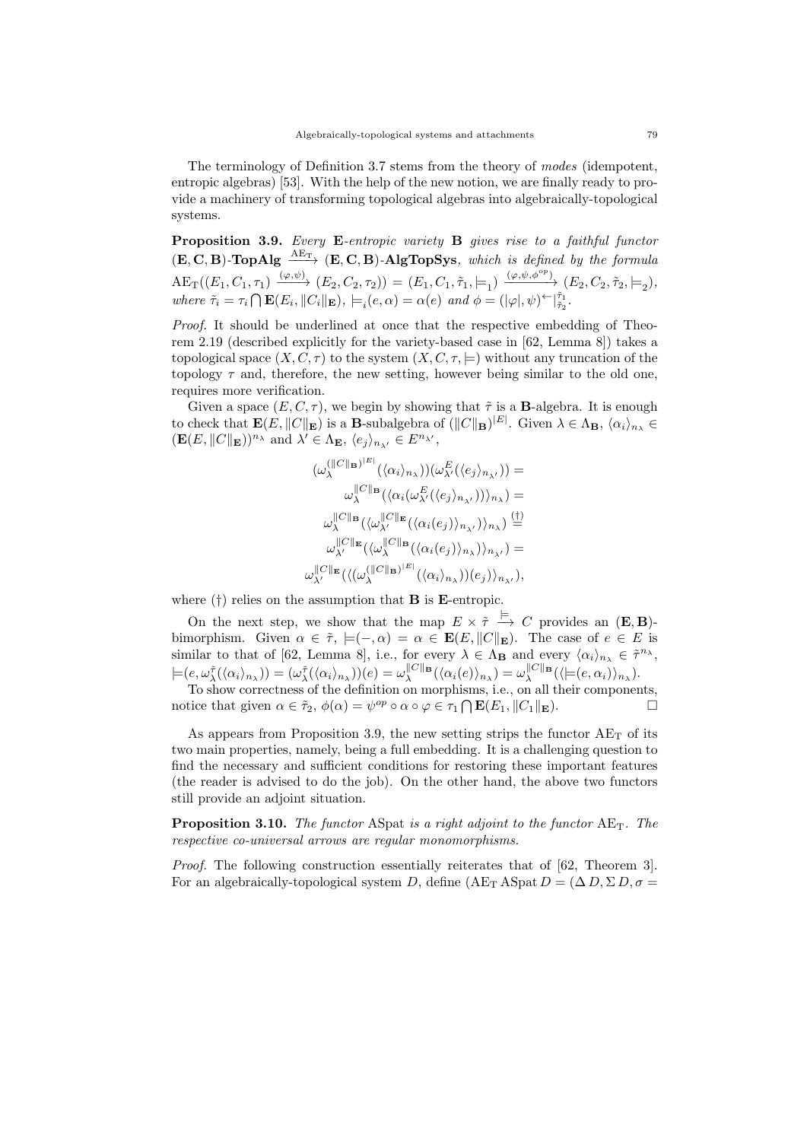The terminology of Definition 3.7 stems from the theory of modes (idempotent, entropic algebras) [53]. With the help of the new notion, we are finally ready to provide a machinery of transforming topological algebras into algebraically-topological systems.

Proposition 3.9. Every E-entropic variety B gives rise to a faithful functor  $(E, C, B)$ -TopAlg  $\xrightarrow{\text{AE}_{T}} (E, C, B)$ -AlgTopSys, which is defined by the formula  $\text{AE}_\text{T}((E_1, C_1, \tau_1) \xrightarrow{(\varphi, \psi)} (E_2, C_2, \tau_2)) = (E_1, C_1, \tilde{\tau}_1, \models_1) \xrightarrow{(\varphi, \psi, \phi^{op})} (E_2, C_2, \tilde{\tau}_2, \models_2),$ where  $\tilde{\tau}_i = \tau_i \cap \mathbf{E}(E_i, ||C_i||_{\mathbf{E}}), \models_i (e, \alpha) = \alpha(e) \text{ and } \phi = (|\varphi|, \psi) \in [\tilde{\tau}_1, \tilde{\tau}_2].$ 

Proof. It should be underlined at once that the respective embedding of Theorem 2.19 (described explicitly for the variety-based case in [62, Lemma 8]) takes a topological space  $(X, C, \tau)$  to the system  $(X, C, \tau)$  without any truncation of the topology  $\tau$  and, therefore, the new setting, however being similar to the old one, requires more verification.

Given a space  $(E, C, \tau)$ , we begin by showing that  $\tilde{\tau}$  is a **B**-algebra. It is enough to check that  $\mathbf{E}(E, ||C||_{\mathbf{E}})$  is a **B**-subalgebra of  $(||C||_{\mathbf{B}})^{|E|}$ . Given  $\lambda \in \Lambda_{\mathbf{B}}$ ,  $\langle \alpha_i \rangle_{n_{\lambda}} \in$  $(\mathbf{E}(E, ||C||_{\mathbf{E}}))^{n_{\lambda}}$  and  $\lambda' \in \Lambda_{\mathbf{E}}, \langle e_j \rangle_{n_{\lambda'}} \in E^{n_{\lambda'}},$ 

$$
\begin{split} (\omega_\lambda^{(\|C\|_{\mathbf{B}})^{|E|}}(\langle \alpha_i \rangle_{n_\lambda}))(\omega_{\lambda'}^E(\langle e_j \rangle_{n_{\lambda'}}))= \\ \omega_\lambda^{\|C\|_{\mathbf{B}}}(\langle \alpha_i(\omega_{\lambda'}^E(\langle e_j \rangle_{n_{\lambda'}})) \rangle_{n_\lambda})= \\ \omega_\lambda^{\|C\|_{\mathbf{B}}}(\langle \omega_{\lambda'}^{\|C\|_{\mathbf{E}}}(\langle \alpha_i(e_j) \rangle_{n_{\lambda'}}) \rangle_{n_\lambda}) \overset{(\dagger)}{=} \\ \omega_\lambda^{\|C\|_{\mathbf{E}}}(\langle \omega_\lambda^{\|C\|_{\mathbf{B}}}(\langle \alpha_i(e_j) \rangle_{n_{\lambda}}) \rangle_{n_{\lambda'}})= \\ \omega_{\lambda'}^{\|C\|_{\mathbf{E}}}(\langle \omega_\lambda^{(\|C\|_{\mathbf{B}})^{|E|}}(\langle \alpha_i(e_j) \rangle_{n_{\lambda}}) \rangle_{n_{\lambda'}}), \end{split}
$$

where  $(\dagger)$  relies on the assumption that **B** is **E**-entropic.

On the next step, we show that the map  $E \times \tilde{\tau} \stackrel{\models}{\to} C$  provides an  $(E, B)$ bimorphism. Given  $\alpha \in \tilde{\tau}$ ,  $\models (-,\alpha) = \alpha \in \mathbf{E}(E, ||C||_{\mathbf{E}})$ . The case of  $e \in E$  is similar to that of [62, Lemma 8], i.e., for every  $\lambda \in \Lambda_{\mathbf{B}}$  and every  $\langle \alpha_i \rangle_{n_{\lambda}} \in \tilde{\tau}^{n_{\lambda}},$  $\models (e, \omega_\lambda^{\tilde{\tau}}(\langle \alpha_i \rangle_{n_\lambda})) = (\omega_\lambda^{\tilde{\tau}}(\langle \alpha_i \rangle_{n_\lambda}))(e) = \omega_\lambda^{\parallel C \parallel_{\mathbf{B}}}(\langle \alpha_i(e) \rangle_{n_\lambda}) = \omega_\lambda^{\parallel C \parallel_{\mathbf{B}}}(\langle \models(e, \alpha_i) \rangle_{n_\lambda}).$ 

To show correctness of the definition on morphisms, i.e., on all their components, notice that given  $\alpha \in \tilde{\tau}_2$ ,  $\phi(\alpha) = \psi^{op} \circ \alpha \circ \varphi \in \tau_1 \cap \mathbf{E}(E_1, ||C_1||_{\mathbf{E}})$ .

As appears from Proposition 3.9, the new setting strips the functor  $AE_T$  of its two main properties, namely, being a full embedding. It is a challenging question to find the necessary and sufficient conditions for restoring these important features (the reader is advised to do the job). On the other hand, the above two functors still provide an adjoint situation.

**Proposition 3.10.** The functor ASpat is a right adjoint to the functor  $AE_T$ . The respective co-universal arrows are regular monomorphisms.

Proof. The following construction essentially reiterates that of [62, Theorem 3]. For an algebraically-topological system D, define  $(AE_T A Spat D = (\Delta D, \Sigma D, \sigma =$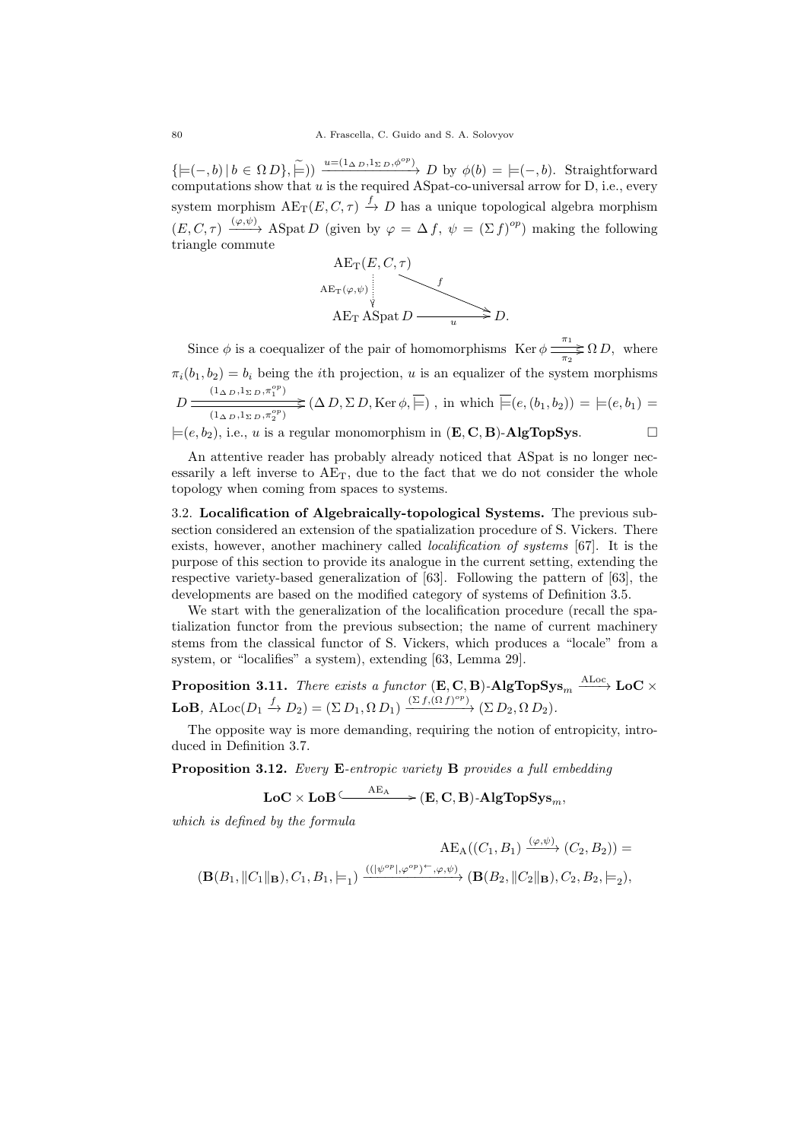$\{ \models (-, b) | b \in \Omega D \}, \widetilde{\models}) \longrightarrow_{\text{min}} \frac{u = (1_{\Delta D}, 1_{\Sigma D}, \phi^{\circ p})}{\Delta D} D \text{ by } \phi(b) = \models (-, b).$  Straightforward computations show that u is the required ASpat-co-universal arrow for D, i.e., every system morphism  $AE_T(E, C, \tau) \xrightarrow{f} D$  has a unique topological algebra morphism  $(E, C, \tau) \xrightarrow{(\varphi, \psi)} \text{ASpat } D \text{ (given by } \varphi = \Delta f, \psi = (\Sigma f)^{op} \text{ making the following }$ triangle commute



Since  $\phi$  is a coequalizer of the pair of homomorphisms Ker  $\phi \frac{\pi_1}{\pi_2} \Omega D$ , where  $\pi_i(b_1, b_2) = b_i$  being the *i*th projection, *u* is an equalizer of the system morphisms  $D \xrightarrow{\left(1_{\Delta D}, 1_{\Sigma D}, \pi_1^{op}\right)} \searrow$  $\overline{\langle (1_{\Delta D}, 1_{\Sigma D}, \pi_2^{\circ p})\rangle}$   $(\Delta D, \Sigma D, \text{Ker } \phi, \models)$ , in which  $\models (e, (b_1, b_2)) = \models (e, b_1)$  $\models (e, b_2)$ , i.e., u is a regular monomorphism in  $(\mathbf{E}, \mathbf{C}, \mathbf{B})$ -AlgTopSys.

An attentive reader has probably already noticed that ASpat is no longer necessarily a left inverse to  $AE_T$ , due to the fact that we do not consider the whole topology when coming from spaces to systems.

3.2. Localification of Algebraically-topological Systems. The previous subsection considered an extension of the spatialization procedure of S. Vickers. There exists, however, another machinery called *localification of systems* [67]. It is the purpose of this section to provide its analogue in the current setting, extending the respective variety-based generalization of [63]. Following the pattern of [63], the developments are based on the modified category of systems of Definition 3.5.

We start with the generalization of the localification procedure (recall the spatialization functor from the previous subsection; the name of current machinery stems from the classical functor of S. Vickers, which produces a "locale" from a system, or "localifies" a system), extending [63, Lemma 29].

**Proposition 3.11.** There exists a functor  $(E, C, B)$ -AlgTopSys<sub>m</sub>  $\xrightarrow{\text{ALoc}}$  LoC  $\times$ **LoB**,  $\text{ALoc}(D_1 \xrightarrow{f} D_2) = (\Sigma D_1, \Omega D_1) \xrightarrow{(\Sigma f, (\Omega f)^{op})} (\Sigma D_2, \Omega D_2).$ 

The opposite way is more demanding, requiring the notion of entropicity, introduced in Definition 3.7.

Proposition 3.12. Every E-entropic variety B provides a full embedding

$$
\mathbf{LoC}\times\mathbf{LoB} \xrightarrow{\quad \ \ \mathbf{AE_A}\quad \ } (\mathbf{E},\mathbf{C},\mathbf{B})\text{-}\mathbf{AlgTopSys}_m,
$$

which is defined by the formula

$$
\begin{aligned}\n\operatorname{AE}_\mathcal{A}((C_1,B_1)\xrightarrow{(\varphi,\psi)}(C_2,B_2)) = \\
(\mathbf{B}(B_1,\|C_1\|_\mathbf{B}),C_1,B_1,\models_1)\xrightarrow{((|\psi^{\mathit{op}}|,\varphi^{\mathit{op}})^{\leftarrow},\varphi,\psi)}(\mathbf{B}(B_2,\|C_2\|_\mathbf{B}),C_2,B_2,\models_2),\n\end{aligned}
$$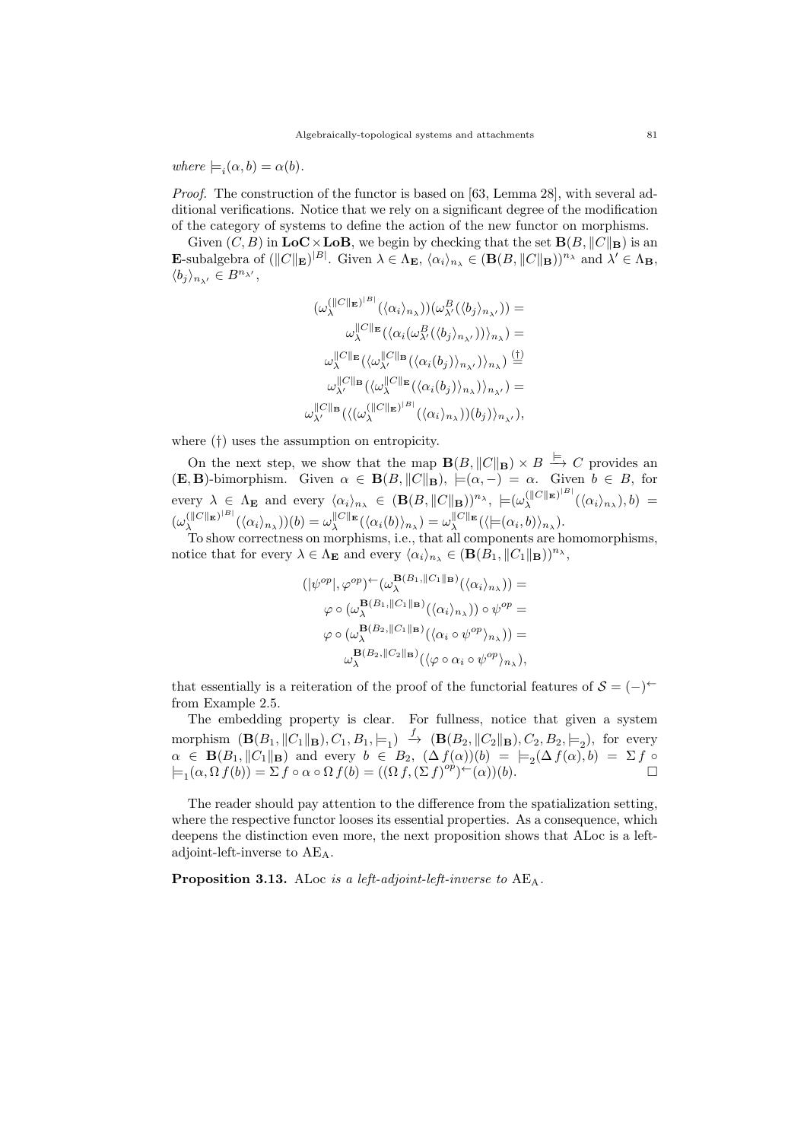where  $\models_i(\alpha, b) = \alpha(b)$ .

Proof. The construction of the functor is based on [63, Lemma 28], with several additional verifications. Notice that we rely on a significant degree of the modification of the category of systems to define the action of the new functor on morphisms.

Given  $(C, B)$  in  $\mathbf{LoC} \times \mathbf{LoB}$ , we begin by checking that the set  $\mathbf{B}(B, ||C||_{\mathbf{B}})$  is an **E**-subalgebra of  $(\|C\|_{\mathbf{E}})^{|B|}$ . Given  $\lambda \in \Lambda_{\mathbf{E}}$ ,  $\langle \alpha_i \rangle_{n_{\lambda}} \in (\mathbf{B}(B, \|C\|_{\mathbf{B}}))^{n_{\lambda}}$  and  $\lambda' \in \Lambda_{\mathbf{B}}$ ,  $\langle b_j\rangle_{n_{\lambda'}}\in B^{n_{\lambda'}},$ 

$$
(\omega_{\lambda}^{(\|C\|_{\mathbf{E}})^{|B|}}(\langle \alpha_i \rangle_{n_{\lambda}}))(\omega_{\lambda'}^{B}(\langle b_j \rangle_{n_{\lambda'}})) =
$$
  

$$
\omega_{\lambda}^{\|C\|_{\mathbf{E}}}(\langle \alpha_i(\omega_{\lambda'}^{B}(\langle b_j \rangle_{n_{\lambda'}})) \rangle_{n_{\lambda}}) =
$$
  

$$
\omega_{\lambda}^{\|C\|_{\mathbf{E}}}(\langle \omega_{\lambda'}^{\|C\|_{\mathbf{B}}}(\langle \alpha_i(b_j) \rangle_{n_{\lambda'}}) \rangle_{n_{\lambda}}) \stackrel{\text{(1)}}{=} \omega_{\lambda'}^{\|C\|_{\mathbf{B}}}(\langle \omega_{\lambda}^{\|C\|_{\mathbf{E}}}(\langle \alpha_i(b_j) \rangle_{n_{\lambda}}) \rangle_{n_{\lambda'}}) =
$$
  

$$
\omega_{\lambda'}^{\|C\|_{\mathbf{B}}}(\langle \omega_{\lambda}^{\|C\|_{\mathbf{E}}})^{|B|}(\langle \alpha_i \rangle_{n_{\lambda}})) (b_j) \rangle_{n_{\lambda'}}),
$$

where (†) uses the assumption on entropicity.

On the next step, we show that the map  $\mathbf{B}(B, \|C\|_{\mathbf{B}}) \times B \stackrel{\models}{\to} C$  provides an  $(\mathbf{E}, \mathbf{B})$ -bimorphism. Given  $\alpha \in \mathbf{B}(B, \|C\|_{\mathbf{B}}), \models (\alpha, -) = \alpha$ . Given  $b \in B$ , for every  $\lambda \in \Lambda_{\mathbf{E}}$  and every  $\langle \alpha_i \rangle_{n_{\lambda}} \in (\mathbf{B}(B, \|C\|_{\mathbf{B}}))^{n_{\lambda}},\|L(\omega_{\lambda}^{(\|C\|_{\mathbf{E}})^{|B|}})$  $\lambda^{(\parallel\!\mid\!\mid\!\mid\mathbf{E})^{\cdots}} (\langle \alpha_i \rangle_{n_\lambda}), b) =$  $(\omega_\lambda^{(\parallel C \parallel_{\mathbf{E}})^{\parallel B \parallel}}$  $\omega_\lambda^{(||C||_{\mathbf{E}})^{|B|}}(\langle \alpha_i \rangle_{n_\lambda}))(b) = \omega_\lambda^{||C||_{\mathbf{E}}}(\langle \alpha_i(b) \rangle_{n_\lambda}) = \omega_\lambda^{||C||_{\mathbf{E}}}(\langle \models(\alpha_i,b) \rangle_{n_\lambda}).$ 

To show correctness on morphisms, i.e., that all components are homomorphisms, notice that for every  $\lambda \in \Lambda_{\mathbf{E}}$  and every  $\langle \alpha_i \rangle_{n_{\lambda}} \in (\mathbf{B}(B_1, \|C_1\|_{\mathbf{B}}))^{n_{\lambda}},$ 

$$
(|\psi^{op}|, \varphi^{op}) \sim (\omega_{\lambda}^{\mathbf{B}(B_1, ||C_1||_{\mathbf{B}})} (\langle \alpha_i \rangle_{n_{\lambda}})) =
$$
  

$$
\varphi \circ (\omega_{\lambda}^{\mathbf{B}(B_1, ||C_1||_{\mathbf{B}})} (\langle \alpha_i \rangle_{n_{\lambda}})) \circ \psi^{op} =
$$
  

$$
\varphi \circ (\omega_{\lambda}^{\mathbf{B}(B_2, ||C_1||_{\mathbf{B}})} (\langle \alpha_i \circ \psi^{op} \rangle_{n_{\lambda}})) =
$$
  

$$
\omega_{\lambda}^{\mathbf{B}(B_2, ||C_2||_{\mathbf{B}})} (\langle \varphi \circ \alpha_i \circ \psi^{op} \rangle_{n_{\lambda}}),
$$

that essentially is a reiteration of the proof of the functorial features of  $S = (-)^\leftarrow$ from Example 2.5.

The embedding property is clear. For fullness, notice that given a system morphism  $(\mathbf{B}(B_1, ||C_1||_{\mathbf{B}}), C_1, B_1, \models_1) \stackrel{f}{\to} (\mathbf{B}(B_2, ||C_2||_{\mathbf{B}}), C_2, B_2, \models_2)$ , for every  $\alpha \in \mathbf{B}(B_1, \|C_1\|_{\mathbf{B}})$  and every  $b \in B_2$ ,  $(\Delta f(\alpha))(b) = \models_2(\Delta f(\alpha), b) = \Sigma f \circ$  $\models_1(\alpha,\Omega f(b)) = \Sigma f \circ \alpha \circ \Omega f(b) = ((\Omega f,(\Sigma f)^{op})^{\leftarrow}(\alpha))(b).$ 

The reader should pay attention to the difference from the spatialization setting, where the respective functor looses its essential properties. As a consequence, which deepens the distinction even more, the next proposition shows that ALoc is a leftadjoint-left-inverse to AEA.

Proposition 3.13. ALoc is a left-adjoint-left-inverse to AE<sub>A</sub>.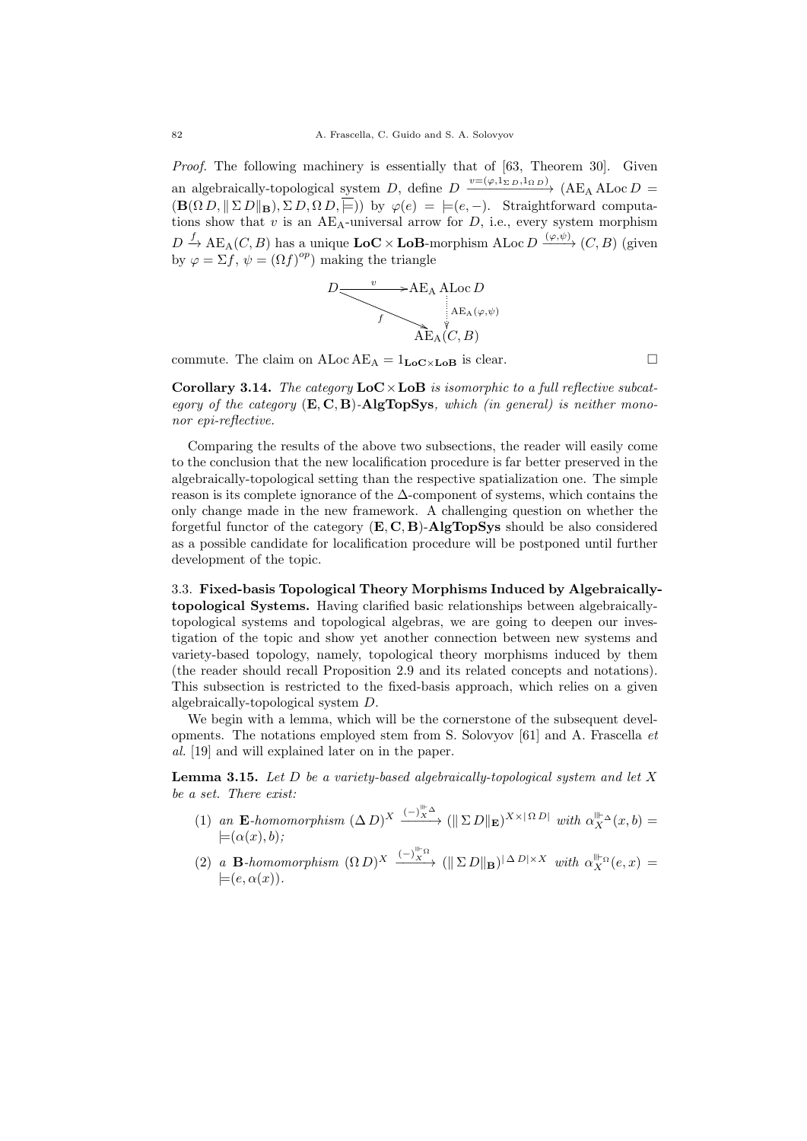Proof. The following machinery is essentially that of [63, Theorem 30]. Given an algebraically-topological system D, define  $D \xrightarrow{v=(\varphi,1_{\Sigma D},1_{\Omega D})} (AE<sub>A</sub> ALoc D =$  $(\mathbf{B}(\Omega D, \|\Sigma D\|_{\mathbf{B}}), \Sigma D, \Omega D, \overline{\mathbb{E}}))$  by  $\varphi(e) = |e, -\rangle$ . Straightforward computations show that  $v$  is an AE<sub>A</sub>-universal arrow for  $D$ , i.e., every system morphism  $D \stackrel{f}{\to} \text{AE}_{\text{A}}(C, B)$  has a unique  $\text{LoC} \times \text{LoB}$ -morphism  $\text{ALoc}\,D \stackrel{(\varphi,\psi)}{\longrightarrow} (C, B)$  (given by  $\varphi = \Sigma f, \psi = (\Omega f)^{op}$  making the triangle



commute. The claim on  $ALoc AE_A = 1_{LoC \times LoB}$  is clear.

**Corollary 3.14.** The category  $\mathbf{LoC} \times \mathbf{LoB}$  is isomorphic to a full reflective subcategory of the category  $(E, C, B)$ -AlgTopSys, which (in general) is neither mononor epi-reflective.

Comparing the results of the above two subsections, the reader will easily come to the conclusion that the new localification procedure is far better preserved in the algebraically-topological setting than the respective spatialization one. The simple reason is its complete ignorance of the  $\Delta$ -component of systems, which contains the only change made in the new framework. A challenging question on whether the forgetful functor of the category  $(E, C, B)$ -AlgTopSys should be also considered as a possible candidate for localification procedure will be postponed until further development of the topic.

3.3. Fixed-basis Topological Theory Morphisms Induced by Algebraicallytopological Systems. Having clarified basic relationships between algebraicallytopological systems and topological algebras, we are going to deepen our investigation of the topic and show yet another connection between new systems and variety-based topology, namely, topological theory morphisms induced by them (the reader should recall Proposition 2.9 and its related concepts and notations). This subsection is restricted to the fixed-basis approach, which relies on a given algebraically-topological system D.

We begin with a lemma, which will be the cornerstone of the subsequent developments. The notations employed stem from S. Solovyov [61] and A. Frascella et al. [19] and will explained later on in the paper.

**Lemma 3.15.** Let  $D$  be a variety-based algebraically-topological system and let  $X$ be a set. There exist:

- (1) an E-homomorphism  $(\Delta D)^X \xrightarrow{(-)\times^{\text{min}} \Delta} (\parallel \Sigma D \parallel_{\mathbf{E}})^{X \times |\Omega D|}$  with  $\alpha_X^{\parallel \vdash \Delta}(x, b) =$  $\models(\alpha(x), b);$
- (2) a **B**-homomorphism  $(\Omega D)^X \xrightarrow{(-)\stackrel{w}{X}^{\Omega}} (\|\Sigma D\|_{\mathbf{B}})^{|\Delta D| \times X}$  with  $\alpha_X^{\|\cdot\|_{\Omega}}(e, x) =$  $\models (e, \alpha(x)).$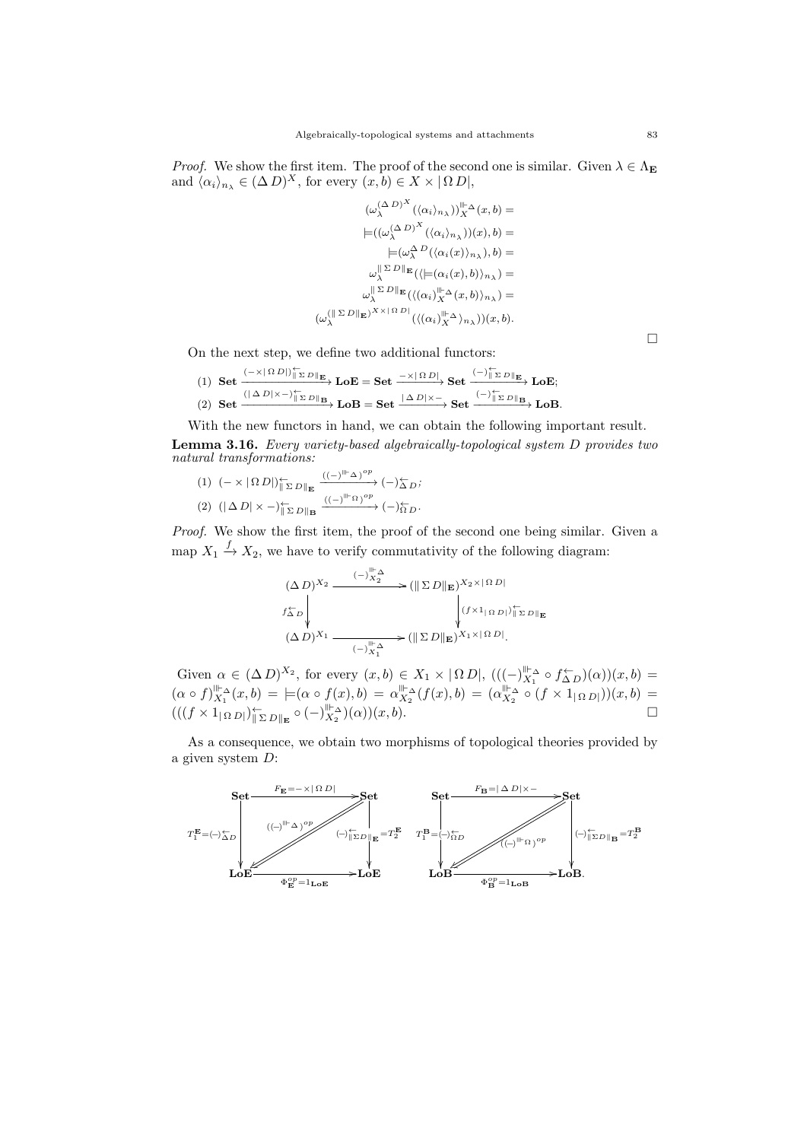*Proof.* We show the first item. The proof of the second one is similar. Given  $\lambda \in \Lambda_{\mathbf{E}}$ and  $\langle \alpha_i \rangle_{n_\lambda} \in (\Delta D)^X$ , for every  $(x, b) \in X \times \{ \Omega D \}$ ,

$$
(\omega_{\lambda}^{(\Delta D)^X}(\langle \alpha_i \rangle_{n_{\lambda}}))_{X}^{\|\cdot\|_{\Delta}}(x,b) =
$$
\n
$$
\models ((\omega_{\lambda}^{(\Delta D)^X}(\langle \alpha_i \rangle_{n_{\lambda}}))(x),b) =
$$
\n
$$
\models (\omega_{\lambda}^{\Delta D}(\langle \alpha_i(x) \rangle_{n_{\lambda}}),b) =
$$
\n
$$
\omega_{\lambda}^{\|\cdot\|_{\Delta D}} \mathbb{E}(\langle \models (\alpha_i(x),b) \rangle_{n_{\lambda}}) =
$$
\n
$$
\omega_{\lambda}^{\|\cdot\|_{\Delta D}} \mathbb{E}(\langle (\alpha_i)_{X}^{\|\cdot\|_{\Delta}}(x,b) \rangle_{n_{\lambda}}) =
$$
\n
$$
(\omega_{\lambda}^{(\|\cdot\|_{\Delta D})} \mathbb{E}(\langle (\alpha_i)_{X}^{\|\cdot\|_{\Delta}} \rangle_{n_{\lambda}}))(x,b).
$$

On the next step, we define two additional functors:

 $(1) \ \ \mathbf{Set} \xrightarrow{(-\times |\Omega|) |\sum_{\square} D \parallel_{\mathbf{E}}} \mathbf{LoE} = \mathbf{Set} \xrightarrow{-\times |\Omega| D} \mathbf{Set} \xrightarrow{(-) |\sum_{\square} D \parallel_{\mathbf{E}}} \mathbf{LoE};$  $(2) \text{ Set } \xrightarrow{(|\Delta D| \times -)\parallel_{\Sigma D\parallel_{\mathbf{B}}}} \text{LoB} = \text{Set } \xrightarrow{|\Delta D| \times -} \text{Set } \xrightarrow{(-)\parallel_{\Sigma D\parallel_{\mathbf{B}}}} \text{LoB}.$ 

With the new functors in hand, we can obtain the following important result. Lemma 3.16. Every variety-based algebraically-topological system D provides two natural transformations:

(1)  $(- \times | \Omega D|)_{\|\Sigma D\|\mathbf{E}}^{\leftarrow}$  $\xrightarrow{((-)^{\parallel \vdash} \Delta)^{op}} (-)_{\Delta D}^{\leftarrow} ;$ (2)  $(|\Delta D| \times -)_{\|\Sigma D\|_{\mathbf{B}}}^{\leftarrow}$  $\xrightarrow{((-)^{\parallel\vdash}\Omega)}^{op}(-)\overleftarrow{\raisebox{-1.5pt}{\scriptsize$\sim$}}_{D}.$ 

Proof. We show the first item, the proof of the second one being similar. Given a map  $X_1 \stackrel{f}{\rightarrow} X_2$ , we have to verify commutativity of the following diagram:

$$
(\Delta D)^{X_2} \xrightarrow{\qquad (-)\mathbb{I}_{X_2}^{\mathbb{I}_{\mathbb{L}}^{\mathbb{L}}}} (\|\Sigma D\|_{\mathbf{E}})^{X_2 \times |\Omega D|}
$$
  

$$
f_{\Delta D}^{\leftarrow} \downarrow \qquad \qquad (f \times 1_{|\Omega D|})^{\leftarrow}_{\|\Sigma D\|_{\mathbf{E}}}
$$
  

$$
(\Delta D)^{X_1} \xrightarrow{\qquad (-)\mathbb{I}_{X_1}^{\mathbb{I}_{\mathbb{L}}^{\mathbb{L}}}} (\|\Sigma D\|_{\mathbf{E}})^{X_1 \times |\Omega D|}.
$$

Given  $\alpha \in (\Delta D)^{X_2}$ , for every  $(x, b) \in X_1 \times |\Omega D|$ ,  $(( (-)\|_{X_1}^{\mathbb{I}_{\{ \}}} \circ f_{\Delta D}^{\leftarrow})(\alpha))(x, b)$  $(\alpha \circ f)_{X_1}^{\|\cdot\|_{\Delta}}(x,b) = \biguplus (\alpha \circ f(x),b) = \alpha_{X_2}^{\|\cdot\|_{\Delta}}(f(x),b) = (\alpha_{X_2}^{\|\cdot\|_{\Delta}} \circ (f \times 1_{\{\Omega D\}}))(x,b) =$  $(((f \times 1_{\Omega D)}^{\dagger})_{\parallel \Sigma D \parallel_{\mathbf{E}}}^{\dagger} \circ (-)_{X_2}^{\parallel \vdash_{\Delta}})(\alpha))(x, b).$ 

As a consequence, we obtain two morphisms of topological theories provided by a given system D:



 $\Box$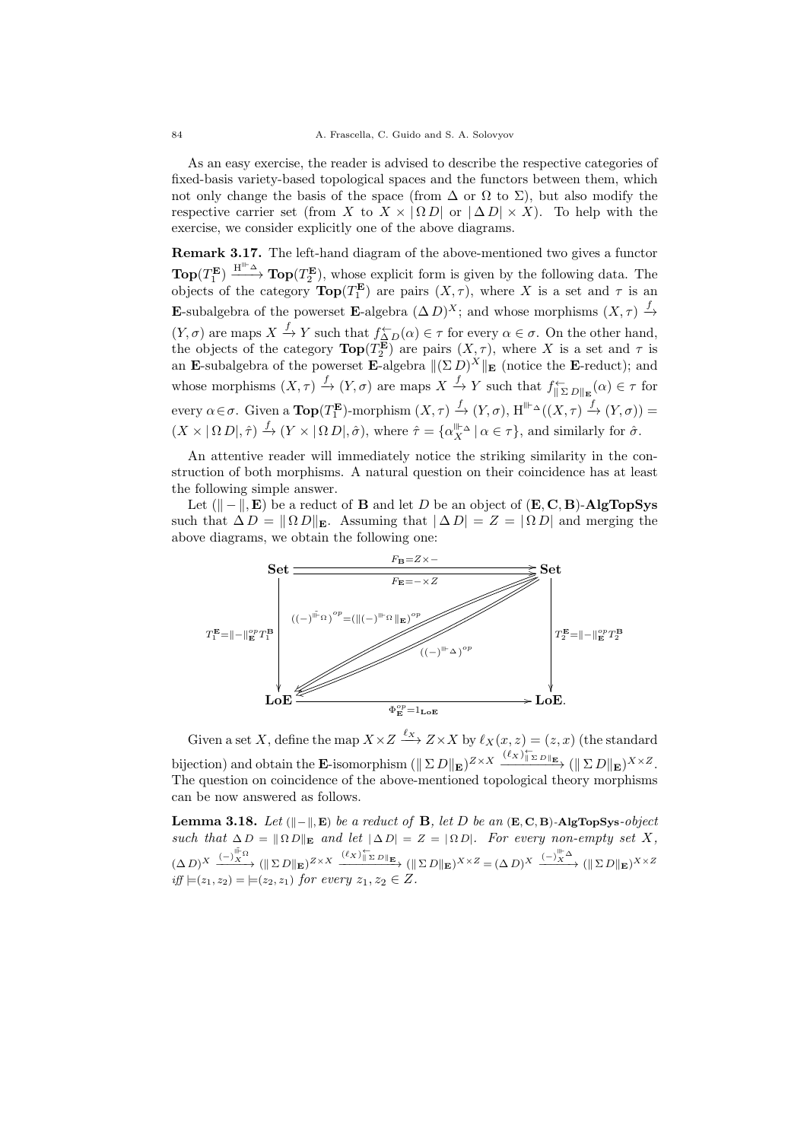As an easy exercise, the reader is advised to describe the respective categories of fixed-basis variety-based topological spaces and the functors between them, which not only change the basis of the space (from  $\Delta$  or  $\Omega$  to  $\Sigma$ ), but also modify the respective carrier set (from X to  $X \times | \Omega D |$  or  $| \Delta D | \times X$ ). To help with the exercise, we consider explicitly one of the above diagrams.

Remark 3.17. The left-hand diagram of the above-mentioned two gives a functor  $\textbf{Top}(T_1^{\mathbf{E}}) \xrightarrow{\textbf{H}^{\text{III}-\Delta}} \textbf{Top}(T_2^{\mathbf{E}})$ , whose explicit form is given by the following data. The objects of the category  $\text{Top}(T_1^{\mathbf{E}})$  are pairs  $(X, \tau)$ , where X is a set and  $\tau$  is an E-subalgebra of the powerset E-algebra  $(\Delta D)^X$ ; and whose morphisms  $(X, \tau) \stackrel{f}{\rightarrow}$  $(Y, \sigma)$  are maps  $X \xrightarrow{f} Y$  such that  $f_{\Delta D}^{\leftarrow}(\alpha) \in \tau$  for every  $\alpha \in \sigma$ . On the other hand, the objects of the category  $\text{Top}(T_2^{\mathbf{E}})$  are pairs  $(X, \tau)$ , where X is a set and  $\tau$  is an E-subalgebra of the powerset E-algebra  $\|(\Sigma D)^X\|$  E (notice the E-reduct); and whose morphisms  $(X, \tau) \xrightarrow{f} (Y, \sigma)$  are maps  $X \xrightarrow{f} Y$  such that  $f_{\|\Sigma D\|_{\mathbf{E}}}^{\leftarrow}(\alpha) \in \tau$  for every  $\alpha \in \sigma$ . Given a  $\textbf{Top}(T_1^{\mathbf{E}})$ -morphism  $(X, \tau) \xrightarrow{f} (Y, \sigma)$ ,  $H^{\parallel \vdash_{\Delta}}((X, \tau) \xrightarrow{f} (Y, \sigma)) =$  $(X \times | \Omega D|, \hat{\tau}) \xrightarrow{f} (Y \times | \Omega D|, \hat{\sigma}),$  where  $\hat{\tau} = {\alpha_X^{\|\cdot\|_{\Delta}}} |\alpha \in \tau\},$  and similarly for  $\hat{\sigma}$ .

An attentive reader will immediately notice the striking similarity in the construction of both morphisms. A natural question on their coincidence has at least the following simple answer.

Let  $(\vert \vert - \vert, \mathbf{E})$  be a reduct of **B** and let D be an object of  $(\mathbf{E}, \mathbf{C}, \mathbf{B})$ -AlgTopSys such that  $\Delta D = || \Omega D ||_{\mathbf{E}}$ . Assuming that  $|\Delta D| = Z = | \Omega D|$  and merging the above diagrams, we obtain the following one:



Given a set X, define the map  $X \times Z \stackrel{\ell_X}{\longrightarrow} Z \times X$  by  $\ell_X(x, z) = (z, x)$  (the standard bijection) and obtain the **E**-isomorphism  $(\Vert \Sigma D \Vert_{\mathbf{E}})^{Z \times X} \xrightarrow{(\ell_X)_{\Vert \Sigma D \Vert_{\mathbf{E}}}} (\Vert \Sigma D \Vert_{\mathbf{E}})^{X \times Z}.$ The question on coincidence of the above-mentioned topological theory morphisms can be now answered as follows.

Lemma 3.18. Let  $(\Vert - \Vert, E)$  be a reduct of **B**, let D be an  $(E, C, B)$ -AlgTopSys-object such that  $\Delta D = \|\Omega D\|_E$  and let  $|\Delta D| = Z = |\Omega D|$ . For every non-empty set X,  $(\Delta D)^X \xrightarrow{(-)\overset{\parallel^{\mathbb{F}}\Omega}{\longrightarrow}} (\parallel \Sigma D\parallel_{\mathbf{E}})^{Z\times X} \xrightarrow{(\ell_X)^{\mathbb{F}}_{\blacksquare\Sigma D\parallel_{\mathbf{E}}}} (\parallel \Sigma D\parallel_{\mathbf{E}})^{X\times Z} = (\Delta D)^X \xrightarrow{(-)\overset{\parallel^{\mathbb{F}}\Delta}{\longrightarrow}} (\parallel \Sigma D\parallel_{\mathbf{E}})^{X\times Z}$ iff  $\models (z_1, z_2) = \models (z_2, z_1)$  for every  $z_1, z_2 \in Z$ .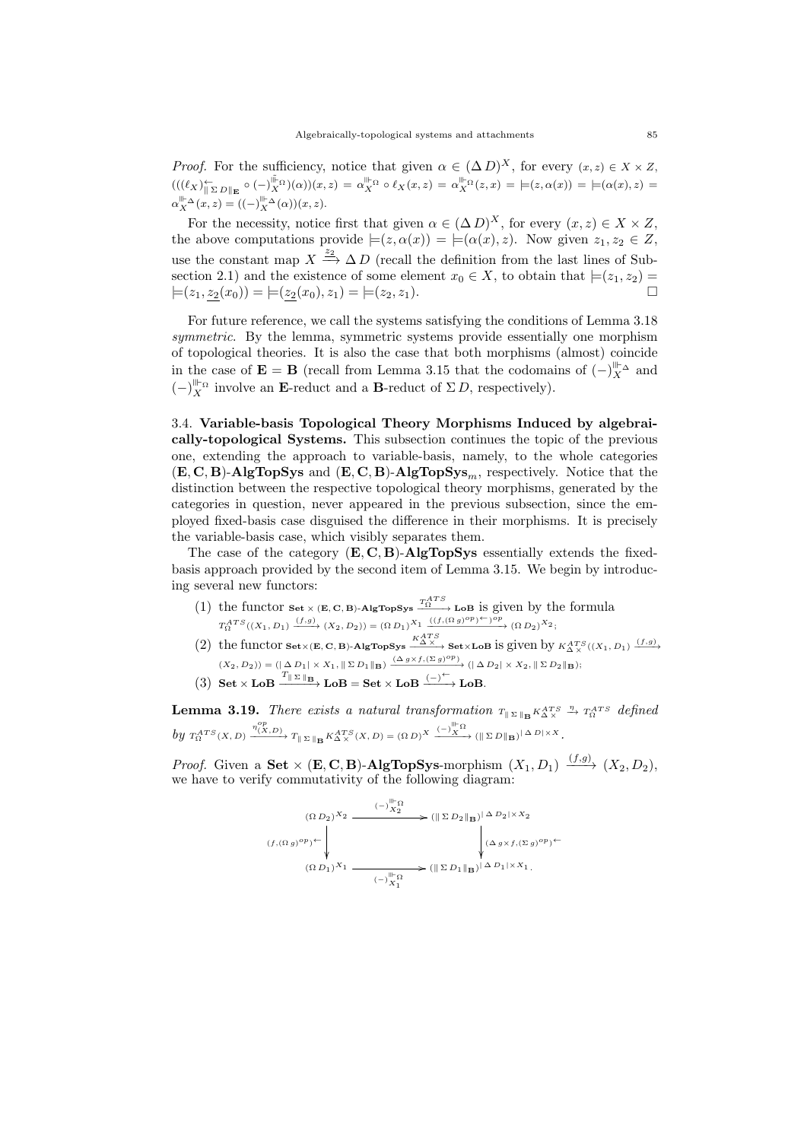*Proof.* For the sufficiency, notice that given  $\alpha \in (\Delta D)^X$ , for every  $(x, z) \in X \times Z$ ,  $(((\ell_X)_{\| \Sigma D \|^{\mathbf{E}}}^{\leftarrow} \circ (-)_{X}^{\|\cdot\|_{\Omega}})(\alpha))(x, z) = \alpha_X^{\|\cdot\|_{\Omega}} \circ \ell_X(x, z) = \alpha_X^{\|\cdot\|_{\Omega}}(z, x) = \models(z, \alpha(x)) = \models(\alpha(x), z) = \alpha_X^{\|\cdot\|_{\Omega}}(z, z)$  $\alpha_X^{\parallel \vdash} \Delta(x, z) = ((-)^{\parallel \vdash}_{X} \Delta(\alpha))(x, z).$ 

For the necessity, notice first that given  $\alpha \in (\Delta D)^X$ , for every  $(x, z) \in X \times Z$ , the above computations provide  $\models (z, \alpha(x)) = \models (\alpha(x), z)$ . Now given  $z_1, z_2 \in Z$ , use the constant map  $X \stackrel{z_2}{\longrightarrow} \Delta D$  (recall the definition from the last lines of Subsection 2.1) and the existence of some element  $x_0 \in X$ , to obtain that  $\models (z_1, z_2) =$  $\models (z_1, z_2(x_0)) = \models (z_2(x_0), z_1) = \models (z_2, z_1).$ 

For future reference, we call the systems satisfying the conditions of Lemma 3.18 symmetric. By the lemma, symmetric systems provide essentially one morphism of topological theories. It is also the case that both morphisms (almost) coincide in the case of  $\mathbf{E} = \mathbf{B}$  (recall from Lemma 3.15 that the codomains of  $(-)\big|_X^{\|\cdot\|_{\infty}}$  and  $(-)$ <sup>ll⊢Ω</sup> involve an **E**-reduct and a **B**-reduct of Σ*D*, respectively).

3.4. Variable-basis Topological Theory Morphisms Induced by algebraically-topological Systems. This subsection continues the topic of the previous one, extending the approach to variable-basis, namely, to the whole categories  $(E, C, B)$ -AlgTopSys and  $(E, C, B)$ -AlgTopSys<sub>m</sub>, respectively. Notice that the distinction between the respective topological theory morphisms, generated by the categories in question, never appeared in the previous subsection, since the employed fixed-basis case disguised the difference in their morphisms. It is precisely the variable-basis case, which visibly separates them.

The case of the category  $(E, C, B)$ -AlgTopSys essentially extends the fixedbasis approach provided by the second item of Lemma 3.15. We begin by introducing several new functors:

- (1) the functor  $\mathbf{Set} \times (\mathbf{E}, \mathbf{C}, \mathbf{B})$ -AlgTopSys  $\frac{T_A^{ATS}}{\Omega}$  LoB is given by the formula  $T^{ATS}_{\Omega}((X_1, D_1) \xrightarrow{(f,g)} (X_2, D_2)) = (\Omega D_1)^{X_1} \xrightarrow{((f, (\Omega g)^{op})^{\leftarrow})^{op}} (\Omega D_2)^{X_2};$
- (2) the functor  $\texttt{Set} \times (\mathbf{E}, \mathbf{C}, \mathbf{B})$ -AlgTopSys  $\xrightarrow{K_{\Delta}^{ATS}} \texttt{Set} \times \texttt{LoB}$  is given by  $K_{\Delta}^{ATS}((X_1, D_1) \xrightarrow{(f,g)}$  $(X_2, D_2)) = (\vert \Delta D_1 \vert \times X_1, \Vert \Sigma D_1 \Vert_{\mathbf{B}}) \xrightarrow{(\Delta g \times f, (\Sigma g)^{op})} (\vert \Delta D_2 \vert \times X_2, \Vert \Sigma D_2 \Vert_{\mathbf{B}});$
- (3) Set  $\times$  LoB  $\frac{T_{\parallel \Sigma \parallel_B}}{T}$  LoB = Set  $\times$  LoB  $\xrightarrow{(-)}$  LoB.

**Lemma 3.19.** There exists a natural transformation  $T_{\parallel \Sigma \parallel_B} K_{\Delta \times}^{ATS} \stackrel{\eta}{\rightarrow} T_{\Omega}^{ATS}$  defined  $by\ T^{ATS}_{\Omega}(X,D) \xrightarrow{\eta^{op}_{(X,D)}} T_{\parallel\Sigma\parallel_{\mathbf{B}}} K^{ATS}_{\Delta X}(X,D) = (\Omega\,D)^X \xrightarrow{(-)\stackrel{\parallel\parallel\cdot\Omega}{X}} (\parallel\Sigma\,D\parallel_{\mathbf{B}})^{\parallel\,\Delta\,D\parallel\times X}.$ 

*Proof.* Given a **Set**  $\times$  (**E**, **C**, **B**)-**AlgTopSys**-morphism  $(X_1, D_1) \xrightarrow{(f,g)} (X_2, D_2)$ , we have to verify commutativity of the following diagram:

$$
(f, (\Omega g)^{op})^{\leftarrow} \downarrow \qquad (\|\Sigma D_2\|_{\mathbf{B}})^{|\Delta D_2| \times X_2}
$$
  

$$
(f, (\Omega g)^{op})^{\leftarrow} \downarrow \qquad \qquad (\|\Sigma D_2\|_{\mathbf{B}})^{|\Delta D_2| \times X_2}
$$
  

$$
(\Omega D_1)^{X_1} \longrightarrow (\|\Sigma D_1\|_{\mathbf{B}})^{|\Delta D_1| \times X_1}.
$$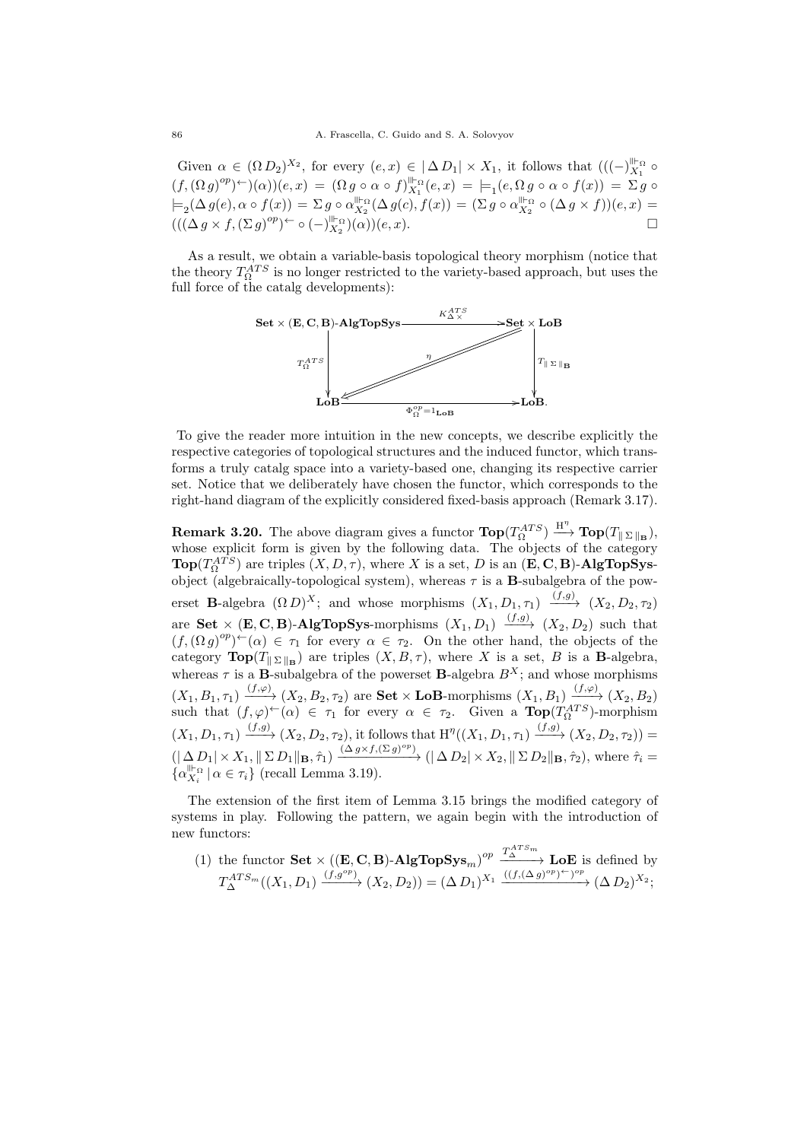Given  $\alpha \in (\Omega D_2)^{X_2}$ , for every  $(e, x) \in |\Delta D_1| \times X_1$ , it follows that  $(({-})_{X_1}^{\mathbb{I}^+_{\Omega}} \circ$  $(f,(\Omega g)^{op})^{\leftarrow})(\alpha)(e,x) = (\Omega g \circ \alpha \circ f)_{X_1}^{\mathbb{I}^{\leftarrow} \Omega}(e,x) = \models_1(e, \Omega g \circ \alpha \circ f(x)) = \Sigma g \circ$  $\models_2(\Delta g(e), \alpha \circ f(x)) = \Sigma g \circ \alpha_{X_2}^{\mathbb{P}}(\Delta g(c), f(x)) = (\Sigma g \circ \alpha_{X_2}^{\mathbb{P}} \circ (\Delta g \times f))(e, x) =$  $((\Delta g \times f, (\Sigma g)^{op})^{\leftarrow} \circ (-)_{X_2}^{\mathbb{H}_{\Omega}})(\alpha))(e, x).$ 

As a result, we obtain a variable-basis topological theory morphism (notice that the theory  $T_{\Omega}^{ATS}$  is no longer restricted to the variety-based approach, but uses the full force of the catalg developments):



To give the reader more intuition in the new concepts, we describe explicitly the respective categories of topological structures and the induced functor, which transforms a truly catalg space into a variety-based one, changing its respective carrier set. Notice that we deliberately have chosen the functor, which corresponds to the right-hand diagram of the explicitly considered fixed-basis approach (Remark 3.17).

**Remark 3.20.** The above diagram gives a functor  $\textbf{Top}(T_{\Omega}^{ATS}) \xrightarrow{\textbf{H}^{\eta}} \textbf{Top}(T_{\parallel \Sigma \parallel_{\textbf{B}}})$ , whose explicit form is given by the following data. The objects of the category  $\text{Top}(T_{\Omega}^{ATS})$  are triples  $(X, D, \tau)$ , where X is a set, D is an  $(\mathbf{E}, \mathbf{C}, \mathbf{B})$ -AlgTopSysobject (algebraically-topological system), whereas  $\tau$  is a **B**-subalgebra of the powerset **B**-algebra  $(\Omega D)^X$ ; and whose morphisms  $(X_1, D_1, \tau_1) \xrightarrow{(f,g)} (X_2, D_2, \tau_2)$ are **Set**  $\times$  (**E**, **C**, **B**)-**AlgTopSys**-morphisms  $(X_1, D_1) \xrightarrow{(f,g)} (X_2, D_2)$  such that  $(f,(\Omega g)^{op})\dot{-}(\alpha) \in \tau_1$  for every  $\alpha \in \tau_2$ . On the other hand, the objects of the category  $\text{Top}(T_{\|\Sigma\|_{\mathbf{B}}})$  are triples  $(X, B, \tau)$ , where X is a set, B is a **B**-algebra, whereas  $\tau$  is a **B**-subalgebra of the powerset **B**-algebra  $B^X$ ; and whose morphisms  $(X_1, B_1, \tau_1) \xrightarrow{(f,\varphi)} (X_2, B_2, \tau_2)$  are **Set**  $\times$  **LoB**-morphisms  $(X_1, B_1) \xrightarrow{(f,\varphi)} (X_2, B_2)$ such that  $(f, \varphi) \in \tau_1$  for every  $\alpha \in \tau_2$ . Given a  $\text{Top}(T_{\Omega}^{ATS})$ -morphism  $(X_1, D_1, \tau_1) \xrightarrow{(f,g)} (X_2, D_2, \tau_2)$ , it follows that  $\mathrm{H}^{\eta}((X_1, D_1, \tau_1) \xrightarrow{(f,g)} (X_2, D_2, \tau_2))$  $(|\Delta D_1| \times X_1, \|\Sigma D_1\|_{\mathbf{B}}, \hat{\tau}_1) \xrightarrow{(\Delta g \times f, (\Sigma g)^{op})} (|\Delta D_2| \times X_2, \|\Sigma D_2\|_{\mathbf{B}}, \hat{\tau}_2),$  where  $\hat{\tau}_i =$  $\{\alpha_{X_i}^{\|\cdot\|_{\Omega}} \mid \alpha \in \tau_i\}$  (recall Lemma 3.19).

The extension of the first item of Lemma 3.15 brings the modified category of systems in play. Following the pattern, we again begin with the introduction of new functors:

(1) the functor  $\textbf{Set} \times ((\mathbf{E}, \mathbf{C}, \mathbf{B}) - \mathbf{AlgTopSys}_m)^{op} \xrightarrow{T_A^{ATS_m}} \mathbf{LoE}$  is defined by  $T^{ATS_m}_{\Delta}((X_1, D_1) \xrightarrow{(f,g^{op})} (X_2, D_2)) = (\Delta D_1)^{X_1} \xrightarrow{((f,(\Delta g)^{op})^{\leftarrow})^{op}} (\Delta D_2)^{X_2};$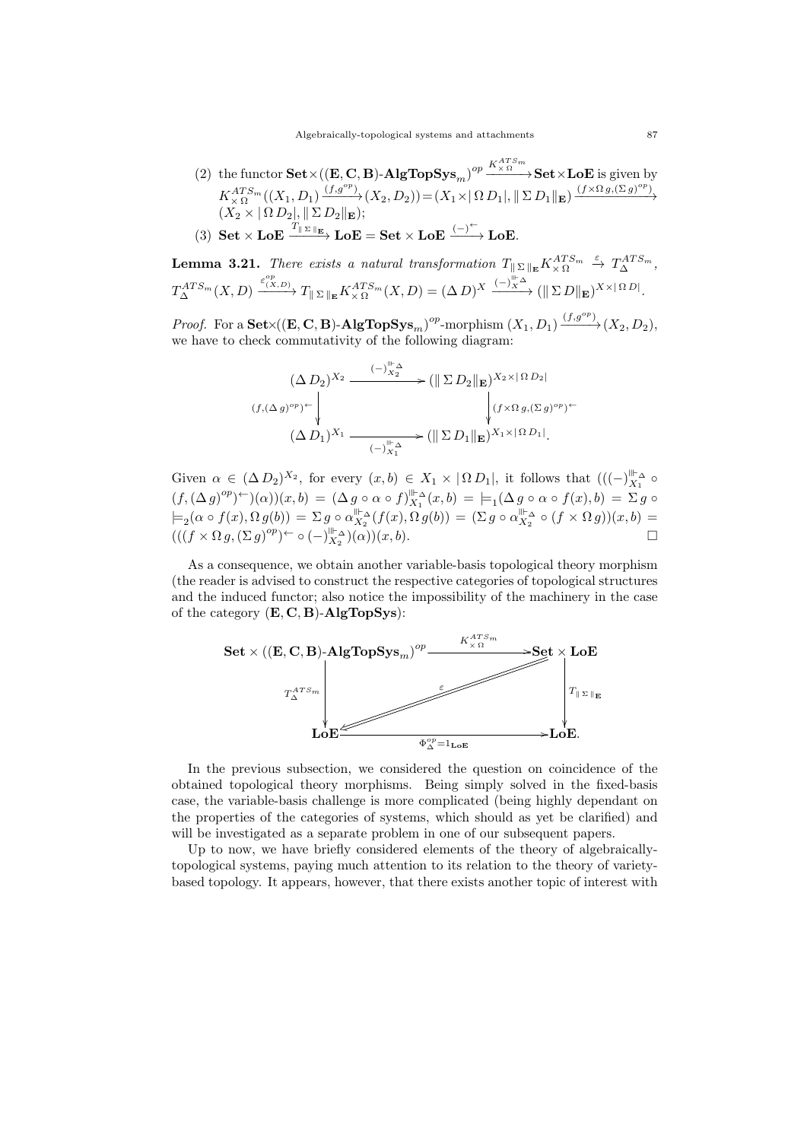(2) the functor  $\textbf{Set} \times ((\mathbf{E}, \mathbf{C}, \mathbf{B}) - \mathbf{AlgTopSys}_m)^{op} \xrightarrow{K_{\times \Omega}^{ATS_m}} \textbf{Set} \times \textbf{LoE}$  is given by  $K_{\times \Omega}^{ATS_m}((X_1, D_1) \xrightarrow{(f,g^{op})} (X_2, D_2)) = (X_1 \times |\Omega D_1|, ||\Sigma D_1||_{\mathbf{E}}) \xrightarrow{(f \times \Omega g, (\Sigma g)^{op})}$  $(X_2 \times |\Omega D_2|, || \Sigma D_2||_{\mathbf{E}});$ 

(3) Set 
$$
\times
$$
 LoE  $\xrightarrow{T_{\parallel \Sigma \parallel_{\mathbf{E}}}}$  LoE = Set  $\times$  LoE  $\xrightarrow{(-)^{\leftarrow}}$  LoE.

**Lemma 3.21.** There exists a natural transformation  $T_{\|\Sigma\|_{\mathbf{E}}} K_{\times \Omega}^{ATS_m} \stackrel{\varepsilon}{\rightarrow} T_{\Delta}^{ATS_m}$ ,  $T^{ATS_m}_{\Delta}(X,D) \xrightarrow{\varepsilon^{op}_{(X,D)}} T_{\parallel \Sigma \parallel_{\mathbf{E}}}\overline{K^{ATS_m}_{\times \Omega}}(X,D) = (\Delta D)^X \xrightarrow{(-)^{\parallel_{\mathbf{E}}\Delta}} (\parallel \Sigma D \parallel_{\mathbf{E}})^{X \times [\Omega D \parallel_{\mathbf{E}}})$ 

*Proof.* For a  $\textbf{Set} \times ((\mathbf{E}, \mathbf{C}, \mathbf{B}) - \mathbf{AlgTopSys}_m)^{op}$ -morphism  $(X_1, D_1) \xrightarrow{(f, g^{op})} (X_2, D_2)$ , we have to check commutativity of the following diagram:

$$
(\Delta D_2)^{X_2} \xrightarrow{\qquad (-)^{\parallel \mathcal{L}_{\Delta}}} (\parallel \Sigma D_2 \parallel_{\mathbf{E}})^{X_2 \times |\Omega D_2|}
$$

$$
(f, (\Delta g)^{op})^{\leftarrow} \qquad \qquad (\Delta D_1)^{X_1} \xrightarrow{\qquad (-)^{\parallel \mathcal{L}_{\Delta}}} (\parallel \Sigma D_1 \parallel_{\mathbf{E}})^{X_1 \times |\Omega D_1|}.
$$

Given  $\alpha \in (\Delta D_2)^{X_2}$ , for every  $(x, b) \in X_1 \times |\Omega D_1|$ , it follows that  $(({-})_{X_1}^{\parallel \vdash_{\Delta}} \circ$  $(f,(\Delta g)^{op})^{\leftarrow})(\alpha))(x,b) = (\Delta g \circ \alpha \circ f)_{X_1}^{\parallel \leftarrow} (x,b) = \models_1 (\Delta g \circ \alpha \circ f(x),b) = \Sigma g \circ$  $\models_2(\alpha \circ f(x), \Omega g(b)) = \Sigma g \circ \alpha_{X_2}^{\parallel \vdash}(\alpha f(x), \Omega g(b)) = (\Sigma g \circ \alpha_{X_2}^{\parallel \vdash} \circ (f \times \Omega g))(x, b) =$  $(((f \times \Omega g, (\Sigma g)^{op})^{\leftarrow} \circ (-)_{X_2}^{\parallel \leftarrow} \Delta)(\alpha))(x, b).$ 

As a consequence, we obtain another variable-basis topological theory morphism (the reader is advised to construct the respective categories of topological structures and the induced functor; also notice the impossibility of the machinery in the case of the category  $(E, C, B)$ -AlgTopSys):



In the previous subsection, we considered the question on coincidence of the obtained topological theory morphisms. Being simply solved in the fixed-basis case, the variable-basis challenge is more complicated (being highly dependant on the properties of the categories of systems, which should as yet be clarified) and will be investigated as a separate problem in one of our subsequent papers.

Up to now, we have briefly considered elements of the theory of algebraicallytopological systems, paying much attention to its relation to the theory of varietybased topology. It appears, however, that there exists another topic of interest with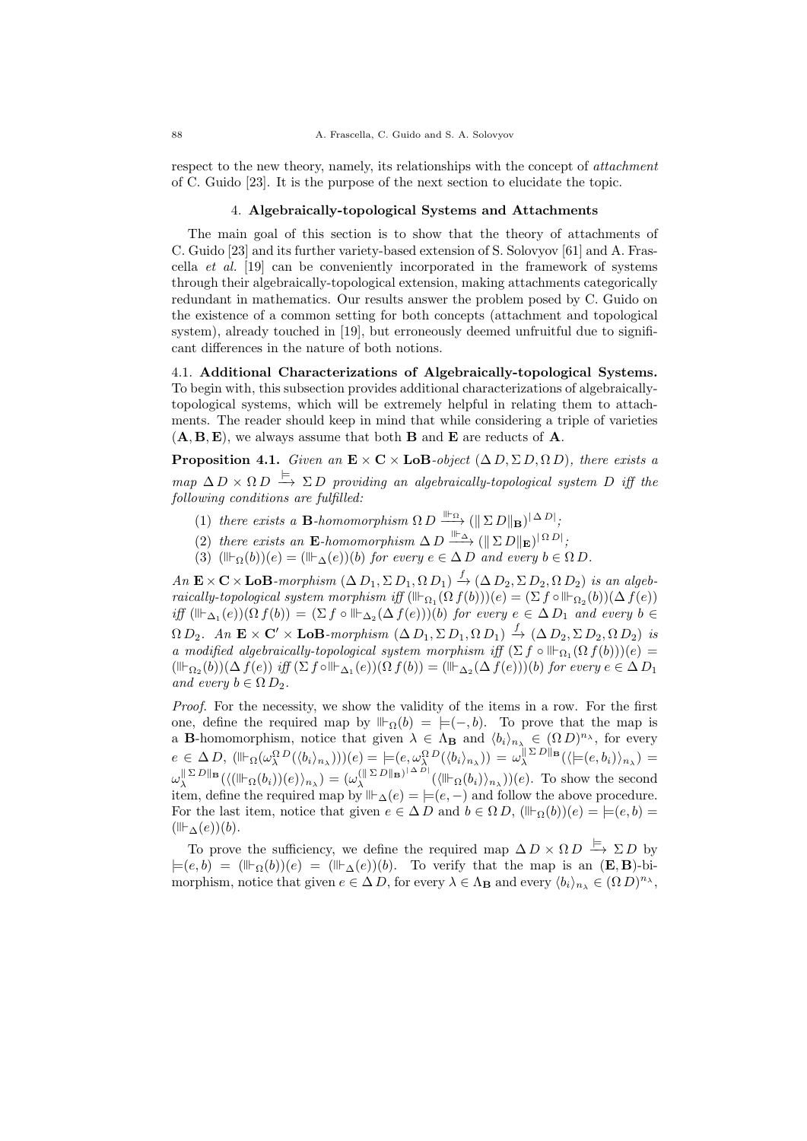respect to the new theory, namely, its relationships with the concept of *attachment* of C. Guido [23]. It is the purpose of the next section to elucidate the topic.

# 4. Algebraically-topological Systems and Attachments

The main goal of this section is to show that the theory of attachments of C. Guido [23] and its further variety-based extension of S. Solovyov [61] and A. Frascella et al. [19] can be conveniently incorporated in the framework of systems through their algebraically-topological extension, making attachments categorically redundant in mathematics. Our results answer the problem posed by C. Guido on the existence of a common setting for both concepts (attachment and topological system), already touched in [19], but erroneously deemed unfruitful due to significant differences in the nature of both notions.

4.1. Additional Characterizations of Algebraically-topological Systems. To begin with, this subsection provides additional characterizations of algebraicallytopological systems, which will be extremely helpful in relating them to attachments. The reader should keep in mind that while considering a triple of varieties  $(A, B, E)$ , we always assume that both **B** and **E** are reducts of **A**.

**Proposition 4.1.** Given an  $\mathbf{E} \times \mathbf{C} \times \mathbf{LoB}$ -object  $(\Delta D, \Sigma D, \Omega D)$ , there exists a map  $\Delta D \times \Omega D \stackrel{\models}{\longrightarrow} \Sigma D$  providing an algebraically-topological system D iff the following conditions are fulfilled:

- (1) there exists a **B**-homomorphism  $\Omega D \xrightarrow{\|\cdot\|_{\mathbb{R}}} (\|\Sigma D\|_{\mathbf{B}})^{|\Delta D|}$
- (2) there exists an **E**-homomorphism  $\Delta D \xrightarrow{\|\cdot\|_{\Delta}} (\|\Sigma D\|_{\mathbf{E}})^{|\Omega D|}$
- (3)  $(\mathbb{I}\mathbb{F}_{\Omega}(b))(e) = (\mathbb{I}\mathbb{F}_{\Delta}(e))(b)$  for every  $e \in \Delta D$  and every  $b \in \Omega D$ .

 $An \mathbf{E} \times \mathbf{C} \times \mathbf{LoB}$ -morphism  $(\Delta D_1, \Sigma D_1, \Omega D_1) \stackrel{f}{\rightarrow} (\Delta D_2, \Sigma D_2, \Omega D_2)$  is an algebraically-topological system morphism iff  $(\mathbb{I}_{\Omega_1}(\Omega f(b)))(e) = (\Sigma f \circ \mathbb{I}_{\Omega_2}(b))(\Delta f(e))$ iff  $(\mathbb{H}_{\Delta_1}(e))(\Omega f(b)) = (\Sigma f \circ \mathbb{H}_{\Delta_2}(\Delta f(e)))(b)$  for every  $e \in \Delta D_1$  and every  $b \in$  $\Omega D_2$ . An  $\mathbf{E} \times \mathbf{C}' \times \mathbf{LoB}$ -morphism  $(\Delta D_1, \Sigma D_1, \Omega D_1) \stackrel{f}{\rightarrow} (\Delta D_2, \Sigma D_2, \Omega D_2)$  is a modified algebraically-topological system morphism iff  $(\Sigma f \circ \mathbb{H}_{\Omega_1}(\Omega f(b)))(e) =$  $(\mathbb{I}\rvert_{\Omega_2}(b))(\Delta f(e))\,\, \text{iff}\,\, (\Sigma f\circ\mathbb{I}\rvert_{\Delta_1}(e))(\Omega\,f(b))= (\mathbb{I}\rvert_{\Delta_2}(\Delta\,f(e)))(b)\,\, \text{for every}\,\, e\in \Delta\, D_1$ and every  $b \in \Omega D_2$ .

Proof. For the necessity, we show the validity of the items in a row. For the first one, define the required map by  $\mathbb{H}_{\Omega}(b) = \models (-,b)$ . To prove that the map is a **B**-homomorphism, notice that given  $\lambda \in \Lambda_{\mathbf{B}}$  and  $\langle b_i \rangle_{n_{\lambda}} \in (\Omega D)^{n_{\lambda}}$ , for every  $e \in \Delta D$ ,  $(\mathbb{I}\vdash_{\Omega}(\omega_{\lambda}^{\Omega}D(\langle b_{i}\rangle_{n_{\lambda}})))(e) = \models(e, \omega_{\lambda}^{\Omega}D(\langle b_{i}\rangle_{n_{\lambda}})) = \omega_{\lambda}^{\parallel \Sigma D \parallel_{\mathbf{B}}}(\langle \models(e, b_{i})\rangle_{n_{\lambda}}) =$  $\omega_\lambda^{\parallel\Sigma\,D\parallel_{\bf B}}(\langle(\Vdash_{\Omega}(b_i))(e)\rangle_{n_\lambda})=(\omega_\lambda^{(\parallel\Sigma\,D\parallel_{\bf B})^{\parallel\,\Delta\,D\parallel}}$  $\int_{\lambda}^{(\parallel \Sigma D \parallel_{\mathbf{B}})^{|\Delta D|}} (\langle \mathbb{I} \vert \vdash_{\Omega}(b_i) \rangle_{n_{\lambda}})(e)$ . To show the second item, define the required map by  $\mathbb{H}_{\Delta}(e) = \bigcup (e, -)$  and follow the above procedure. For the last item, notice that given  $e \in \Delta D$  and  $b \in \Omega D$ ,  $(\mathbb{H}_{\Omega}(b))(e) = \models (e, b)$  $(\mathbb{H}_{\Delta}(e))(b).$ 

To prove the sufficiency, we define the required map  $\Delta D \times \Omega D \xrightarrow{\models} \Sigma D$  by  $|=(e,b) = (\mathbb{I}_{\Omega}(b))(e) = (\mathbb{I}_{\Delta}(e))(b)$ . To verify that the map is an  $(E, B)$ -bimorphism, notice that given  $e \in \Delta D$ , for every  $\lambda \in \Lambda_B$  and every  $\langle b_i \rangle_{n_\lambda} \in (\Omega D)^{n_\lambda}$ ,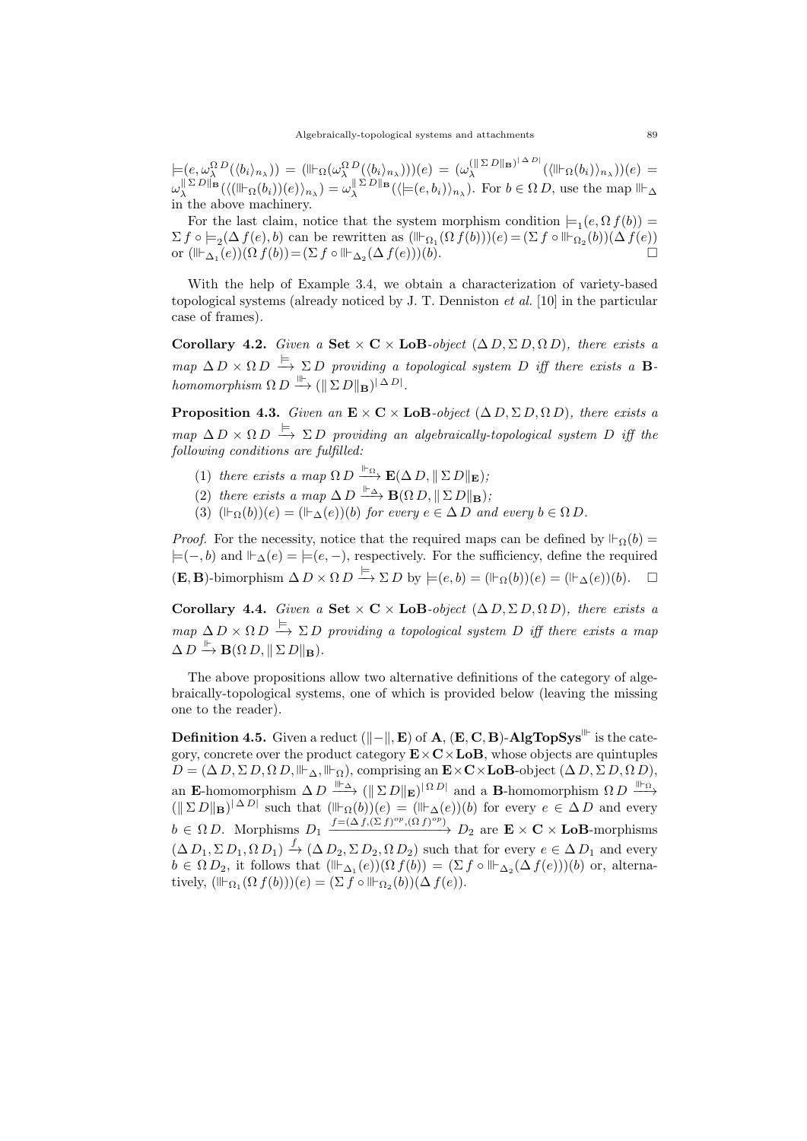$\models (e, \omega_{\lambda}^{\Omega} {}^{D}(\langle b_{i}\rangle_{n_{\lambda}})) = (\Vdash_{\Omega}(\omega_{\lambda}^{\Omega} {}^{D}(\langle b_{i}\rangle_{n_{\lambda}})))(e) = (\omega_{\lambda}^{(\parallel \Sigma~D \parallel_{\mathbf{B}})^{\parallel \Delta~D \parallel}}$  $\lambda^{(\parallel \Sigma D \parallel_{\mathbf{B}})^{(\perp \Delta D)}}(\langle \mathbb{H}_{\Omega}(b_i) \rangle_{n_{\lambda}})(e) =$  $\omega_{\lambda}^{\|\Sigma D\|_{\mathbf{B}}}(\langle (\mathbb{H}_{\Omega}(b_i))(e) \rangle_{n_{\lambda}}) = \omega_{\lambda}^{\|\Sigma D\|_{\mathbf{B}}}(\langle \models (e, b_i) \rangle_{n_{\lambda}}).$  For  $b \in \Omega D$ , use the map  $\mathbb{H}_{\Delta}$ in the above machinery.

For the last claim, notice that the system morphism condition  $\models_1(e, \Omega f(b))$  =  $\Sigma f \circ \models_2(\Delta f(e), b)$  can be rewritten as  $(\mathbb{H}_{\Omega_1}(\Omega f(b)))(e) = (\Sigma f \circ \mathbb{H}_{\Omega_2}(b))(\Delta f(e))$ or  $(\mathbb{I}_{\Delta_1}(e))(\Omega f(b)) = (\Sigma f \circ \mathbb{I}_{\Delta_2}(\Delta f(e)))(b).$ 

With the help of Example 3.4, we obtain a characterization of variety-based topological systems (already noticed by J. T. Denniston et al. [10] in the particular case of frames).

Corollary 4.2. Given a Set  $\times$  C  $\times$  LoB-object ( $\Delta$  D,  $\Sigma$  D,  $\Omega$  D), there exists a  $map \ \Delta D \times \Omega D \stackrel{\models}{\longrightarrow} \Sigma D$  providing a topological system D iff there exists a Bhomomorphism  $\Omega D \stackrel{\parallel\vdash}{\longrightarrow} (\|\Sigma D\|_{\mathbf{B}})^{|\Delta D|}.$ 

**Proposition 4.3.** Given an  $\mathbf{E} \times \mathbf{C} \times \mathbf{LoB}\text{-}object (\Delta D, \Sigma D, \Omega D)$ , there exists a map  $\Delta D \times \Omega D \stackrel{\models}{\longrightarrow} \Sigma D$  providing an algebraically-topological system D iff the following conditions are fulfilled:

- (1) there exists a map  $\Omega D \xrightarrow{\Vdash_{\Omega}} \mathbf{E}(\Delta D, \|\Sigma D\|_{\mathbf{E}})$ ;
- (2) there exists a map  $\Delta D \stackrel{\Vdash_{\Delta}}{\longrightarrow} \mathbf{B}(\Omega D, ||\Sigma D||_{\mathbf{B}})$ ;
- (3)  $(\mathbb{F}_{\Omega}(b))(e) = (\mathbb{F}_{\Lambda}(e))(b)$  for every  $e \in \Delta D$  and every  $b \in \Omega D$ .

*Proof.* For the necessity, notice that the required maps can be defined by  $\mathbb{F}_{\Omega}(b) =$  $\models (-, b)$  and  $\vdash_{\Delta}(e) = \models (e, -)$ , respectively. For the sufficiency, define the required  $(\mathbf{E}, \mathbf{B})$ -bimorphism  $\Delta D \times \Omega D \xrightarrow{\models} \Sigma D$  by  $\models (e, b) = (\Vdash_{\Omega}(b))(e) = (\Vdash_{\Delta}(e))(b).$ 

Corollary 4.4. Given a Set  $\times$  C  $\times$  LoB-object ( $\Delta$  D,  $\Sigma$  D,  $\Omega$  D), there exists a  $map \ \Delta D \times \Omega D \stackrel{\models}{\longrightarrow} \Sigma D$  providing a topological system D iff there exists a map  $\Delta D \stackrel{\Vdash}{\longrightarrow} {\bf B}(\Omega D, \|\Sigma D\|_{\bf B}).$ 

The above propositions allow two alternative definitions of the category of algebraically-topological systems, one of which is provided below (leaving the missing one to the reader).

Definition 4.5. Given a reduct  $(\Vert - \Vert, E)$  of  $A$ ,  $(E, C, B)$ -AlgTopSys<sup> int</sup> is the category, concrete over the product category  $\mathbf{E} \times \mathbf{C} \times \mathbf{LoB}$ , whose objects are quintuples  $D = (\Delta D, \Sigma D, \Omega D, \mathbb{H}_{\Delta}, \mathbb{H}_{\Omega})$ , comprising an  $\mathbf{E} \times \mathbf{C} \times \mathbf{LoB}$ -object  $(\Delta D, \Sigma D, \Omega D)$ , an E-homomorphism  $\Delta D \stackrel{\parallel\vdash_{\Delta}}{\longrightarrow} (\|\Sigma D\|_{\mathbf{E}})^{|\Omega D|}$  and a B-homomorphism  $\Omega D \stackrel{\parallel\vdash_{\Omega}}{\longrightarrow}$  $(\|\Sigma D\|_{\mathbf{B}})^{|\Delta D|}$  such that  $(\mathbb{H}_{\Omega}(b))(e) = (\mathbb{H}_{\Delta}(e))(b)$  for every  $e \in \Delta D$  and every  $b \in \Omega D$ . Morphisms  $D_1 \xrightarrow{f = (\Delta f, (\Sigma f)^{op}, (\Omega f)^{op})} D_2$  are  $\mathbf{E} \times \mathbf{C} \times \mathbf{LoB}$ -morphisms  $(\Delta D_1, \Sigma D_1, \Omega D_1) \stackrel{f}{\rightarrow} (\Delta D_2, \Sigma D_2, \Omega D_2)$  such that for every  $e \in \Delta D_1$  and every  $b \in \Omega D_2$ , it follows that  $(\mathbb{H}_{\Delta_1}(e))(\Omega f(b)) = (\Sigma f \circ \mathbb{H}_{\Delta_2}(\Delta f(e)))(b)$  or, alternatively,  $(\mathbb{H}_{\Omega_1}(\Omega f(b)))(e) = (\Sigma \hat{f} \circ \mathbb{H}_{\Omega_2}(b))(\Delta f(e)).$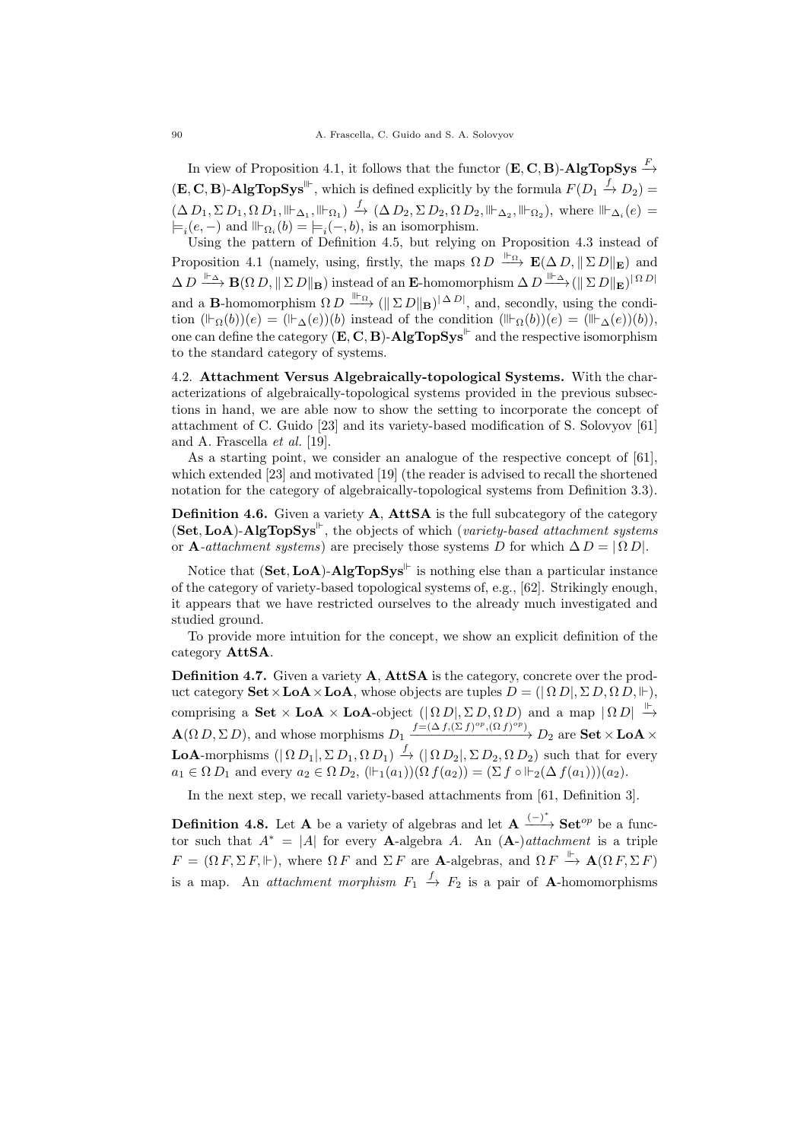In view of Proposition 4.1, it follows that the functor  $(\mathbf{E}, \mathbf{C}, \mathbf{B})$ -AlgTopSys  $\stackrel{F}{\rightarrow}$  $(\mathbf{E}, \mathbf{C}, \mathbf{B})$ -AlgTopSys<sup>\{\limeta>{Displanar}}</sub>, which is defined explicitly by the formula  $F(D_1 \xrightarrow{f} D_2) =$ </sup>  $(\Delta D_1, \Sigma D_1, \Omega D_1, \|\vdash_{\Delta_1}, \|\vdash_{\Omega_1}) \stackrel{f}{\rightarrow} (\Delta D_2, \Sigma D_2, \Omega D_2, \|\vdash_{\Delta_2}, \|\vdash_{\Omega_2}),$  where  $\|\vdash_{\Delta_i}(e) =$  $\models_i(e, -)$  and  $\mathbb{H}_{\Omega_i}(b) = \models_i(-, b)$ , is an isomorphism.

Using the pattern of Definition 4.5, but relying on Proposition 4.3 instead of Proposition 4.1 (namely, using, firstly, the maps  $\Omega D \stackrel{\parallel_{\text{P}}}{\longrightarrow} \mathbf{E}(\Delta D, || \Sigma D||_{\mathbf{E}})$  and  $\Delta D \stackrel{\Vdash_{\Delta}}{\longrightarrow} {\bf B}(\Omega D,\|\Sigma D\|_{\bf B})$  instead of an E-homomorphism  $\Delta D \stackrel{\Vdash_{\Delta}}{\longrightarrow} (\|\Sigma D\|_{\bf E})^{|\Omega D|}$ and a **B**-homomorphism  $\Omega D \xrightarrow{\|\cdot\|_{\Omega}} (\|\Sigma D\|_{\mathbf{B}})^{|\Delta D|}$ , and, secondly, using the condition  $(\mathbb{F}_{\Omega}(b))(e) = (\mathbb{F}_{\Delta}(e))(b)$  instead of the condition  $(\mathbb{F}_{\Omega}(b))(e) = (\mathbb{F}_{\Delta}(e))(b)$ , one can define the category  $(E, C, B)$ -AlgTopSys<sup>||-</sup> and the respective isomorphism to the standard category of systems.

4.2. Attachment Versus Algebraically-topological Systems. With the characterizations of algebraically-topological systems provided in the previous subsections in hand, we are able now to show the setting to incorporate the concept of attachment of C. Guido [23] and its variety-based modification of S. Solovyov [61] and A. Frascella et al. [19].

As a starting point, we consider an analogue of the respective concept of [61], which extended [23] and motivated [19] (the reader is advised to recall the shortened notation for the category of algebraically-topological systems from Definition 3.3).

Definition 4.6. Given a variety A, AttSA is the full subcategory of the category  $(Set, LoA)$ -AlgTopSys<sup>||</sup>, the objects of which (variety-based attachment systems or A-attachment systems) are precisely those systems D for which  $\Delta D = |\Omega D|$ .

Notice that  $(Set, LoA)$ -AlgTopSys<sup>||-</sup> is nothing else than a particular instance of the category of variety-based topological systems of, e.g., [62]. Strikingly enough, it appears that we have restricted ourselves to the already much investigated and studied ground.

To provide more intuition for the concept, we show an explicit definition of the category AttSA.

Definition 4.7. Given a variety A, AttSA is the category, concrete over the product category  $\textbf{Set} \times \textbf{LoA} \times \textbf{LoA}$ , whose objects are tuples  $D = (|\Omega D|, \Sigma D, \Omega D, \Vdash)$ , comprising a Set  $\times$  LoA  $\times$  LoA-object  $(|\Omega D|, \Sigma D, \Omega D)$  and a map  $|\Omega D| \stackrel{\mathbb{P}}{\rightarrow}$  $\mathbf{A}(\Omega D, \Sigma D)$ , and whose morphisms  $D_1 \xrightarrow{f=(\Delta f, (\Sigma f)^{op}, (\Omega f)^{op})} D_2$  are  $\mathbf{Set} \times \mathbf{LoA} \times$ **LoA**-morphisms  $(|\Omega D_1|, \Sigma D_1, \Omega D_1) \stackrel{f}{\to} (|\Omega D_2|, \Sigma D_2, \Omega D_2)$  such that for every  $a_1 \in \Omega D_1$  and every  $a_2 \in \Omega D_2$ ,  $(\Vdash_1(a_1))(\Omega f(a_2)) = (\Sigma f \circ \Vdash_2(\Delta f(a_1)))(a_2)$ .

In the next step, we recall variety-based attachments from [61, Definition 3].

**Definition 4.8.** Let **A** be a variety of algebras and let  $A \xrightarrow{(-)^*} Set^{op}$  be a functor such that  $A^* = |A|$  for every **A**-algebra A. An  $(A-)$  *attachment* is a triple  $F = (\Omega F, \Sigma F, \Vdash)$ , where  $\Omega F$  and  $\Sigma F$  are **A**-algebras, and  $\Omega F \xrightarrow{\Vdash} \mathbf{A}(\Omega F, \Sigma F)$ is a map. An *attachment morphism*  $F_1 \xrightarrow{f} F_2$  is a pair of **A**-homomorphisms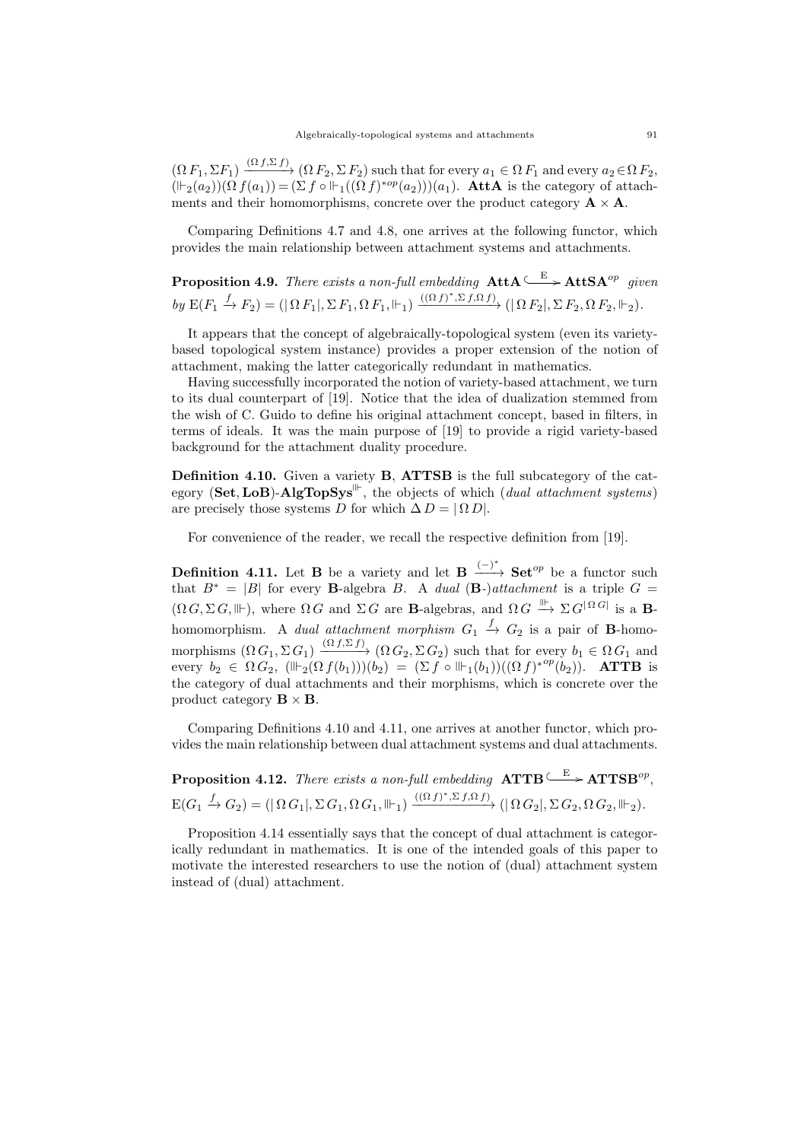$(\Omega F_1, \Sigma F_1) \xrightarrow{(\Omega f, \Sigma f)} (\Omega F_2, \Sigma F_2)$  such that for every  $a_1 \in \Omega F_1$  and every  $a_2 \in \Omega F_2$ ,  $(\Vdash_2 (a_2))(\Omega f(a_1)) = (\Sigma f \circ \Vdash_1((\Omega f)^{*op}(a_2)))(a_1)$ . AttA is the category of attachments and their homomorphisms, concrete over the product category  $\mathbf{A} \times \mathbf{A}$ .

Comparing Definitions 4.7 and 4.8, one arrives at the following functor, which provides the main relationship between attachment systems and attachments.

**Proposition 4.9.** There exists a non-full embedding  $\text{AttA} \xrightarrow{E} \text{AttSA}^{op}$  given by  $E(F_1 \xrightarrow{f} F_2) = (|\Omega F_1|, \Sigma F_1, \Omega F_1, \|\cdot\|) \xrightarrow{((\Omega f)^*, \Sigma f, \Omega f)} (|\Omega F_2|, \Sigma F_2, \Omega F_2, \|\cdot\|_2).$ 

It appears that the concept of algebraically-topological system (even its varietybased topological system instance) provides a proper extension of the notion of attachment, making the latter categorically redundant in mathematics.

Having successfully incorporated the notion of variety-based attachment, we turn to its dual counterpart of [19]. Notice that the idea of dualization stemmed from the wish of C. Guido to define his original attachment concept, based in filters, in terms of ideals. It was the main purpose of [19] to provide a rigid variety-based background for the attachment duality procedure.

Definition 4.10. Given a variety B, ATTSB is the full subcategory of the category (Set, LoB)-AlgTopSys<sup>\{\|-}</sup>, the objects of which (dual attachment systems) are precisely those systems D for which  $\Delta D = |\Omega D|$ .

For convenience of the reader, we recall the respective definition from [19].

**Definition 4.11.** Let **B** be a variety and let **B**  $\stackrel{(-)^*}{\longrightarrow}$  **Set**<sup>op</sup> be a functor such that  $B^* = |B|$  for every **B**-algebra B. A dual (**B**-)attachment is a triple  $G =$  $(\Omega G, \Sigma G, \mathbb{H})$ , where  $\Omega G$  and  $\Sigma G$  are **B**-algebras, and  $\Omega G \stackrel{\mathbb{I\!I\!I}}{\longrightarrow} \Sigma G^{|\Omega G|}$  is a **B**homomorphism. A *dual attachment morphism*  $G_1 \stackrel{f}{\rightarrow} G_2$  is a pair of **B**-homomorphisms  $(\Omega G_1, \Sigma G_1) \xrightarrow{(\Omega f, \Sigma f)} (\Omega G_2, \Sigma G_2)$  such that for every  $b_1 \in \Omega G_1$  and every  $b_2 \in \Omega G_2$ ,  $(\mathbb{H}_2(\Omega f(b_1)))(b_2) = (\Sigma f \circ \mathbb{H}_1(b_1))((\Omega f)^{*^{op}}(b_2)).$  ATTB is the category of dual attachments and their morphisms, which is concrete over the product category  $\mathbf{B} \times \mathbf{B}$ .

Comparing Definitions 4.10 and 4.11, one arrives at another functor, which provides the main relationship between dual attachment systems and dual attachments.

**Proposition 4.12.** There exists a non-full embedding  $ATTB \xrightarrow{E} ATTSB^{op}$ ,  $\mathbb{E}(G_1 \xrightarrow{f} G_2) = (|\,\Omega\,G_1|, \Sigma\,G_1, \Omega\,G_1, \Vdash_{1}) \xrightarrow{((\Omega\,f)^*, \Sigma\,f, \Omega\,f)} (|\,\Omega\,G_2|, \Sigma\,G_2, \Omega\,G_2, \Vdash_{2}).$ 

Proposition 4.14 essentially says that the concept of dual attachment is categorically redundant in mathematics. It is one of the intended goals of this paper to motivate the interested researchers to use the notion of (dual) attachment system instead of (dual) attachment.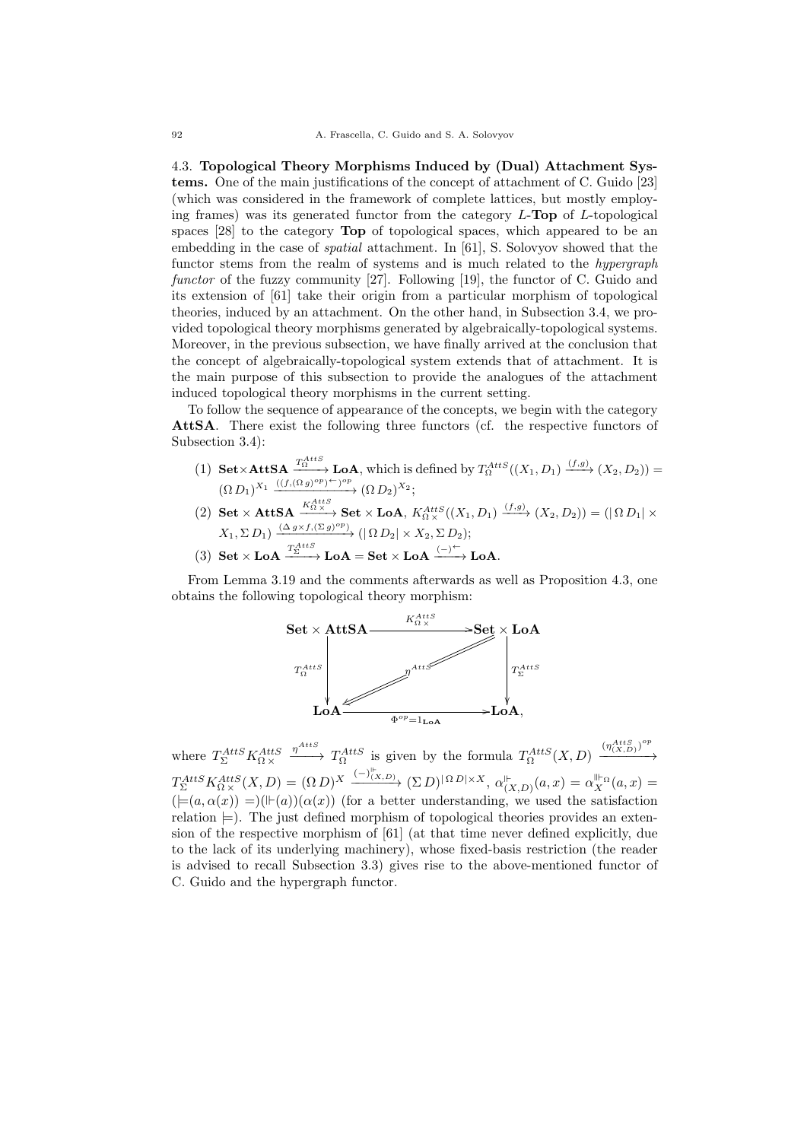4.3. Topological Theory Morphisms Induced by (Dual) Attachment Systems. One of the main justifications of the concept of attachment of C. Guido [23] (which was considered in the framework of complete lattices, but mostly employing frames) was its generated functor from the category  $L$ -Top of  $L$ -topological spaces [28] to the category Top of topological spaces, which appeared to be an embedding in the case of *spatial* attachment. In [61], S. Solovyov showed that the functor stems from the realm of systems and is much related to the *hypergraph* functor of the fuzzy community [27]. Following [19], the functor of C. Guido and its extension of [61] take their origin from a particular morphism of topological theories, induced by an attachment. On the other hand, in Subsection 3.4, we provided topological theory morphisms generated by algebraically-topological systems. Moreover, in the previous subsection, we have finally arrived at the conclusion that the concept of algebraically-topological system extends that of attachment. It is the main purpose of this subsection to provide the analogues of the attachment induced topological theory morphisms in the current setting.

To follow the sequence of appearance of the concepts, we begin with the category AttSA. There exist the following three functors (cf. the respective functors of Subsection 3.4):

- (1) Set  $\times$  AttSA  $\xrightarrow{T_{\Omega}^{AttS}}$  LoA, which is defined by  $T_{\Omega}^{AttS}((X_1, D_1) \xrightarrow{(f,g)} (X_2, D_2))$  =  $(\Omega D_1)^{X_1} \xrightarrow{((f,(\Omega g)^{op})^{\leftarrow})^{op}} (\Omega D_2)^{X_2};$
- $(2) \text{ Set } \times \text{AttSA} \xrightarrow{K_{\Omega}^{AttS}} \text{Set} \times \text{LoA}, K_{\Omega \times}^{AttS}((X_1, D_1) \xrightarrow{(f,g)} (X_2, D_2)) = (|\Omega D_1| \times$  $X_1, \Sigma D_1) \xrightarrow{(\Delta g \times f, (\Sigma g)^{op})} (\vert \Omega D_2 \vert \times X_2, \Sigma D_2);$
- $(3) \ \ \mathbf{Set} \times \mathbf{LoA} \xrightarrow{T_{\Sigma}^{AttS}} \mathbf{LoA} = \mathbf{Set} \times \mathbf{LoA} \xrightarrow{(-)^{\leftarrow}} \mathbf{LoA}.$

From Lemma 3.19 and the comments afterwards as well as Proposition 4.3, one obtains the following topological theory morphism:



where  $T_{\Sigma}^{AttS} K_{\Omega \times}^{AttS}$  $\frac{\eta^{AttS}}{\eta^{AttS}}$  T<sub>0</sub><sup>AttS</sup> is given by the formula  $T_{\Omega}^{AttS}(X,D)$   $\frac{(\eta^{AttS}_{(X,D)})^{op}}{(\eta^{AttS})^{off}}$  $\longrightarrow$  $T_{\Sigma}^{AttS} K_{\Omega \times}^{AttS}(X,D) = (\Omega D)^{X} \xrightarrow{(-)\vert_{(X,D)}} (\Sigma D)^{\vert \Omega D \vert \times X}, \alpha \vert_{(X,D)}^{\vert_{(X,D)}}$  $\alpha_{(X,D)}^{\| \vdash}(a,x) = \alpha_X^{\| \vdash_{\Omega}}(a,x) =$  $(\models(a, \alpha(x)) = ((\models(a))(\alpha(x))$  (for a better understanding, we used the satisfaction relation  $\models$ ). The just defined morphism of topological theories provides an extension of the respective morphism of [61] (at that time never defined explicitly, due to the lack of its underlying machinery), whose fixed-basis restriction (the reader is advised to recall Subsection 3.3) gives rise to the above-mentioned functor of C. Guido and the hypergraph functor.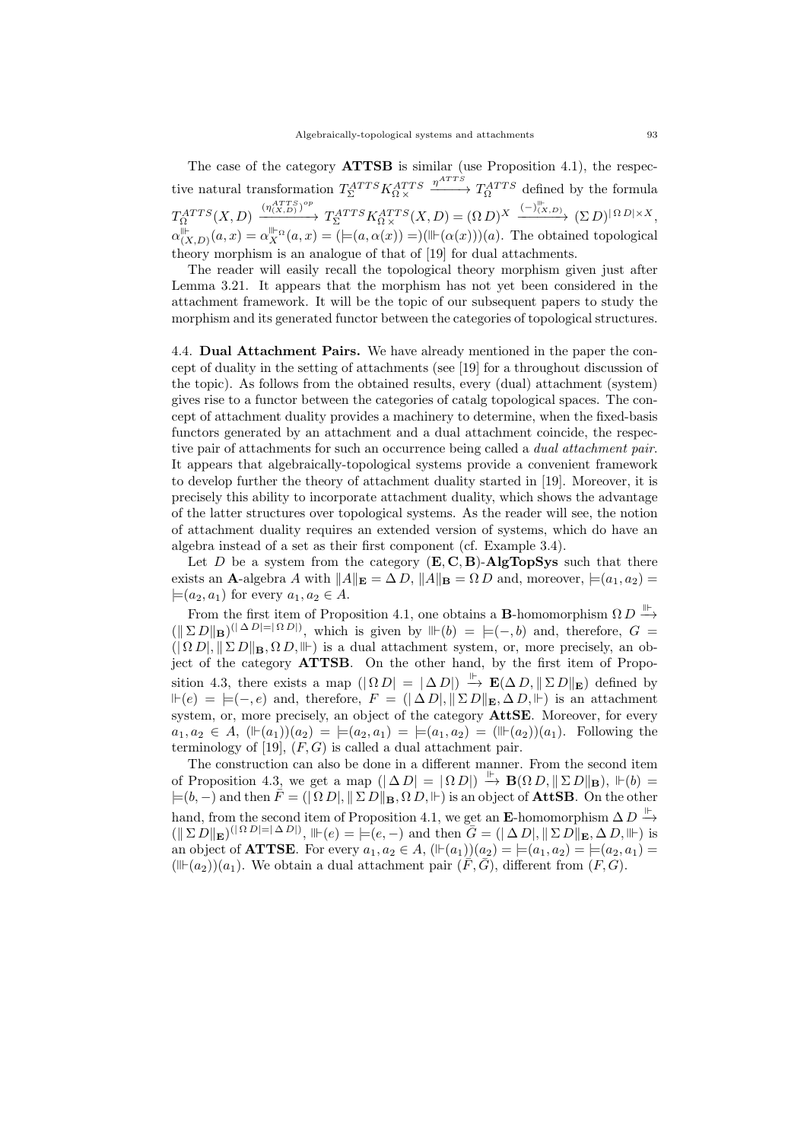The case of the category **ATTSB** is similar (use Proposition 4.1), the respective natural transformation  $T_{\Sigma}^{ATTS}K_{\Omega\times}^{ATTS}$  $\frac{\eta^{ATTS}}{\eta^{ATTS}}$  defined by the formula  $T^{ATTS}_{\Omega}(X,D) \xrightarrow{(\eta_{(X,D)}^{ATTS})^{op}}$  $\xrightarrow{(\eta_{(X,D)}^{ATTS})^{op}} T_{\Sigma}^{ATTS} K_{\Omega \times}^{ATTS}(X,D) = (\Omega D)^{X} \xrightarrow{(-)^{||^*_{X,D}} (\Sigma D)^{||\Omega D|| \times X}},$  $\alpha_{(3)}^{\parallel \vdash}$  $\prod_{(X,D)}^{\mathbb{I}_{\mathbb{I}}} (a,x) = \alpha_X^{\mathbb{II}_{\mathbb{I}} \alpha}(a,x) = (=(a,\alpha(x))) = ((\mathbb{I}_{\mathbb{I}} \alpha(x)))(a)$ . The obtained topological theory morphism is an analogue of that of [19] for dual attachments.

The reader will easily recall the topological theory morphism given just after Lemma 3.21. It appears that the morphism has not yet been considered in the attachment framework. It will be the topic of our subsequent papers to study the morphism and its generated functor between the categories of topological structures.

4.4. Dual Attachment Pairs. We have already mentioned in the paper the concept of duality in the setting of attachments (see [19] for a throughout discussion of the topic). As follows from the obtained results, every (dual) attachment (system) gives rise to a functor between the categories of catalg topological spaces. The concept of attachment duality provides a machinery to determine, when the fixed-basis functors generated by an attachment and a dual attachment coincide, the respective pair of attachments for such an occurrence being called a dual attachment pair. It appears that algebraically-topological systems provide a convenient framework to develop further the theory of attachment duality started in [19]. Moreover, it is precisely this ability to incorporate attachment duality, which shows the advantage of the latter structures over topological systems. As the reader will see, the notion of attachment duality requires an extended version of systems, which do have an algebra instead of a set as their first component (cf. Example 3.4).

Let D be a system from the category  $(E, C, B)$ -AlgTopSys such that there exists an **A**-algebra A with  $||A||_E = \Delta D$ ,  $||A||_B = \Omega D$  and, moreover,  $\models (a_1, a_2) =$  $\models$ (a<sub>2</sub>, a<sub>1</sub>) for every  $a_1, a_2 \in A$ .

From the first item of Proposition 4.1, one obtains a **B**-homomorphism  $\Omega D \stackrel{\parallel\vdash}{\longrightarrow}$  $(\|\Sigma D\|_{\mathbf{B}})^{(|\Delta D|=|\Omega D|)}$ , which is given by  $\mathbb{H}(b) = \models (-,b)$  and, therefore,  $G =$  $(|\Omega D|, ||\Sigma D||_B, \Omega D, \|\cdot\|)$  is a dual attachment system, or, more precisely, an object of the category ATTSB. On the other hand, by the first item of Proposition 4.3, there exists a map  $(|\Omega D| = |\Delta D|) \stackrel{\Vdash}{\to} \mathbf{E}(\Delta D, ||\Sigma D||_{\mathbf{E}})$  defined by  $\mathbb{H}(e) = \models (-, e)$  and, therefore,  $F = (|\Delta D|, |\Sigma D|) \mathbb{E}, |\Delta D|, |\Sigma \rangle$  is an attachment system, or, more precisely, an object of the category **AttSE**. Moreover, for every  $a_1, a_2 \in A$ ,  $(\mathbb{F}(a_1))(a_2) = \mathbb{F}(a_2, a_1) = \mathbb{F}(a_1, a_2) = (\mathbb{F}(a_2))(a_1)$ . Following the terminology of [19],  $(F, G)$  is called a dual attachment pair.

The construction can also be done in a different manner. From the second item of Proposition 4.3, we get a map  $(|\Delta D| = |\Omega D|) \stackrel{\mu}{\rightarrow} \mathbf{B}(\Omega D, ||\Sigma D||_{\mathbf{B}})$ ,  $\Vdash (b) =$  $=(b, -)$  and then  $\overline{F}=(\overline{[0, D]}, \overline{[2, D]}]_B, \overline{[0, D]}, \overline{[E]}_B)$  is an object of **AttSB**. On the other hand, from the second item of Proposition 4.1, we get an E-homomorphism  $\Delta D \stackrel{\Vdash}{\rightarrow}$  $(\|\Sigma D\|_{\mathbf{E}})^{(|\Omega D|=|\Delta D|)}, \|\vdash(e) = \models(e, -) \text{ and then } \overline{G} = (|\Delta D|, |\Sigma D|)_{\mathbf{E}}, \Delta D, \|\vdash) \text{ is }$ an object of **ATTSE**. For every  $a_1, a_2 \in A$ ,  $(\mathbb{F}(a_1))(a_2) = \mathbb{F}(a_1, a_2) = \mathbb{F}(a_2, a_1) =$  $(\mathbb{H}(\alpha_2))(a_1)$ . We obtain a dual attachment pair  $(\overline{F}, \overline{G})$ , different from  $(F, G)$ .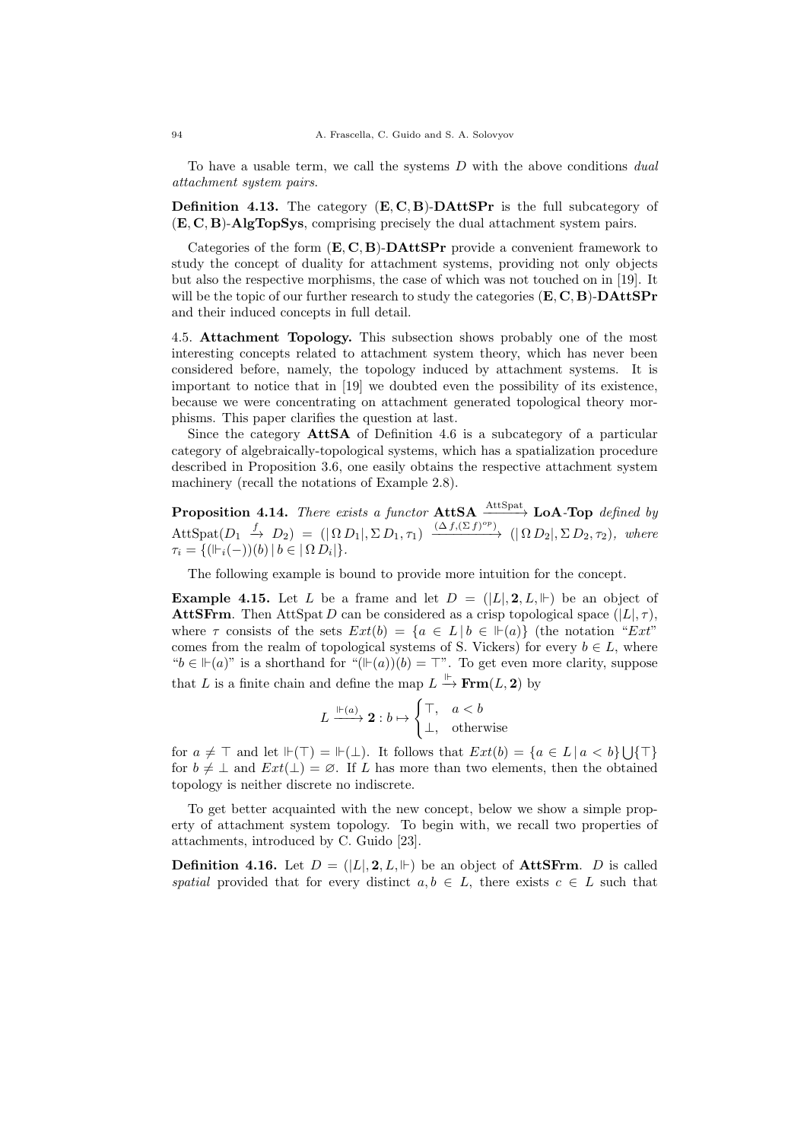To have a usable term, we call the systems  $D$  with the above conditions dual attachment system pairs.

**Definition 4.13.** The category  $(E, C, B)$ -**DAttSPr** is the full subcategory of (E, C, B)-AlgTopSys, comprising precisely the dual attachment system pairs.

Categories of the form  $(E, C, B)$ -**DAttSPr** provide a convenient framework to study the concept of duality for attachment systems, providing not only objects but also the respective morphisms, the case of which was not touched on in [19]. It will be the topic of our further research to study the categories  $(E, C, B)$ -**DAttSPr** and their induced concepts in full detail.

4.5. Attachment Topology. This subsection shows probably one of the most interesting concepts related to attachment system theory, which has never been considered before, namely, the topology induced by attachment systems. It is important to notice that in [19] we doubted even the possibility of its existence, because we were concentrating on attachment generated topological theory morphisms. This paper clarifies the question at last.

Since the category AttSA of Definition 4.6 is a subcategory of a particular category of algebraically-topological systems, which has a spatialization procedure described in Proposition 3.6, one easily obtains the respective attachment system machinery (recall the notations of Example 2.8).

**Proposition 4.14.** There exists a functor  $\text{AttSA} \xrightarrow{\text{AttSpat}} \text{LoA-Top}$  defined by  $AttSpat(D_1 \stackrel{f}{\rightarrow} D_2) = (|\Omega D_1|, \Sigma D_1, \tau_1) \xrightarrow{(\Delta f, (\Sigma f)^{op})} (|\Omega D_2|, \Sigma D_2, \tau_2), \text{ where}$  $\tau_i = \{(\Vdash_i(-))(b) | b \in |\Omega D_i|\}.$ 

The following example is bound to provide more intuition for the concept.

**Example 4.15.** Let L be a frame and let  $D = (|L|, 2, L, \Vdash)$  be an object of **AttSFrm.** Then AttSpat D can be considered as a crisp topological space  $(|L|, \tau)$ , where  $\tau$  consists of the sets  $Ext(b) = \{a \in L | b \in \mathbb{H}(a)\}\$  (the notation "Ext" comes from the realm of topological systems of S. Vickers) for every  $b \in L$ , where " $b \in \mathbb{H}(a)$ " is a shorthand for " $(\mathbb{H}(a))(b) = \top$ ". To get even more clarity, suppose that L is a finite chain and define the map  $L \stackrel{\text{P}}{\rightarrow} \text{Frm}(L, 2)$  by

$$
L \xrightarrow{\Vdash (a)} \mathbf{2}: b \mapsto \begin{cases} \top, & a < b \\ \bot, & \text{otherwise} \end{cases}
$$

for  $a \neq \top$  and let  $\mathbb{H}(\top) = \mathbb{H}(\bot)$ . It follows that  $Ext(b) = \{a \in L \mid a < b\} \cup \{\top\}$ for  $b \neq \perp$  and  $Ext(\perp) = \emptyset$ . If L has more than two elements, then the obtained topology is neither discrete no indiscrete.

To get better acquainted with the new concept, below we show a simple property of attachment system topology. To begin with, we recall two properties of attachments, introduced by C. Guido [23].

**Definition 4.16.** Let  $D = (|L|, 2, L, \Vdash)$  be an object of **AttSFrm.** D is called spatial provided that for every distinct  $a, b \in L$ , there exists  $c \in L$  such that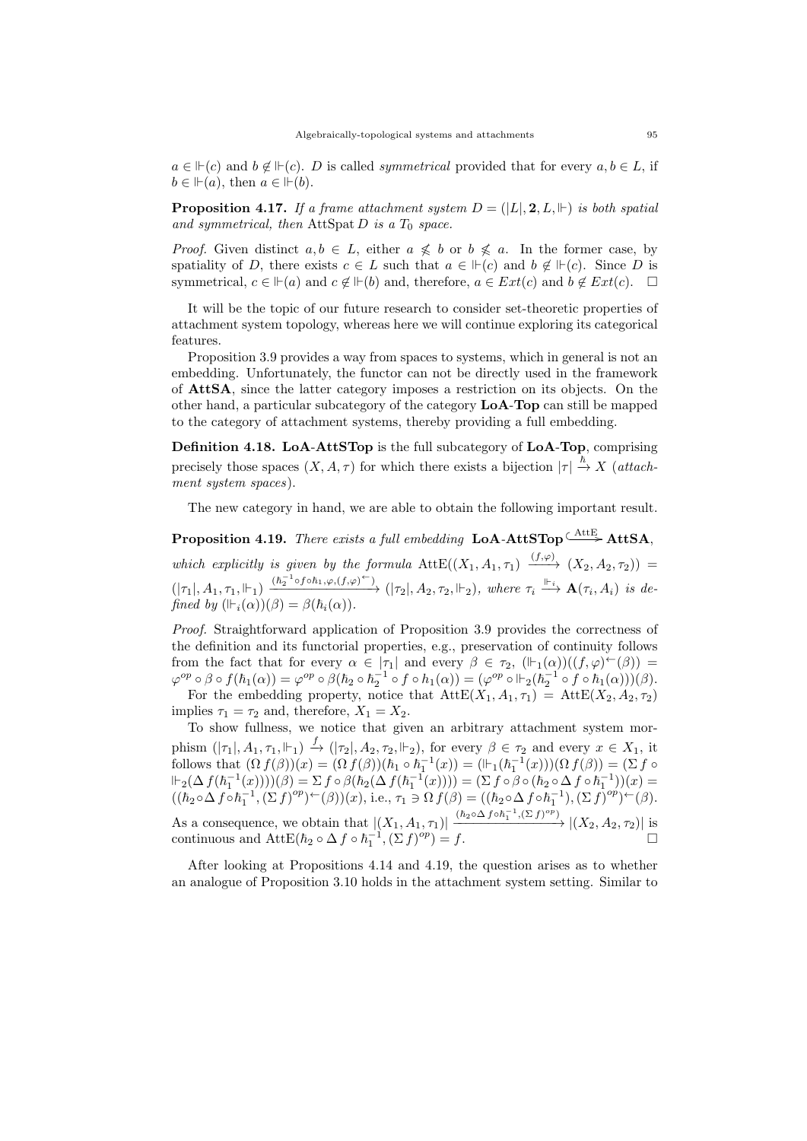$a \in \mathbb{H}(c)$  and  $b \notin \mathbb{H}(c)$ . D is called *symmetrical* provided that for every  $a, b \in L$ , if  $b \in \mathbb{H}(a)$ , then  $a \in \mathbb{H}(b)$ .

**Proposition 4.17.** If a frame attachment system  $D = (|L|, 2, L, \Vdash)$  is both spatial and symmetrical, then AttSpat D is a  $T_0$  space.

*Proof.* Given distinct  $a, b \in L$ , either  $a \nleq b$  or  $b \nleq a$ . In the former case, by spatiality of D, there exists  $c \in L$  such that  $a \in \mathbb{H}(c)$  and  $b \notin \mathbb{H}(c)$ . Since D is symmetrical,  $c \in \mathbb{H}(a)$  and  $c \notin \mathbb{H}(b)$  and, therefore,  $a \in Ext(c)$  and  $b \notin Ext(c)$ .  $\Box$ 

It will be the topic of our future research to consider set-theoretic properties of attachment system topology, whereas here we will continue exploring its categorical features.

Proposition 3.9 provides a way from spaces to systems, which in general is not an embedding. Unfortunately, the functor can not be directly used in the framework of AttSA, since the latter category imposes a restriction on its objects. On the other hand, a particular subcategory of the category LoA-Top can still be mapped to the category of attachment systems, thereby providing a full embedding.

Definition 4.18. LoA-AttSTop is the full subcategory of LoA-Top, comprising precisely those spaces  $(X, A, \tau)$  for which there exists a bijection  $|\tau| \stackrel{\hbar}{\to} X$  (attachment system spaces).

The new category in hand, we are able to obtain the following important result.

**Proposition 4.19.** There exists a full embedding  $\text{LoA-AttSTop} \xrightarrow{\text{AttB}} \text{AttSA}$ , which explicitly is given by the formula  $\text{AttE}((X_1, A_1, \tau_1) \xrightarrow{(f,\varphi)} (X_2, A_2, \tau_2)) =$  $(|\tau_1|, A_1, \tau_1, \Vdash_1) \xrightarrow{(h_2^{-1} \circ f \circ h_1, \varphi, (f, \varphi)^\leftarrow)} (|\tau_2|, A_2, \tau_2, \Vdash_2), \text{ where } \tau_i \xrightarrow{\Vdash_i} \mathbf{A}(\tau_i, A_i) \text{ is de-}$ fined by  $(\vDash_i(\alpha))(\beta) = \beta(\hbar_i(\alpha)).$ 

Proof. Straightforward application of Proposition 3.9 provides the correctness of the definition and its functorial properties, e.g., preservation of continuity follows from the fact that for every  $\alpha \in |\tau_1|$  and every  $\beta \in \tau_2$ ,  $(\Vdash_1(\alpha))((f,\varphi)^\leftarrow(\beta)) =$  $\varphi^{op} \circ \beta \circ f(\hbar_1(\alpha)) = \varphi^{op} \circ \beta(\hbar_2 \circ \hbar_2^{-1} \circ f \circ h_1(\alpha)) = (\varphi^{op} \circ \Vdash_2 (\hbar_2^{-1} \circ f \circ \hbar_1(\alpha)))(\beta).$ 

For the embedding property, notice that  $\text{AttE}(X_1, A_1, \tau_1) = \text{AttE}(X_2, A_2, \tau_2)$ implies  $\tau_1 = \tau_2$  and, therefore,  $X_1 = X_2$ .

To show fullness, we notice that given an arbitrary attachment system morphism  $(|\tau_1|, A_1, \tau_1, \Vdash_1) \stackrel{f}{\to} (|\tau_2|, A_2, \tau_2, \Vdash_2)$ , for every  $\beta \in \tau_2$  and every  $x \in X_1$ , it follows that  $(\Omega f(\beta))(x) = (\Omega f(\beta))(\hbar_1 \circ \hbar_1^{-1}(x)) = (\mathbb{H}_1(\hbar_1^{-1}(x)))(\Omega f(\beta)) = (\Sigma f \circ$  $\Vdash_2(\Delta\,f(\hbar_1^{-1}(x))))(\beta)=\Sigma\,f\circ\beta(\hbar_2(\Delta\,f(\hbar_1^{-1}(x))))=(\Sigma\,f\circ\beta\circ(\hbar_2\circ\Delta\,f\circ\hbar_1^{-1}))(x)=$  $((\hbar_2 \circ \Delta f \circ \hbar_1^{-1}, (\Sigma f)^{op}) \leftarrow (\beta))(x)$ , i.e.,  $\tau_1 \ni \Omega f(\beta) = ((\hbar_2 \circ \Delta f \circ \hbar_1^{-1}), (\Sigma f)^{op}) \leftarrow (\beta)$ . As a consequence, we obtain that  $|(X_1, A_1, \tau_1)| \xrightarrow{(h_2 \circ \Delta f \circ h_1^{-1}, (\Sigma f)^{op})} |(X_2, A_2, \tau_2)|$  is continuous and AttE $(\hbar_2 \circ \Delta f \circ \hbar_1^{-1}, (\Sigma f)^{op}) = f.$ 

After looking at Propositions 4.14 and 4.19, the question arises as to whether an analogue of Proposition 3.10 holds in the attachment system setting. Similar to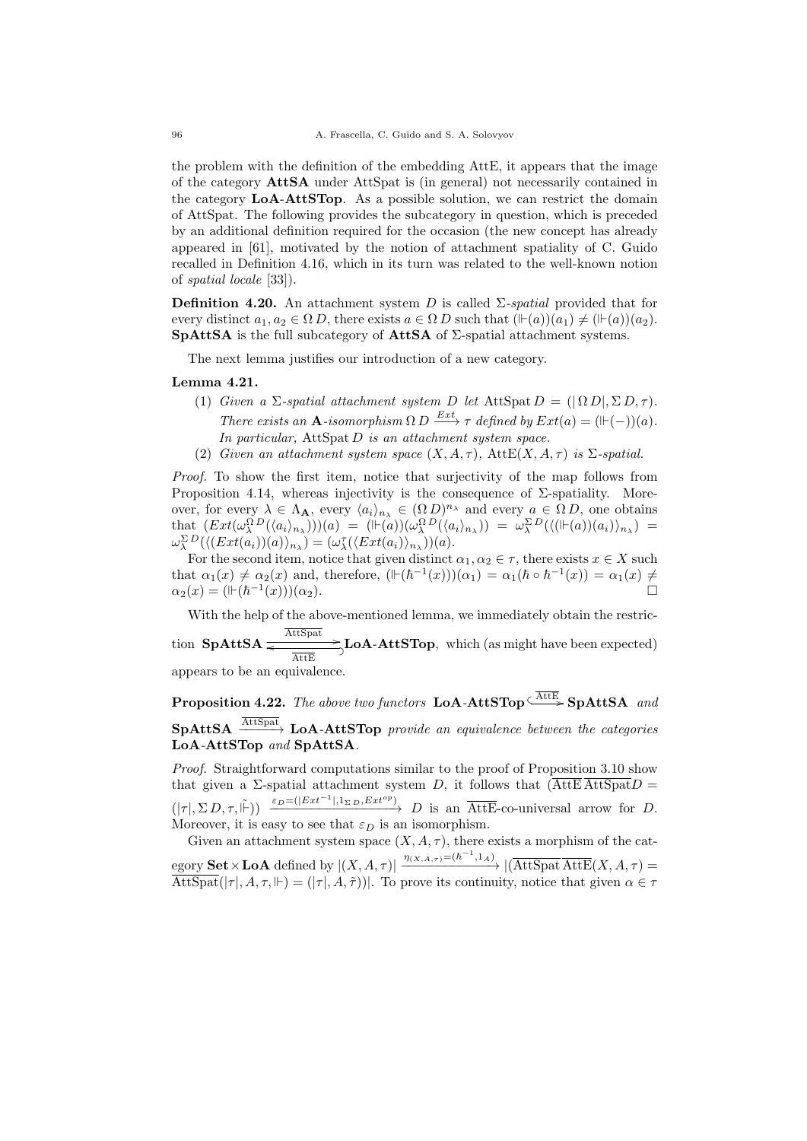the problem with the definition of the embedding AttE, it appears that the image of the category AttSA under AttSpat is (in general) not necessarily contained in the category LoA-AttSTop. As a possible solution, we can restrict the domain of AttSpat. The following provides the subcategory in question, which is preceded by an additional definition required for the occasion (the new concept has already appeared in [61], motivated by the notion of attachment spatiality of C. Guido recalled in Definition 4.16, which in its turn was related to the well-known notion of spatial locale [33]).

**Definition 4.20.** An attachment system D is called  $\Sigma$ -spatial provided that for every distinct  $a_1, a_2 \in \Omega D$ , there exists  $a \in \Omega D$  such that  $(\Vdash(a))(a_1) \neq (\Vdash(a))(a_2)$ . SpAttSA is the full subcategory of AttSA of Σ-spatial attachment systems.

The next lemma justifies our introduction of a new category.

## Lemma 4.21.

- (1) Given a  $\Sigma$ -spatial attachment system D let AttSpat  $D = (|\Omega D|, \Sigma D, \tau)$ . There exists an A-isomorphism  $\Omega D \xrightarrow{Ext} \tau$  defined by  $Ext(a) = (\mathbb{H}(-))(a)$ . In particular, AttSpat  $D$  is an attachment system space.
- (2) Given an attachment system space  $(X, A, \tau)$ , AttE $(X, A, \tau)$  is  $\Sigma$ -spatial.

Proof. To show the first item, notice that surjectivity of the map follows from Proposition 4.14, whereas injectivity is the consequence of  $\Sigma$ -spatiality. Moreover, for every  $\lambda \in \Lambda_{\mathbf{A}},$  every  $\langle a_i \rangle_{n_\lambda} \in (\Omega D)^{n_\lambda}$  and every  $a \in \Omega D$ , one obtains that  $(Ext(\omega_\lambda^{\Omega}D(\langle a_i \rangle_{n_\lambda}))) (a) = (\mathbb{H}(a))(\omega_\lambda^{\Omega}D(\langle a_i \rangle_{n_\lambda})) = \omega_\lambda^{\Sigma}D(\langle (\mathbb{H}(a))(a_i) \rangle_{n_\lambda}) =$  $\omega_\lambda^{\Sigma D}(\langle (Ext(a_i))(a)\rangle_{n_\lambda}) = (\omega_\lambda^{\tau}(\langle Ext(a_i)\rangle_{n_\lambda}))(a).$ 

For the second item, notice that given distinct  $\alpha_1, \alpha_2 \in \tau$ , there exists  $x \in X$  such that  $\alpha_1(x) \neq \alpha_2(x)$  and, therefore,  $(\mathbb{H}(\hbar^{-1}(x)))(\alpha_1) = \alpha_1(\hbar \circ \hbar^{-1}(x)) = \alpha_1(x) \neq$  $\alpha_2(x) = ($ | $\vdash$ ( $\hbar^{-1}$  $(x))$ ) $(\alpha_2)$ .

With the help of the above-mentioned lemma, we immediately obtain the restric-

tion  $\mathbf{SpAttSA} \xrightarrow[\text{AttSet}]{} \mathbf{LoA-AttSTop}$ , which (as might have been expected)

appears to be an equivalence.

**Proposition 4.22.** The above two functors  $\text{LoA-AttSTop} \xrightarrow{\overline{\text{AttE}}} \text{SpAttSA}$  and  $\mathbf{SpAttSA} \xrightarrow{\text{AttSpat}} \mathbf{LoA-AttSTop}$  provide an equivalence between the categories LoA-AttSTop and SpAttSA.

Proof. Straightforward computations similar to the proof of Proposition 3.10 show that given a Σ-spatial attachment system D, it follows that  $(\overline{\text{AttE}} \ \overline{\text{Att}} \ \overline{\text{Det}} D =$  $(|\tau|, \Sigma D, \tau, \tilde{\mathbb{H}})$   $\xrightarrow{\varepsilon_D = (|Ext^{-1}|, 1_{\Sigma D}, Ext^{op})} D$  is an  $\overline{\text{AttE}}$ -co-universal arrow for D. Moreover, it is easy to see that  $\varepsilon_D$  is an isomorphism.

Given an attachment system space  $(X, A, \tau)$ , there exists a morphism of the category **Set**  $\times$  **LoA** defined by  $|(X, A, \tau)| \xrightarrow{\eta_{(X, A, \tau)} = (\hbar^{-1}, 1_A)} |(\overline{\text{AttSpat}} \ \overline{\text{AttE}}(X, A, \tau))|$  $\overline{\text{AttSpat}}(|\tau|, A, \tau, \Vdash) = (|\tau|, A, \tilde{\tau})$ . To prove its continuity, notice that given  $\alpha \in \tau$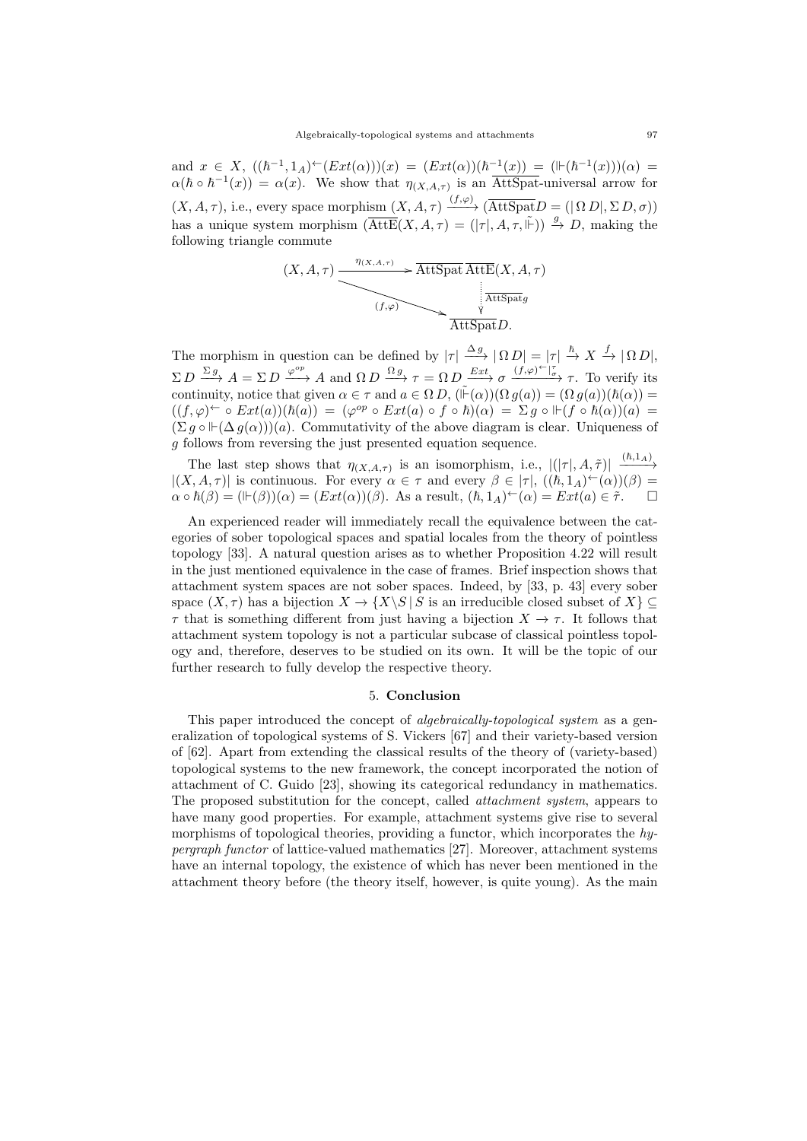and  $x \in X$ ,  $((\hbar^{-1}, 1_A) \in (Ext(\alpha)))(x) = (Ext(\alpha))(\hbar^{-1}(x)) = (H(\hbar^{-1}(x)))(\alpha) =$  $\alpha(\hbar \circ \hbar^{-1}(x)) = \alpha(x)$ . We show that  $\eta_{(X,A,\tau)}$  is an AttSpat-universal arrow for  $(X, A, \tau)$ , i.e., every space morphism  $(X, A, \tau) \xrightarrow{(f, \varphi)} (\overline{\text{AttSpat}} D = (\vert \Omega D \vert, \Sigma D, \sigma))$ has a unique system morphism  $(\overline{\text{AttE}}(X, A, \tau) = (|\tau|, A, \tau, \tilde{\mathbb{F}})) \stackrel{g}{\rightarrow} D$ , making the following triangle commute

$$
(X, A, \tau) \xrightarrow{\eta_{(X, A, \tau)}} \overbrace{\text{AttSpat}}^{\text{AttSpat}} \overbrace{\text{AttSpat}}^{\text{AttSpat}}(X, A, \tau)
$$
\n
$$
\xrightarrow{\text{AttSpat}}^{\text{AttSpat}}
$$

The morphism in question can be defined by  $|\tau| \stackrel{\Delta g}{\longrightarrow} |\Omega D| = |\tau| \stackrel{\hbar}{\rightarrow} X \stackrel{f}{\rightarrow} |\Omega D|$ ,  $\Sigma D \stackrel{\Sigma g}{\longrightarrow} A = \Sigma D \stackrel{\varphi^{op}}{\longrightarrow} A$  and  $\Omega D \stackrel{\Omega g}{\longrightarrow} \tau = \Omega D \stackrel{Ext}{\longrightarrow} \sigma \stackrel{(f,\varphi) \leftarrow |\tau}{\longrightarrow} \tau$ . To verify its continuity, notice that given  $\alpha \in \tau$  and  $a \in \Omega D$ ,  $(\tilde{\mathbb{F}}(\alpha))(\Omega g(a)) = (\Omega g(a))(\hbar(\alpha)) =$  $((f, \varphi)^{\leftarrow} \circ Ext(a))(\hbar(a)) = (\varphi^{op} \circ Ext(a) \circ f \circ \hbar)(\alpha) = \Sigma g \circ \Vdash (f \circ \hbar(\alpha))(a) =$  $(\Sigma g \circ \mathbb{H}(\Delta g(\alpha)))(a)$ . Commutativity of the above diagram is clear. Uniqueness of g follows from reversing the just presented equation sequence.

The last step shows that  $\eta_{(X,A,\tau)}$  is an isomorphism, i.e.,  $|(|\tau|, A, \tilde{\tau})| \xrightarrow{(h,1_A)}$  $|(X, A, \tau)|$  is continuous. For every  $\alpha \in \tau$  and every  $\beta \in |\tau|$ ,  $((\hbar, 1_A)^{\leftarrow}(\alpha))(\beta) =$  $\alpha \circ \hbar(\beta) = (\mathbb{H}(\beta))(\alpha) = (Ext(\alpha))(\beta)$ . As a result,  $(\hbar, 1_A)^\leftarrow(\alpha) = Ext(a) \in \tilde{\tau}$ .

An experienced reader will immediately recall the equivalence between the categories of sober topological spaces and spatial locales from the theory of pointless topology [33]. A natural question arises as to whether Proposition 4.22 will result in the just mentioned equivalence in the case of frames. Brief inspection shows that attachment system spaces are not sober spaces. Indeed, by [33, p. 43] every sober space  $(X, \tau)$  has a bijection  $X \to \{X \setminus S \mid S \text{ is an irreducible closed subset of } X\} \subseteq$  $\tau$  that is something different from just having a bijection  $X \to \tau$ . It follows that attachment system topology is not a particular subcase of classical pointless topology and, therefore, deserves to be studied on its own. It will be the topic of our further research to fully develop the respective theory.

## 5. Conclusion

This paper introduced the concept of *algebraically-topological system* as a generalization of topological systems of S. Vickers [67] and their variety-based version of [62]. Apart from extending the classical results of the theory of (variety-based) topological systems to the new framework, the concept incorporated the notion of attachment of C. Guido [23], showing its categorical redundancy in mathematics. The proposed substitution for the concept, called attachment system, appears to have many good properties. For example, attachment systems give rise to several morphisms of topological theories, providing a functor, which incorporates the hypergraph functor of lattice-valued mathematics [27]. Moreover, attachment systems have an internal topology, the existence of which has never been mentioned in the attachment theory before (the theory itself, however, is quite young). As the main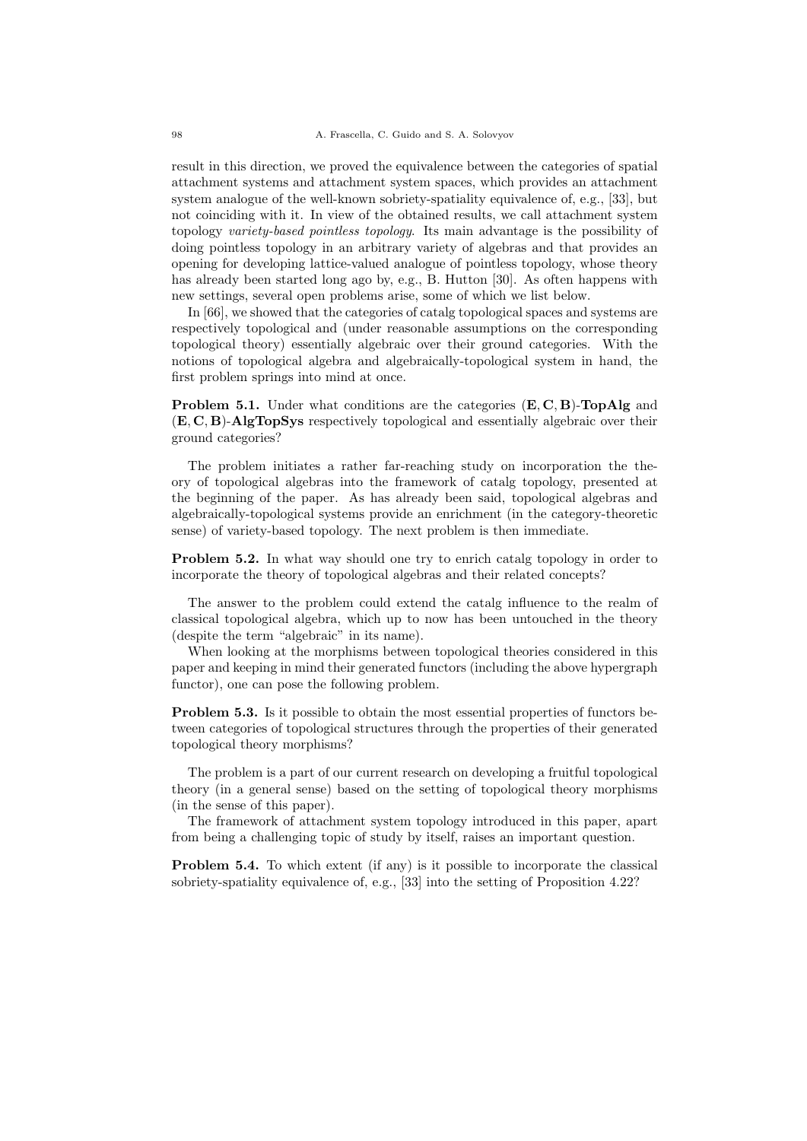result in this direction, we proved the equivalence between the categories of spatial attachment systems and attachment system spaces, which provides an attachment system analogue of the well-known sobriety-spatiality equivalence of, e.g., [33], but not coinciding with it. In view of the obtained results, we call attachment system topology variety-based pointless topology. Its main advantage is the possibility of doing pointless topology in an arbitrary variety of algebras and that provides an opening for developing lattice-valued analogue of pointless topology, whose theory has already been started long ago by, e.g., B. Hutton [30]. As often happens with new settings, several open problems arise, some of which we list below.

In [66], we showed that the categories of catalg topological spaces and systems are respectively topological and (under reasonable assumptions on the corresponding topological theory) essentially algebraic over their ground categories. With the notions of topological algebra and algebraically-topological system in hand, the first problem springs into mind at once.

Problem 5.1. Under what conditions are the categories  $(E, C, B)$ -TopAlg and (E, C, B)-AlgTopSys respectively topological and essentially algebraic over their ground categories?

The problem initiates a rather far-reaching study on incorporation the theory of topological algebras into the framework of catalg topology, presented at the beginning of the paper. As has already been said, topological algebras and algebraically-topological systems provide an enrichment (in the category-theoretic sense) of variety-based topology. The next problem is then immediate.

Problem 5.2. In what way should one try to enrich catalg topology in order to incorporate the theory of topological algebras and their related concepts?

The answer to the problem could extend the catalg influence to the realm of classical topological algebra, which up to now has been untouched in the theory (despite the term "algebraic" in its name).

When looking at the morphisms between topological theories considered in this paper and keeping in mind their generated functors (including the above hypergraph functor), one can pose the following problem.

Problem 5.3. Is it possible to obtain the most essential properties of functors between categories of topological structures through the properties of their generated topological theory morphisms?

The problem is a part of our current research on developing a fruitful topological theory (in a general sense) based on the setting of topological theory morphisms (in the sense of this paper).

The framework of attachment system topology introduced in this paper, apart from being a challenging topic of study by itself, raises an important question.

**Problem 5.4.** To which extent (if any) is it possible to incorporate the classical sobriety-spatiality equivalence of, e.g., [33] into the setting of Proposition 4.22?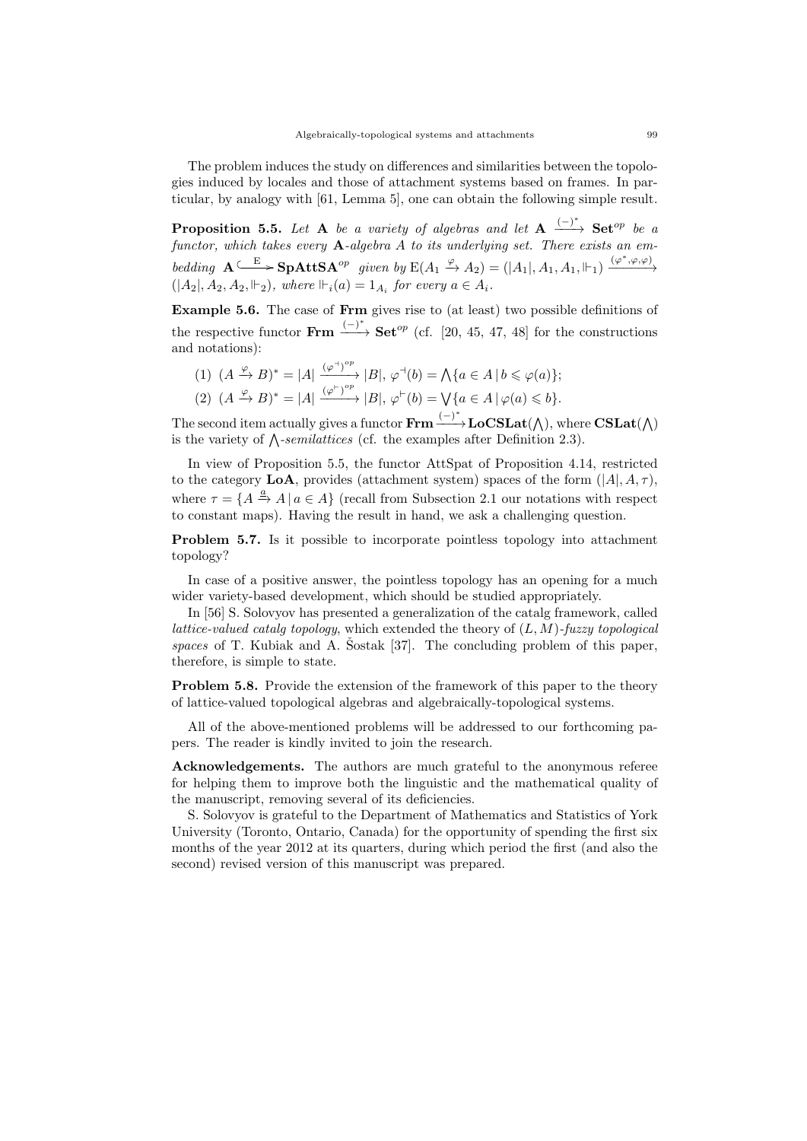The problem induces the study on differences and similarities between the topologies induced by locales and those of attachment systems based on frames. In particular, by analogy with [61, Lemma 5], one can obtain the following simple result.

**Proposition 5.5.** Let **A** be a variety of algebras and let  $A \xrightarrow{(-)^*}$  Set<sup>op</sup> be a functor, which takes every  $\bf{A}$ -algebra  $\vec{A}$  to its underlying set. There exists an embedding  $\mathbf{A} \stackrel{\frown}{\longrightarrow} \mathbf{SpAttSA}^{op}$  given by  $E(A_1 \stackrel{\varphi}{\rightarrow} A_2) = (|A_1|, A_1, A_1, \Vdash_1) \stackrel{(\varphi^*, \varphi, \varphi)}{\longrightarrow}$  $(|A_2|, A_2, A_2, \Vdashg)$ , where  $\Vdash_i(a) = 1_{A_i}$  for every  $a \in A_i$ .

Example 5.6. The case of Frm gives rise to (at least) two possible definitions of the respective functor Frm  $\frac{(-)^*}{\longrightarrow}$  Set<sup>op</sup> (cf. [20, 45, 47, 48] for the constructions and notations):

(1)  $(A \xrightarrow{\varphi} B)^* = |A| \xrightarrow{(\varphi^{\dashv})^{op}} |B|, \varphi^{\dashv}(b) = \bigwedge \{a \in A \mid b \leqslant \varphi(a)\};$ (2)  $(A \xrightarrow{\varphi} B)^* = |A| \xrightarrow{(\varphi^{\vdash})^{op}} |B|, \varphi^{\vdash}(b) = \bigvee \{a \in A \mid \varphi(a) \leqslant b\}.$ 

The second item actually gives a functor  $\text{Frm} \xrightarrow{(-)^*} \text{LoCSLat}(\wedge)$ , where  $\text{CSLat}(\wedge)$ is the variety of  $\Lambda$ -semilattices (cf. the examples after Definition 2.3).

In view of Proposition 5.5, the functor AttSpat of Proposition 4.14, restricted to the category LoA, provides (attachment system) spaces of the form  $(|A|, A, \tau)$ , where  $\tau = \{A \stackrel{a}{\rightarrow} A | a \in A\}$  (recall from Subsection 2.1 our notations with respect to constant maps). Having the result in hand, we ask a challenging question.

Problem 5.7. Is it possible to incorporate pointless topology into attachment topology?

In case of a positive answer, the pointless topology has an opening for a much wider variety-based development, which should be studied appropriately.

In [56] S. Solovyov has presented a generalization of the catalg framework, called lattice-valued catalg topology, which extended the theory of  $(L, M)$ -fuzzy topological spaces of T. Kubiak and A. Sostak  $[37]$ . The concluding problem of this paper, therefore, is simple to state.

**Problem 5.8.** Provide the extension of the framework of this paper to the theory of lattice-valued topological algebras and algebraically-topological systems.

All of the above-mentioned problems will be addressed to our forthcoming papers. The reader is kindly invited to join the research.

Acknowledgements. The authors are much grateful to the anonymous referee for helping them to improve both the linguistic and the mathematical quality of the manuscript, removing several of its deficiencies.

S. Solovyov is grateful to the Department of Mathematics and Statistics of York University (Toronto, Ontario, Canada) for the opportunity of spending the first six months of the year 2012 at its quarters, during which period the first (and also the second) revised version of this manuscript was prepared.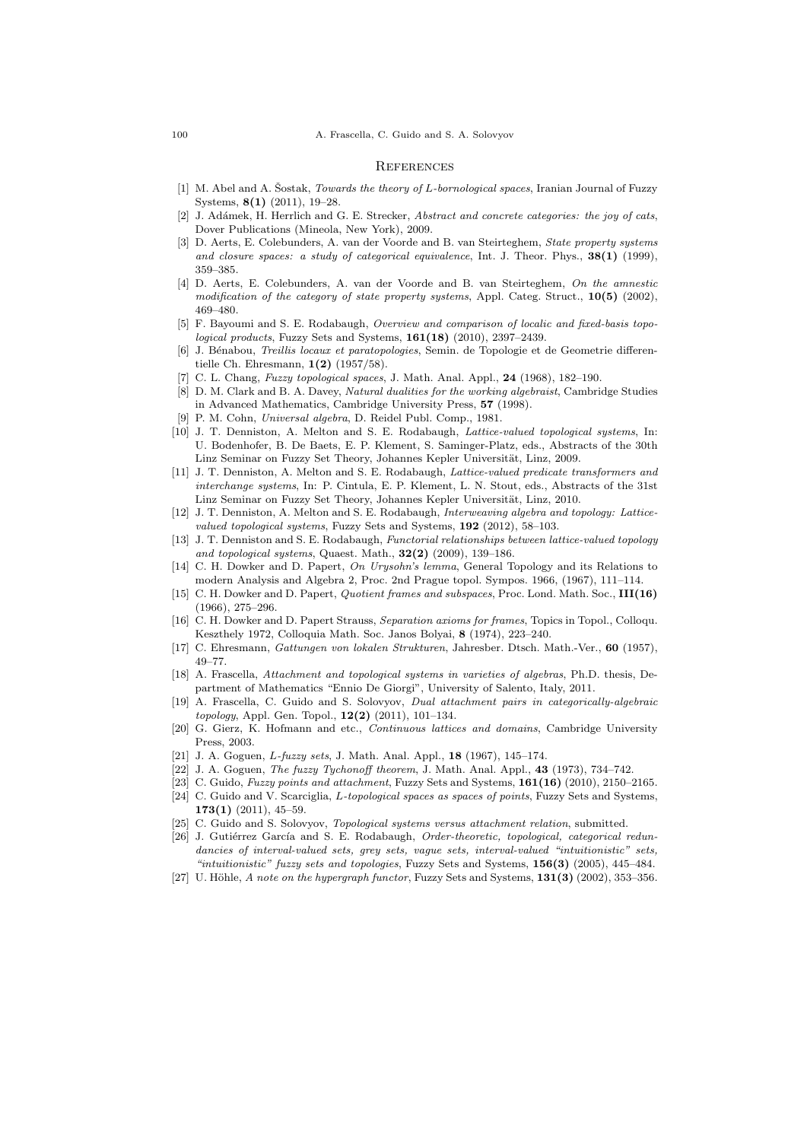#### **REFERENCES**

- [1] M. Abel and A. Sostak, *Towards the theory of L-bornological spaces*, Iranian Journal of Fuzzy Systems, 8(1) (2011), 19–28.
- [2] J. Adámek, H. Herrlich and G. E. Strecker, Abstract and concrete categories: the joy of cats, Dover Publications (Mineola, New York), 2009.
- [3] D. Aerts, E. Colebunders, A. van der Voorde and B. van Steirteghem, State property systems and closure spaces: a study of categorical equivalence, Int. J. Theor. Phys.,  $38(1)$  (1999), 359–385.
- [4] D. Aerts, E. Colebunders, A. van der Voorde and B. van Steirteghem, On the amnestic modification of the category of state property systems, Appl. Categ. Struct.,  $10(5)$  (2002), 469–480.
- [5] F. Bayoumi and S. E. Rodabaugh, Overview and comparison of localic and fixed-basis topological products, Fuzzy Sets and Systems, 161(18) (2010), 2397–2439.
- [6] J. Bénabou, *Treillis locaux et paratopologies*, Semin. de Topologie et de Geometrie differentielle Ch. Ehresmann, 1(2) (1957/58).
- [7] C. L. Chang, Fuzzy topological spaces, J. Math. Anal. Appl., 24 (1968), 182-190.
- [8] D. M. Clark and B. A. Davey, Natural dualities for the working algebraist, Cambridge Studies in Advanced Mathematics, Cambridge University Press, 57 (1998).
- [9] P. M. Cohn, Universal algebra, D. Reidel Publ. Comp., 1981.
- [10] J. T. Denniston, A. Melton and S. E. Rodabaugh, Lattice-valued topological systems, In: U. Bodenhofer, B. De Baets, E. P. Klement, S. Saminger-Platz, eds., Abstracts of the 30th Linz Seminar on Fuzzy Set Theory, Johannes Kepler Universität, Linz, 2009.
- [11] J. T. Denniston, A. Melton and S. E. Rodabaugh, Lattice-valued predicate transformers and interchange systems, In: P. Cintula, E. P. Klement, L. N. Stout, eds., Abstracts of the 31st Linz Seminar on Fuzzy Set Theory, Johannes Kepler Universität, Linz, 2010.
- [12] J. T. Denniston, A. Melton and S. E. Rodabaugh, Interweaving algebra and topology: Latticevalued topological systems, Fuzzy Sets and Systems, 192 (2012), 58–103.
- [13] J. T. Denniston and S. E. Rodabaugh, *Functorial relationships between lattice-valued topology* and topological systems, Quaest. Math., 32(2) (2009), 139–186.
- [14] C. H. Dowker and D. Papert, On Urysohn's lemma, General Topology and its Relations to modern Analysis and Algebra 2, Proc. 2nd Prague topol. Sympos. 1966, (1967), 111–114.
- [15] C. H. Dowker and D. Papert, *Quotient frames and subspaces*, Proc. Lond. Math. Soc., III(16) (1966), 275–296.
- [16] C. H. Dowker and D. Papert Strauss, Separation axioms for frames, Topics in Topol., Colloqu. Keszthely 1972, Colloquia Math. Soc. Janos Bolyai, 8 (1974), 223–240.
- [17] C. Ehresmann, Gattungen von lokalen Strukturen, Jahresber. Dtsch. Math.-Ver., 60 (1957), 49–77.
- [18] A. Frascella, Attachment and topological systems in varieties of algebras, Ph.D. thesis, Department of Mathematics "Ennio De Giorgi", University of Salento, Italy, 2011.
- [19] A. Frascella, C. Guido and S. Solovyov, Dual attachment pairs in categorically-algebraic topology, Appl. Gen. Topol., 12(2) (2011), 101–134.
- [20] G. Gierz, K. Hofmann and etc., Continuous lattices and domains, Cambridge University Press, 2003.
- [21] J. A. Goguen, *L-fuzzy sets*, J. Math. Anal. Appl., **18** (1967), 145–174.
- [22] J. A. Goguen, *The fuzzy Tychonoff theorem*, J. Math. Anal. Appl., **43** (1973), 734–742.
- [23] C. Guido, Fuzzy points and attachment, Fuzzy Sets and Systems,  $161(16)$  (2010), 2150–2165.
- [24] C. Guido and V. Scarciglia, L-topological spaces as spaces of points, Fuzzy Sets and Systems,  $173(1)$  (2011), 45-59.
- [25] C. Guido and S. Solovyov, Topological systems versus attachment relation, submitted.
- [26] J. Gutiérrez García and S. E. Rodabaugh, Order-theoretic, topological, categorical redundancies of interval-valued sets, grey sets, vague sets, interval-valued "intuitionistic" sets, "intuitionistic" fuzzy sets and topologies, Fuzzy Sets and Systems, 156(3) (2005), 445-484.
- [27] U. Höhle, A note on the hypergraph functor, Fuzzy Sets and Systems,  $131(3)$  (2002), 353–356.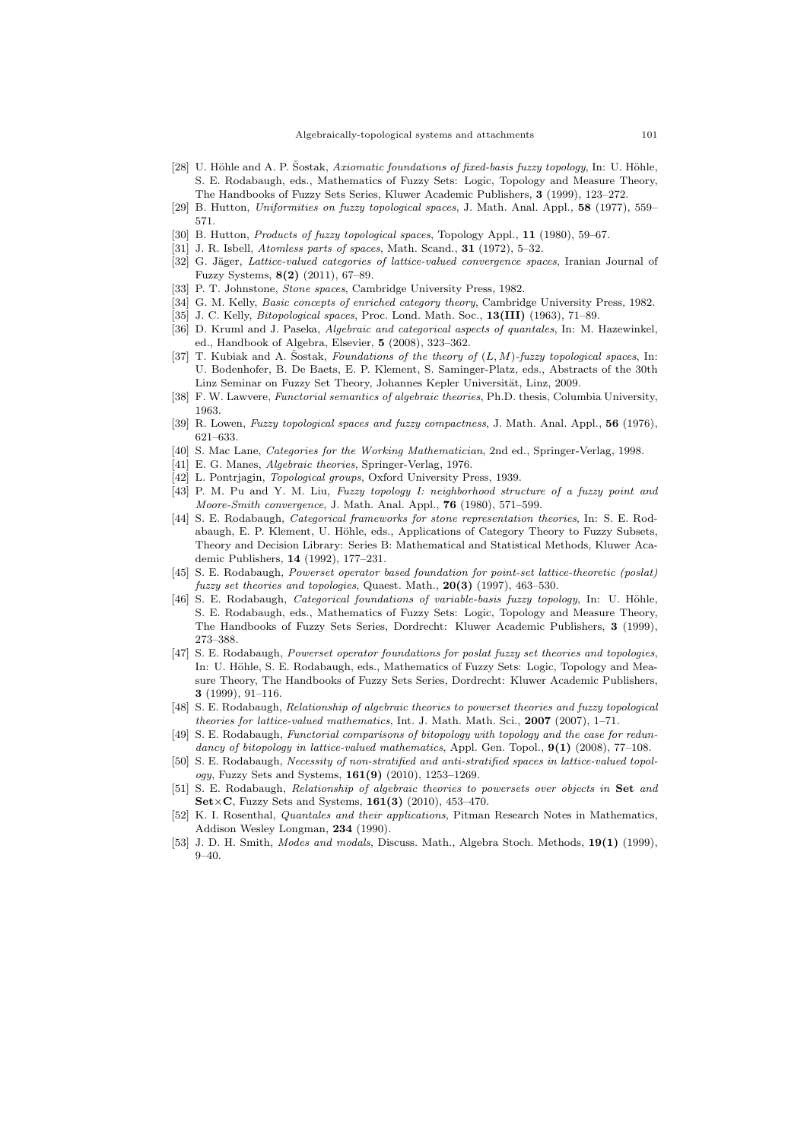- [28] U. Höhle and A. P. Šostak, Axiomatic foundations of fixed-basis fuzzy topology, In: U. Höhle, S. E. Rodabaugh, eds., Mathematics of Fuzzy Sets: Logic, Topology and Measure Theory, The Handbooks of Fuzzy Sets Series, Kluwer Academic Publishers, 3 (1999), 123–272.
- [29] B. Hutton, Uniformities on fuzzy topological spaces, J. Math. Anal. Appl., 58 (1977), 559– 571.
- [30] B. Hutton, Products of fuzzy topological spaces, Topology Appl., 11 (1980), 59–67.
- [31] J. R. Isbell, Atomless parts of spaces, Math. Scand., **31** (1972), 5-32.
- [32] G. Jäger, Lattice-valued categories of lattice-valued convergence spaces, Iranian Journal of Fuzzy Systems, 8(2) (2011), 67–89.
- [33] P. T. Johnstone, Stone spaces, Cambridge University Press, 1982.
- [34] G. M. Kelly, *Basic concepts of enriched category theory*, Cambridge University Press, 1982.
- [35] J. C. Kelly, *Bitopological spaces*, Proc. Lond. Math. Soc., **13(III)** (1963), 71–89.
- [36] D. Kruml and J. Paseka, Algebraic and categorical aspects of quantales, In: M. Hazewinkel, ed., Handbook of Algebra, Elsevier, 5 (2008), 323–362.
- [37] T. Kubiak and A. Sostak, Foundations of the theory of  $(L, M)$ -fuzzy topological spaces, In: U. Bodenhofer, B. De Baets, E. P. Klement, S. Saminger-Platz, eds., Abstracts of the 30th Linz Seminar on Fuzzy Set Theory, Johannes Kepler Universität, Linz, 2009.
- [38] F. W. Lawvere, *Functorial semantics of algebraic theories*, Ph.D. thesis, Columbia University, 1963.
- [39] R. Lowen, Fuzzy topological spaces and fuzzy compactness, J. Math. Anal. Appl., 56 (1976), 621–633.
- [40] S. Mac Lane, Categories for the Working Mathematician, 2nd ed., Springer-Verlag, 1998.
- [41] E. G. Manes, Algebraic theories, Springer-Verlag, 1976.
- [42] L. Pontrjagin, Topological groups, Oxford University Press, 1939.
- [43] P. M. Pu and Y. M. Liu, Fuzzy topology I: neighborhood structure of a fuzzy point and Moore-Smith convergence, J. Math. Anal. Appl., 76 (1980), 571–599.
- [44] S. E. Rodabaugh, Categorical frameworks for stone representation theories, In: S. E. Rodabaugh, E. P. Klement, U. Höhle, eds., Applications of Category Theory to Fuzzy Subsets, Theory and Decision Library: Series B: Mathematical and Statistical Methods, Kluwer Academic Publishers, 14 (1992), 177–231.
- [45] S. E. Rodabaugh, Powerset operator based foundation for point-set lattice-theoretic (poslat) fuzzy set theories and topologies, Quaest. Math., 20(3) (1997), 463–530.
- [46] S. E. Rodabaugh, Categorical foundations of variable-basis fuzzy topology, In: U. Höhle, S. E. Rodabaugh, eds., Mathematics of Fuzzy Sets: Logic, Topology and Measure Theory, The Handbooks of Fuzzy Sets Series, Dordrecht: Kluwer Academic Publishers, 3 (1999), 273–388.
- [47] S. E. Rodabaugh, Powerset operator foundations for poslat fuzzy set theories and topologies, In: U. Höhle, S. E. Rodabaugh, eds., Mathematics of Fuzzy Sets: Logic, Topology and Measure Theory, The Handbooks of Fuzzy Sets Series, Dordrecht: Kluwer Academic Publishers, 3 (1999), 91–116.
- [48] S. E. Rodabaugh, Relationship of algebraic theories to powerset theories and fuzzy topological theories for lattice-valued mathematics, Int. J. Math. Math. Sci., 2007 (2007), 1–71.
- [49] S. E. Rodabaugh, Functorial comparisons of bitopology with topology and the case for redundancy of bitopology in lattice-valued mathematics, Appl. Gen. Topol.,  $9(1)$  (2008), 77-108.
- [50] S. E. Rodabaugh, Necessity of non-stratified and anti-stratified spaces in lattice-valued topology, Fuzzy Sets and Systems, 161(9) (2010), 1253–1269.
- [51] S. E. Rodabaugh, Relationship of algebraic theories to powersets over objects in Set and  $\text{Set} \times \text{C}$ , Fuzzy Sets and Systems, 161(3) (2010), 453-470.
- [52] K. I. Rosenthal, *Quantales and their applications*, Pitman Research Notes in Mathematics, Addison Wesley Longman, 234 (1990).
- [53] J. D. H. Smith, Modes and modals, Discuss. Math., Algebra Stoch. Methods, 19(1) (1999), 9–40.